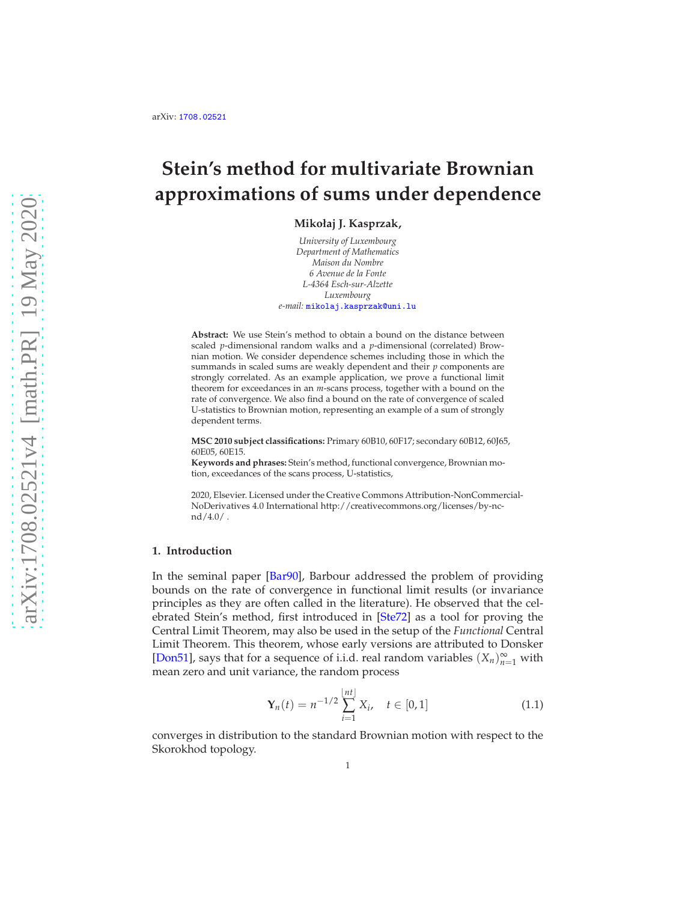# **Stein's method for multivariate Brownian approximations of sums under dependence**

**Mikołaj J. Kasprzak,**

*University of Luxembourg Department of Mathematics Maison du Nombre 6 Avenue de la Fonte L-4364 Esch-sur-Alzette Luxembourg e-mail:* [mikolaj.kasprzak@uni.lu](mailto:mikolaj.kasprzak@uni.lu)

**Abstract:** We use Stein's method to obtain a bound on the distance between scaled *p*-dimensional random walks and a *p*-dimensional (correlated) Brownian motion. We consider dependence schemes including those in which the summands in scaled sums are weakly dependent and their *p* components are strongly correlated. As an example application, we prove a functional limit theorem for exceedances in an *m*-scans process, together with a bound on the rate of convergence. We also find a bound on the rate of convergence of scaled U-statistics to Brownian motion, representing an example of a sum of strongly dependent terms.

**MSC 2010 subject classifications:** Primary 60B10, 60F17; secondary 60B12, 60J65, 60E05, 60E15.

**Keywords and phrases:** Stein's method, functional convergence, Brownian motion, exceedances of the scans process, U-statistics,

2020, Elsevier. Licensed under the Creative Commons Attribution-NonCommercial-NoDerivatives 4.0 International http://creativecommons.org/licenses/by-ncnd/4.0/ .

#### **1. Introduction**

In the seminal paper [\[Bar90\]](#page-43-0), Barbour addressed the problem of providing bounds on the rate of convergence in functional limit results (or invariance principles as they are often called in the literature). He observed that the celebrated Stein's method, first introduced in [\[Ste72\]](#page-45-0) as a tool for proving the Central Limit Theorem, may also be used in the setup of the *Functional* Central Limit Theorem. This theorem, whose early versions are attributed to Donsker [\[Don51\]](#page-44-0), says that for a sequence of i.i.d. real random variables  $(X_n)_{n=1}^{\infty}$  with mean zero and unit variance, the random process

<span id="page-0-0"></span>
$$
\mathbf{Y}_n(t) = n^{-1/2} \sum_{i=1}^{\lfloor nt \rfloor} X_i, \quad t \in [0, 1] \tag{1.1}
$$

converges in distribution to the standard Brownian motion with respect to the Skorokhod topology.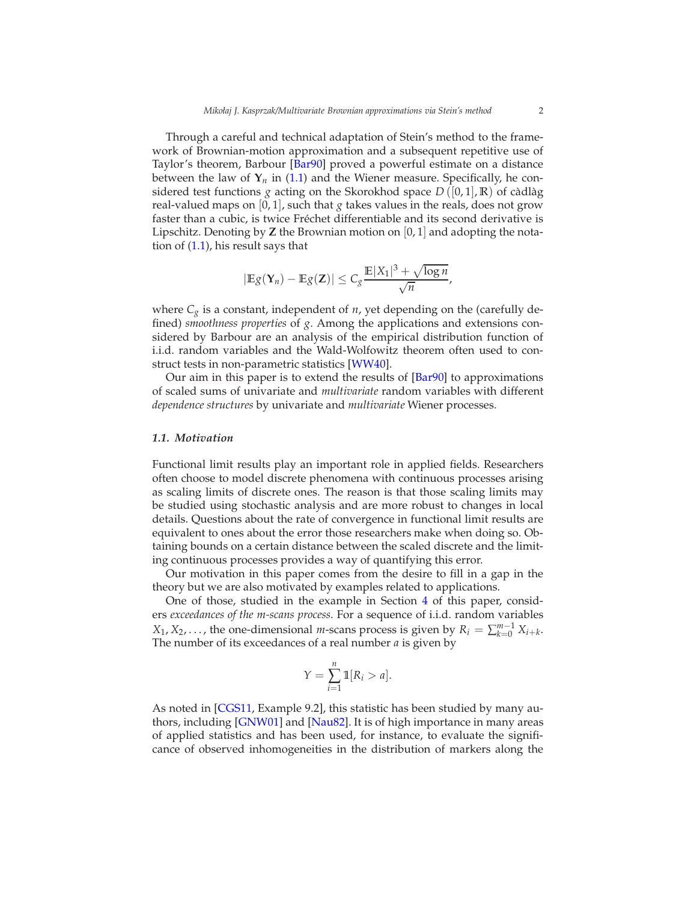Through a careful and technical adaptation of Stein's method to the framework of Brownian-motion approximation and a subsequent repetitive use of Taylor's theorem, Barbour [\[Bar90](#page-43-0)] proved a powerful estimate on a distance between the law of  $Y_n$  in [\(1.1\)](#page-0-0) and the Wiener measure. Specifically, he considered test functions *g* acting on the Skorokhod space  $D([0,1], \mathbb{R})$  of càdlàg real-valued maps on [0, 1], such that *g* takes values in the reals, does not grow faster than a cubic, is twice Fréchet differentiable and its second derivative is Lipschitz. Denoting by **Z** the Brownian motion on [0, 1] and adopting the notation of [\(1.1\)](#page-0-0), his result says that

$$
|\mathbb{E}g(\mathbf{Y}_n)-\mathbb{E}g(\mathbf{Z})|\leq C_g\frac{\mathbb{E}|X_1|^3+\sqrt{\log n}}{\sqrt{n}},
$$

where  $C_g$  is a constant, independent of  $n$ , yet depending on the (carefully defined) *smoothness properties* of *g*. Among the applications and extensions considered by Barbour are an analysis of the empirical distribution function of i.i.d. random variables and the Wald-Wolfowitz theorem often used to construct tests in non-parametric statistics [\[WW40\]](#page-45-1).

Our aim in this paper is to extend the results of [\[Bar90\]](#page-43-0) to approximations of scaled sums of univariate and *multivariate* random variables with different *dependence structures* by univariate and *multivariate* Wiener processes.

#### *1.1. Motivation*

Functional limit results play an important role in applied fields. Researchers often choose to model discrete phenomena with continuous processes arising as scaling limits of discrete ones. The reason is that those scaling limits may be studied using stochastic analysis and are more robust to changes in local details. Questions about the rate of convergence in functional limit results are equivalent to ones about the error those researchers make when doing so. Obtaining bounds on a certain distance between the scaled discrete and the limiting continuous processes provides a way of quantifying this error.

Our motivation in this paper comes from the desire to fill in a gap in the theory but we are also motivated by examples related to applications.

One of those, studied in the example in Section [4](#page-12-0) of this paper, considers *exceedances of the m-scans process*. For a sequence of i.i.d. random variables  $X_1, X_2, \ldots$ , the one-dimensional *m*-scans process is given by  $R_i = \sum_{k=0}^{m-1} X_{i+k}$ . The number of its exceedances of a real number *a* is given by

$$
Y = \sum_{i=1}^{n} \mathbb{1}[R_i > a].
$$

As noted in [\[CGS11](#page-44-1), Example 9.2], this statistic has been studied by many authors, including [\[GNW01](#page-44-2)] and [\[Nau82\]](#page-45-2). It is of high importance in many areas of applied statistics and has been used, for instance, to evaluate the significance of observed inhomogeneities in the distribution of markers along the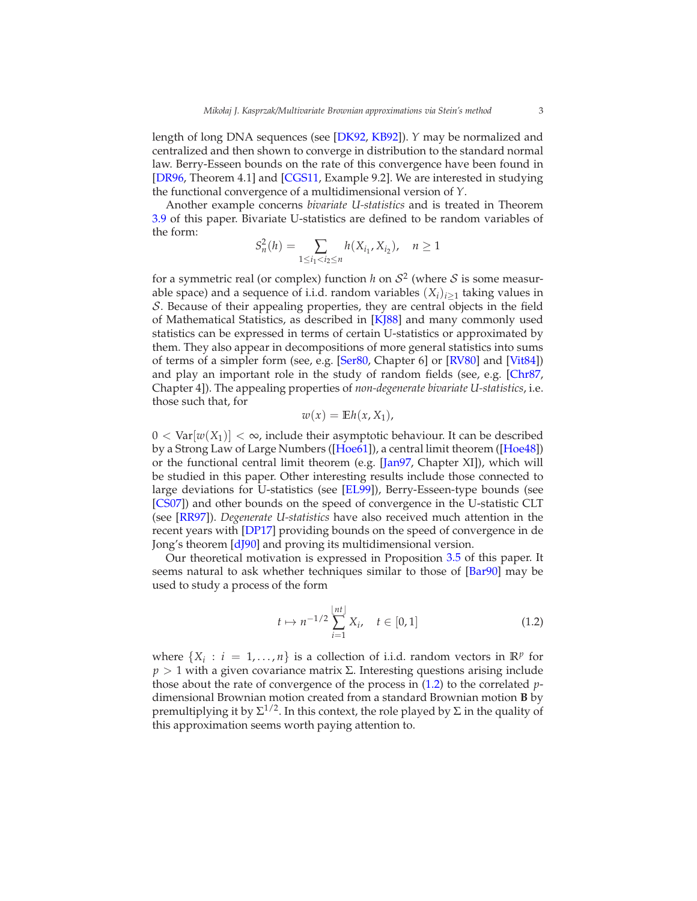length of long DNA sequences (see [\[DK92](#page-44-3), [KB92\]](#page-45-3)). *Y* may be normalized and centralized and then shown to converge in distribution to the standard normal law. Berry-Esseen bounds on the rate of this convergence have been found in [\[DR96,](#page-44-4) Theorem 4.1] and [\[CGS11](#page-44-1), Example 9.2]. We are interested in studying the functional convergence of a multidimensional version of *Y*.

Another example concerns *bivariate U-statistics* and is treated in Theorem [3.9](#page-11-0) of this paper. Bivariate U-statistics are defined to be random variables of the form:

$$
S_n^2(h) = \sum_{1 \le i_1 < i_2 \le n} h(X_{i_1}, X_{i_2}), \quad n \ge 1
$$

for a symmetric real (or complex) function *h* on  $S^2$  (where *S* is some measurable space) and a sequence of i.i.d. random variables  $(X_i)_{i \geq 1}$  taking values in S. Because of their appealing properties, they are central objects in the field of Mathematical Statistics, as described in [\[KJ88\]](#page-45-4) and many commonly used statistics can be expressed in terms of certain U-statistics or approximated by them. They also appear in decompositions of more general statistics into sums of terms of a simpler form (see, e.g. [\[Ser80,](#page-45-5) Chapter 6] or [\[RV80](#page-45-6)] and [\[Vit84\]](#page-45-7)) and play an important role in the study of random fields (see, e.g. [\[Chr87,](#page-44-5) Chapter 4]). The appealing properties of *non-degenerate bivariate U-statistics*, i.e. those such that, for

$$
w(x) = \mathbb{E}h(x, X_1),
$$

 $0 < \text{Var}[w(X_1)] < \infty$ , include their asymptotic behaviour. It can be described by a Strong Law of Large Numbers ([\[Hoe61\]](#page-44-6)), a central limit theorem ([\[Hoe48\]](#page-44-7)) or the functional central limit theorem (e.g. [\[Jan97](#page-44-8), Chapter XI]), which will be studied in this paper. Other interesting results include those connected to large deviations for U-statistics (see [\[EL99\]](#page-44-9)), Berry-Esseen-type bounds (see [\[CS07\]](#page-44-10)) and other bounds on the speed of convergence in the U-statistic CLT (see [\[RR97](#page-45-8)]). *Degenerate U-statistics* have also received much attention in the recent years with [\[DP17](#page-44-11)] providing bounds on the speed of convergence in de Jong's theorem [\[dJ90](#page-44-12)] and proving its multidimensional version.

Our theoretical motivation is expressed in Proposition [3.5](#page-10-0) of this paper. It seems natural to ask whether techniques similar to those of [\[Bar90](#page-43-0)] may be used to study a process of the form

<span id="page-2-0"></span>
$$
t \mapsto n^{-1/2} \sum_{i=1}^{\lfloor nt \rfloor} X_i, \quad t \in [0, 1] \tag{1.2}
$$

where  $\{X_i : i = 1, ..., n\}$  is a collection of i.i.d. random vectors in  $\mathbb{R}^p$  for  *> 1 with a given covariance matrix Σ. Interesting questions arising include* those about the rate of convergence of the process in [\(1.2\)](#page-2-0) to the correlated *p*dimensional Brownian motion created from a standard Brownian motion **B** by premultiplying it by Σ<sup>1/2</sup>. In this context, the role played by Σ in the quality of this approximation seems worth paying attention to.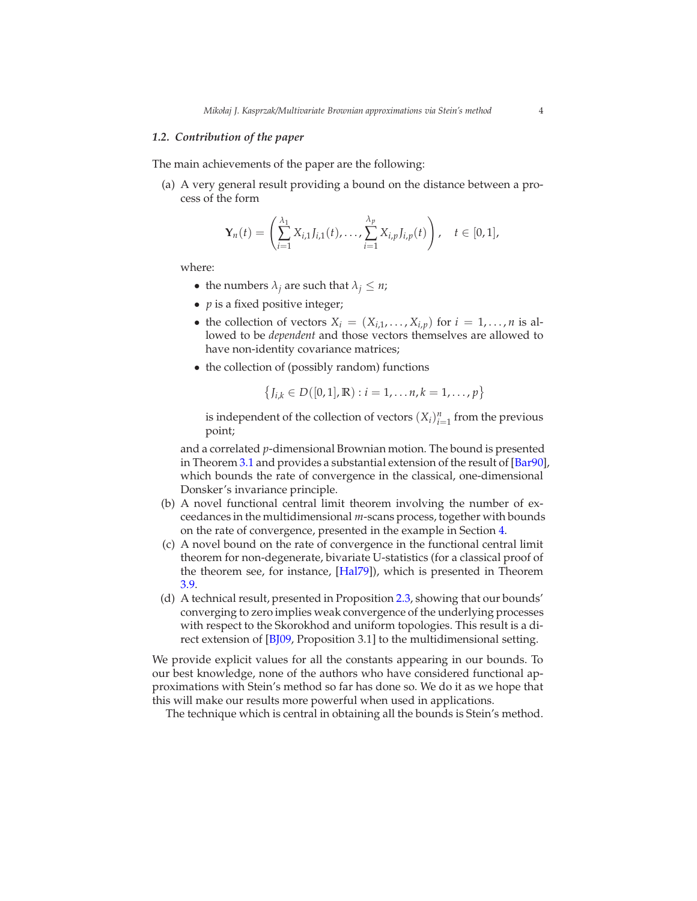#### *1.2. Contribution of the paper*

The main achievements of the paper are the following:

(a) A very general result providing a bound on the distance between a process of the form

$$
\mathbf{Y}_n(t) = \left( \sum_{i=1}^{\lambda_1} X_{i,1} J_{i,1}(t), \ldots, \sum_{i=1}^{\lambda_p} X_{i,p} J_{i,p}(t) \right), \quad t \in [0,1],
$$

where:

- the numbers  $\lambda_j$  are such that  $\lambda_j \leq n$ ;
- *p* is a fixed positive integer;
- the collection of vectors  $X_i = (X_{i,1}, \ldots, X_{i,p})$  for  $i = 1, \ldots, n$  is allowed to be *dependent* and those vectors themselves are allowed to have non-identity covariance matrices;
- the collection of (possibly random) functions

$$
\{J_{i,k} \in D([0,1],\mathbb{R}) : i = 1,\ldots,n, k = 1,\ldots,p\}
$$

is independent of the collection of vectors  $(X_i)_{i=1}^n$  from the previous point;

and a correlated *p*-dimensional Brownian motion. The bound is presented in Theorem [3.1](#page-7-0) and provides a substantial extension of the result of [\[Bar90](#page-43-0)], which bounds the rate of convergence in the classical, one-dimensional Donsker's invariance principle.

- (b) A novel functional central limit theorem involving the number of exceedances in the multidimensional *m*-scans process, together with bounds on the rate of convergence, presented in the example in Section [4.](#page-12-0)
- (c) A novel bound on the rate of convergence in the functional central limit theorem for non-degenerate, bivariate U-statistics (for a classical proof of the theorem see, for instance, [\[Hal79](#page-44-13)]), which is presented in Theorem [3.9.](#page-11-0)
- (d) A technical result, presented in Proposition [2.3,](#page-7-1) showing that our bounds' converging to zero implies weak convergence of the underlying processes with respect to the Skorokhod and uniform topologies. This result is a direct extension of [\[BJ09,](#page-43-1) Proposition 3.1] to the multidimensional setting.

We provide explicit values for all the constants appearing in our bounds. To our best knowledge, none of the authors who have considered functional approximations with Stein's method so far has done so. We do it as we hope that this will make our results more powerful when used in applications.

The technique which is central in obtaining all the bounds is Stein's method.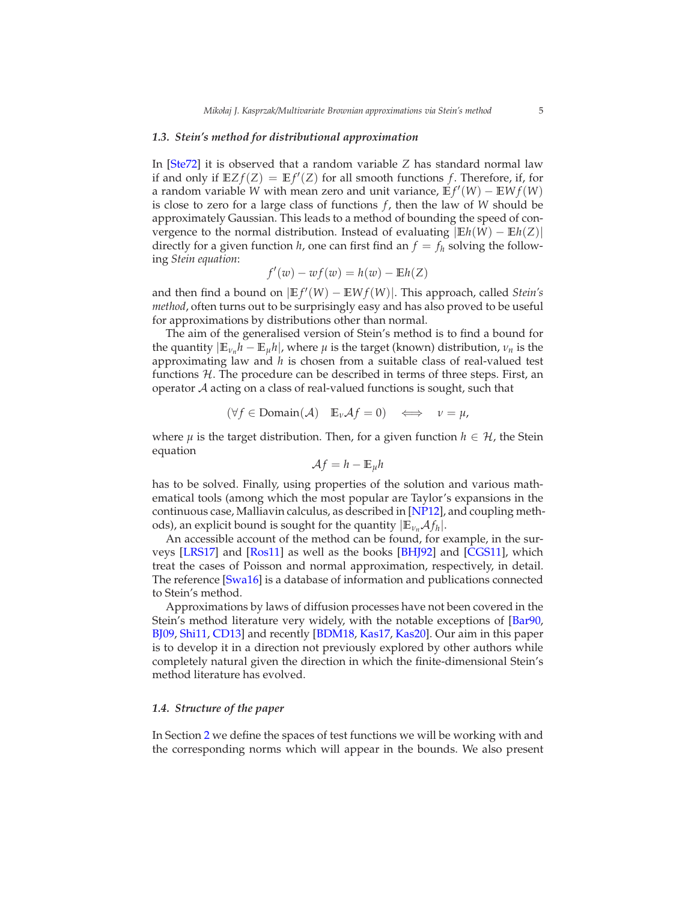#### *1.3. Stein's method for distributional approximation*

In [\[Ste72](#page-45-0)] it is observed that a random variable *Z* has standard normal law if and only if  $EZf(Z) = Ef'(Z)$  for all smooth functions f. Therefore, if, for a random variable *W* with mean zero and unit variance,  $E f'(W) - E W f(W)$ is close to zero for a large class of functions  $f$ , then the law of  $W$  should be approximately Gaussian. This leads to a method of bounding the speed of convergence to the normal distribution. Instead of evaluating <sup>|</sup>**E***h*(*W*) <sup>−</sup> **<sup>E</sup>***h*(*Z*)<sup>|</sup> directly for a given function *h*, one can first find an  $f = f_h$  solving the following *Stein equation*:

$$
f'(w) - wf(w) = h(w) - \mathbb{E}h(Z)
$$

and then find a bound on  $|E f'(W) - E W f(W)|$ . This approach, called *Stein's method*, often turns out to be surprisingly easy and has also proved to be useful for approximations by distributions other than normal.

The aim of the generalised version of Stein's method is to find a bound for the quantity  $|\mathbb{E}_{\nu_n} h - \mathbb{E}_{\mu} h|$ , where  $\mu$  is the target (known) distribution,  $\nu_n$  is the approximating law and *h* is chosen from a suitable class of real-valued test functions  $H$ . The procedure can be described in terms of three steps. First, an operator A acting on a class of real-valued functions is sought, such that

$$
(\forall f \in \text{Domain}(\mathcal{A}) \quad \mathbb{E}_{\nu} \mathcal{A}f = 0) \quad \Longleftrightarrow \quad \nu = \mu,
$$

where  $\mu$  is the target distribution. Then, for a given function  $h \in \mathcal{H}$ , the Stein equation

$$
\mathcal{A}f=h-\mathbb{E}_{\mu}h
$$

has to be solved. Finally, using properties of the solution and various mathematical tools (among which the most popular are Taylor's expansions in the continuous case, Malliavin calculus, as described in [\[NP12](#page-45-9)], and coupling methods), an explicit bound is sought for the quantity  $|\mathbb{E}_{\nu_n} \mathcal{A} f_h|$ .

An accessible account of the method can be found, for example, in the surveys [\[LRS17\]](#page-45-10) and [\[Ros11](#page-45-11)] as well as the books [\[BHJ92\]](#page-43-2) and [\[CGS11\]](#page-44-1), which treat the cases of Poisson and normal approximation, respectively, in detail. The reference [\[Swa16](#page-45-12)] is a database of information and publications connected to Stein's method.

Approximations by laws of diffusion processes have not been covered in the Stein's method literature very widely, with the notable exceptions of [\[Bar90,](#page-43-0) [BJ09](#page-43-1), [Shi11](#page-45-13), [CD13\]](#page-44-14) and recently [\[BDM18,](#page-43-3) [Kas17,](#page-44-15) [Kas20](#page-44-16)]. Our aim in this paper is to develop it in a direction not previously explored by other authors while completely natural given the direction in which the finite-dimensional Stein's method literature has evolved.

#### *1.4. Structure of the paper*

In Section [2](#page-5-0) we define the spaces of test functions we will be working with and the corresponding norms which will appear in the bounds. We also present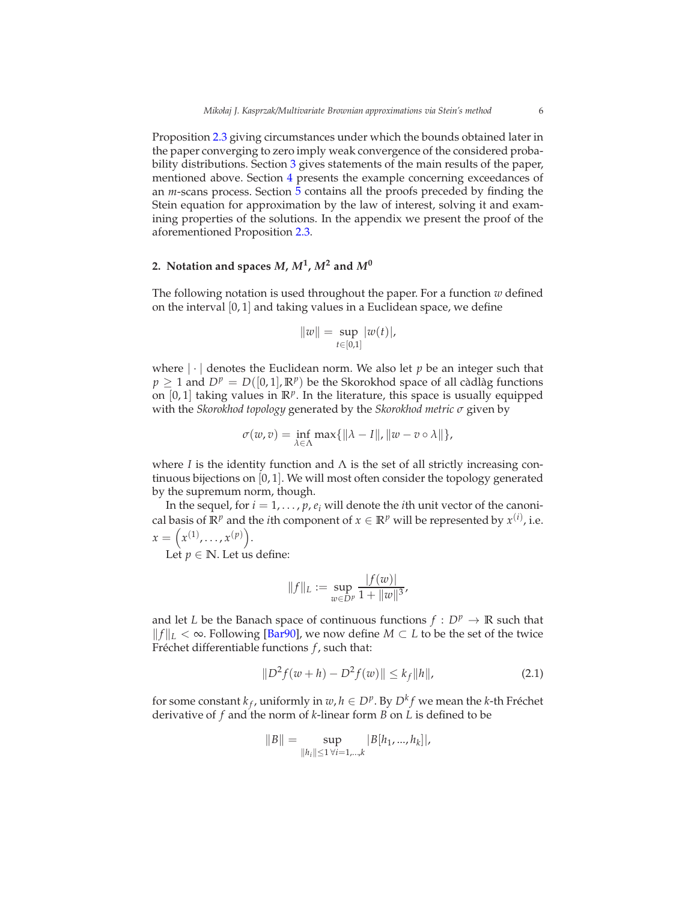Proposition [2.3](#page-7-1) giving circumstances under which the bounds obtained later in the paper converging to zero imply weak convergence of the considered probability distributions. Section [3](#page-7-2) gives statements of the main results of the paper, mentioned above. Section [4](#page-12-0) presents the example concerning exceedances of an *m*-scans process. Section [5](#page-14-0) contains all the proofs preceded by finding the Stein equation for approximation by the law of interest, solving it and examining properties of the solutions. In the appendix we present the proof of the aforementioned Proposition [2.3.](#page-7-1)

# <span id="page-5-0"></span>2. Notation and spaces  $M$ ,  $M^1$ ,  $M^2$  and  $M^0$

The following notation is used throughout the paper. For a function *w* defined on the interval [0, 1] and taking values in a Euclidean space, we define

$$
||w|| = \sup_{t \in [0,1]} |w(t)|,
$$

where  $|\cdot|$  denotes the Euclidean norm. We also let  $p$  be an integer such that  $p \ge 1$  and  $D^p = D([0, 1], \mathbb{R}^p)$  be the Skorokhod space of all cadlag functions on [0, 1] taking values in **R***<sup>p</sup>* . In the literature, this space is usually equipped with the *Skorokhod topology* generated by the *Skorokhod metric σ* given by

$$
\sigma(w,v)=\inf_{\lambda\in\Lambda}\max\{\|\lambda-I\|,\|w-v\circ\lambda\|\},
$$

where *I* is the identity function and  $\Lambda$  is the set of all strictly increasing continuous bijections on [0, 1]. We will most often consider the topology generated by the supremum norm, though.

In the sequel, for  $i = 1, \ldots, p, e_i$  will denote the *i*th unit vector of the canonical basis of  $\mathbb{R}^p$  and the *i*th component of  $x \in \mathbb{R}^p$  will be represented by  $x^{(i)}$ , i.e.  $x = (x^{(1)}, \ldots, x^{(p)}).$ 

Let  $p \in \mathbb{N}$ . Let us define:

$$
||f||_{L} := \sup_{w \in D^{p}} \frac{|f(w)|}{1 + ||w||^{3}},
$$

and let *L* be the Banach space of continuous functions  $f : D^p \to \mathbb{R}$  such that *||f||L* < ∞. Following [\[Bar90\]](#page-43-0), we now define *M* ⊂ *L* to be the set of the twice Fréchet differentiable functions *f*, such that:

$$
||D^2 f(w+h) - D^2 f(w)|| \le k_f ||h||,
$$
\n(2.1)

for some constant  $k_f$ , uniformly in  $w, h \in D^p$ . By  $D^k f$  we mean the *k*-th Fréchet derivative of *f* and the norm of *k*-linear form *B* on *L* is defined to be

$$
||B|| = \sup_{||h_i|| \le 1 \,\forall i=1,\dots,k} |B[h_1,...,h_k]|,
$$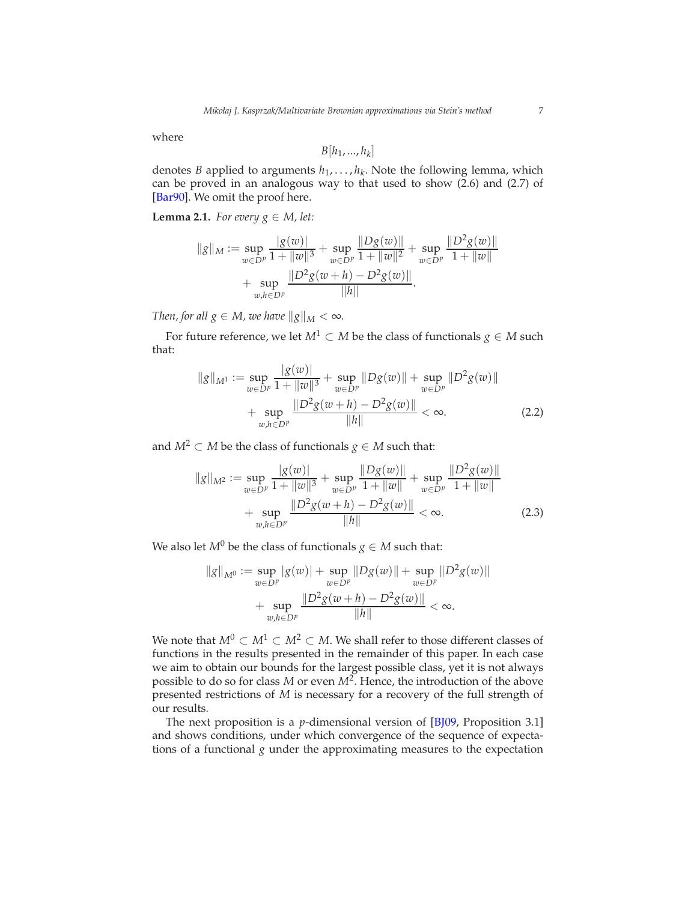where

<span id="page-6-0"></span>
$$
B[h_1, ..., h_k]
$$

denotes *B* applied to arguments  $h_1, \ldots, h_k$ . Note the following lemma, which can be proved in an analogous way to that used to show (2.6) and (2.7) of [\[Bar90](#page-43-0)]. We omit the proof here.

<span id="page-6-2"></span>**Lemma 2.1.** *For every*  $g \in M$ *, let:* 

$$
||g||_M := \sup_{w \in D^p} \frac{|g(w)|}{1 + ||w||^3} + \sup_{w \in D^p} \frac{||Dg(w)||}{1 + ||w||^2} + \sup_{w \in D^p} \frac{||D^2g(w)||}{1 + ||w||}
$$
  
+ 
$$
\sup_{w,h \in D^p} \frac{||D^2g(w+h) - D^2g(w)||}{||h||}.
$$

*Then, for all*  $g \in M$ *, we have*  $\|g\|_M < \infty$ *.* 

For future reference, we let  $M^1 \subset M$  be the class of functionals  $g \in M$  such that:

$$
||g||_{M^{1}} := \sup_{w \in D^{p}} \frac{|g(w)|}{1 + ||w||^{3}} + \sup_{w \in D^{p}} ||Dg(w)|| + \sup_{w \in D^{p}} ||D^{2}g(w)||
$$
  
+ 
$$
\sup_{w,h \in D^{p}} \frac{||D^{2}g(w+h) - D^{2}g(w)||}{||h||} < \infty.
$$
 (2.2)

and  $M^2 \subset M$  be the class of functionals  $g \in M$  such that:

$$
||g||_{M^{2}} := \sup_{w \in D^{p}} \frac{|g(w)|}{1 + ||w||^{3}} + \sup_{w \in D^{p}} \frac{||Dg(w)||}{1 + ||w||} + \sup_{w \in D^{p}} \frac{||D^{2}g(w)||}{1 + ||w||} + \sup_{w,h \in D^{p}} \frac{||D^{2}g(w+h) - D^{2}g(w)||}{||h||} < \infty.
$$
\n(2.3)

We also let  $M^0$  be the class of functionals  $g \in M$  such that:

<span id="page-6-1"></span>
$$
||g||_{M^{0}} := \sup_{w \in D^{p}} |g(w)| + \sup_{w \in D^{p}} ||Dg(w)|| + \sup_{w \in D^{p}} ||D^{2}g(w)||
$$
  
+ 
$$
\sup_{w,h \in D^{p}} \frac{||D^{2}g(w+h) - D^{2}g(w)||}{||h||} < \infty.
$$

We note that  $M^0 \subset M^1 \subset M^2 \subset M$ . We shall refer to those different classes of functions in the results presented in the remainder of this paper. In each case we aim to obtain our bounds for the largest possible class, yet it is not always possible to do so for class *M* or even *M*<sup>2</sup> . Hence, the introduction of the above presented restrictions of *M* is necessary for a recovery of the full strength of our results.

The next proposition is a *p*-dimensional version of [\[BJ09,](#page-43-1) Proposition 3.1] and shows conditions, under which convergence of the sequence of expectations of a functional *g* under the approximating measures to the expectation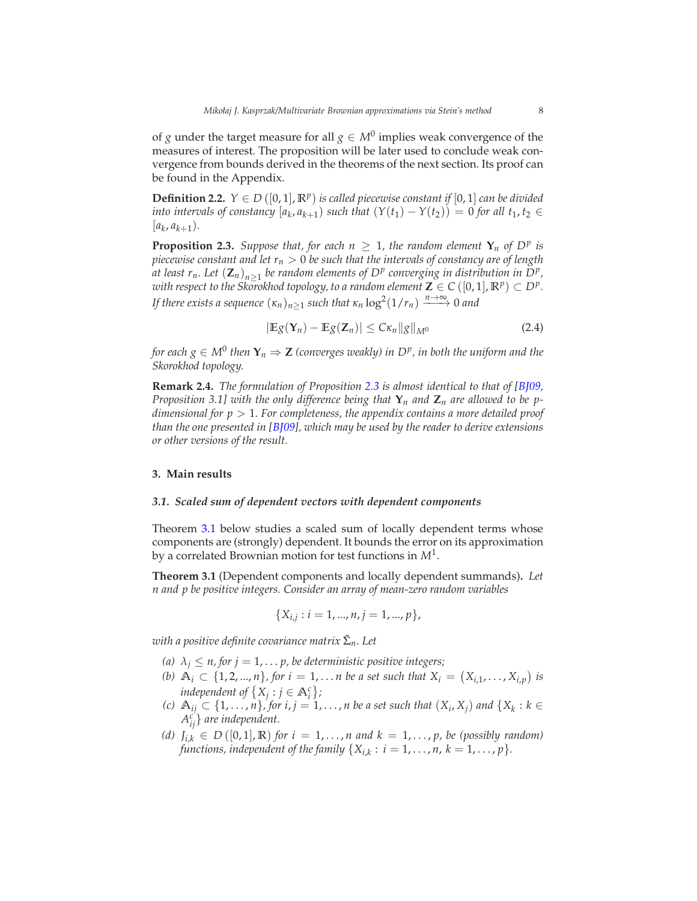of *g* under the target measure for all  $g \in M^0$  implies weak convergence of the measures of interest. The proposition will be later used to conclude weak convergence from bounds derived in the theorems of the next section. Its proof can be found in the Appendix.

**Definition 2.2.**  $Y \in D([0,1], \mathbb{R}^p)$  *is called piecewise constant if*  $[0,1]$  *can be divided into intervals of constancy*  $[a_k, a_{k+1})$  *such that*  $(Y(t_1) - Y(t_2)) = 0$  *for all*  $t_1, t_2 \in$  $[a_k, a_{k+1}).$ 

<span id="page-7-1"></span>**Proposition 2.3.** *Suppose that, for each*  $n \geq 1$ *, the random element*  $\mathbf{Y}_n$  *of*  $D^p$  *is piecewise constant and let r<sup>n</sup>* > 0 *be such that the intervals of constancy are of length at least r<sub>n</sub>. Let*  $(\mathbf{Z}_n)_{n\geq 1}$  *be random elements of D<sup><i>p*</sup> converging in distribution in D<sup>*p*</sup>,  $\overline{P}_n^p$ *with respect to the Skorokhod topology, to a random element*  $\mathbf{Z} \in C([0,1], \mathbb{R}^p) \subset D^p$ . *If there exists a sequence*  $(\kappa_n)_{n\geq 1}$  *such that*  $\kappa_n \log^2(1/r_n) \xrightarrow{n \to \infty} 0$  *and* 

<span id="page-7-3"></span>
$$
|\mathbb{E}g(\mathbf{Y}_n)-\mathbb{E}g(\mathbf{Z}_n)|\leq C\kappa_n||g||_{M^0}
$$
\n(2.4)

*for each*  $g \in M^0$  *then*  $\mathbf{Y}_n \Rightarrow \mathbf{Z}$  *(converges weakly) in*  $D^p$ *, in both the uniform and the Skorokhod topology.*

**Remark 2.4.** *The formulation of Proposition [2.3](#page-7-1) is almost identical to that of [\[BJ09,](#page-43-1) Proposition 3.1] with the only difference being that* **Y***n and* **Z***n are allowed to be pdimensional for p* > 1*. For completeness, the appendix contains a more detailed proof than the one presented in [\[BJ09](#page-43-1)], which may be used by the reader to derive extensions or other versions of the result.*

#### <span id="page-7-2"></span>**3. Main results**

#### *3.1. Scaled sum of dependent vectors with dependent components*

Theorem [3.1](#page-7-0) below studies a scaled sum of locally dependent terms whose components are (strongly) dependent. It bounds the error on its approximation by a correlated Brownian motion for test functions in *M*<sup>1</sup> .

<span id="page-7-0"></span>**Theorem 3.1** (Dependent components and locally dependent summands)**.** *Let n and p be positive integers. Consider an array of mean-zero random variables*

$$
\{X_{i,j}: i=1,...,n, j=1,...,p\},\
$$

*with a positive definite covariance matrix* Σ˜ *n. Let*

- *(a)*  $\lambda_j \leq n$ , for  $j = 1, \ldots, p$ , be deterministic positive integers;
- *(b)*  $\mathbb{A}_i \subset \{1, 2, ..., n\}$ , for  $i = 1, ...$  *n* be a set such that  $X_i = (X_{i,1}, ..., X_{i,p})$  is *independent of*  $\{X_j : j \in \mathbb{A}_i^c\}$ ;
- *(c)*  $\mathbb{A}_{ij}$  ⊂ {1, . . . , *n*}, *for i*, *j* = 1, . . . , *n* be a set such that  $(X_i, X_j)$  and  $\{X_k : k \in$ *A c ij*} *are independent.*
- *(d)*  $J_{i,k} \in D([0,1], \mathbb{R})$  *for*  $i = 1, ..., n$  *and*  $k = 1, ..., p$ *, be (possibly random) functions, independent of the family*  $\{X_{i,k}: i = 1, ..., n, k = 1, ..., p\}$ .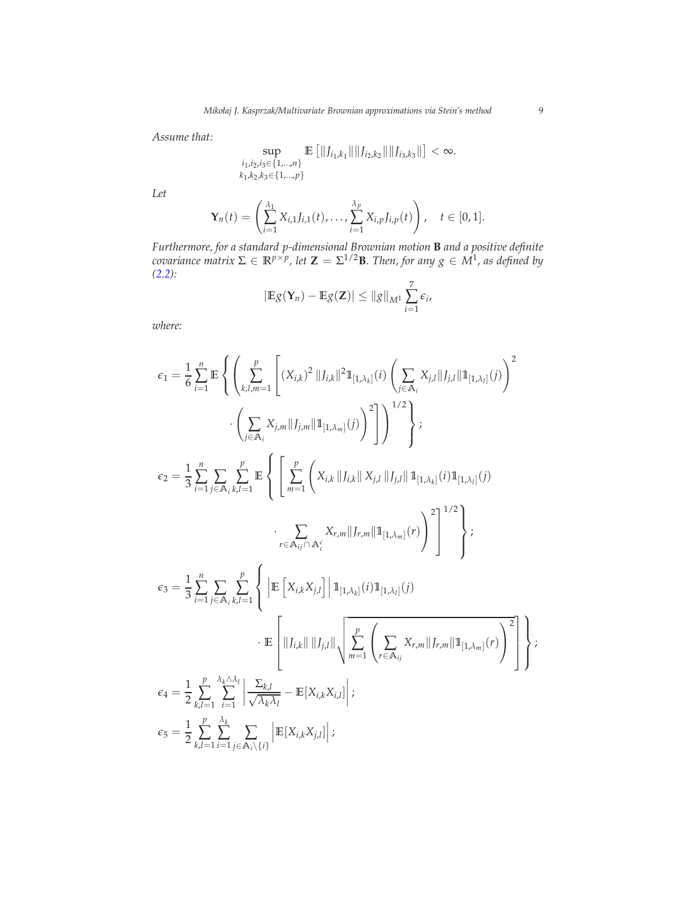*Assume that:*

$$
\sup_{\substack{i_1,i_2,i_3\in\{1,\ldots,n\}\\k_1,k_2,k_3\in\{1,\ldots,p\}}} \mathbb{E}\left[\|J_{i_1,k_1}\|\|J_{i_2,k_2}\|\|J_{i_3,k_3}\|\right] < \infty.
$$

*Let*

$$
\mathbf{Y}_n(t) = \left( \sum_{i=1}^{\lambda_1} X_{i,1} J_{i,1}(t), \ldots, \sum_{i=1}^{\lambda_p} X_{i,p} J_{i,p}(t) \right), \quad t \in [0,1].
$$

*Furthermore, for a standard p-dimensional Brownian motion* **B** *and a positive definite covariance matrix*  $\Sigma \in \mathbb{R}^{p \times p}$ , let  $\mathbb{Z} = \Sigma^{1/2}B$ *. Then, for any*  $g \in M^1$ *, as defined by [\(2.2\)](#page-6-0):* 7

$$
|\mathbb{E}g(\mathbf{Y}_n)-\mathbb{E}g(\mathbf{Z})|\leq ||g||_{M^1}\sum_{i=1}^7 \epsilon_i,
$$

*where:*

$$
\epsilon_{1} = \frac{1}{6} \sum_{i=1}^{n} \mathbb{E} \left\{ \left( \sum_{k,l,m=1}^{p} \left[ (X_{i,k})^{2} ||J_{i,k}||^{2} \mathbb{1}_{[1,\lambda_{k}]}(i) \left( \sum_{j \in A_{i}} X_{j,l} ||J_{j,l}|| \mathbb{1}_{[1,\lambda_{l}]}(j) \right)^{2} \right. \right. \\ \left. \left. \left( \sum_{j \in A_{i}} X_{j,m} ||J_{j,m}|| \mathbb{1}_{[1,\lambda_{m}]}(j) \right)^{2} \right] \right)^{1/2} \right\};
$$
  

$$
\epsilon_{2} = \frac{1}{3} \sum_{i=1}^{n} \sum_{j \in A_{i}} \sum_{k,l=1}^{p} \mathbb{E} \left\{ \left[ \sum_{m=1}^{p} \left( X_{i,k} ||J_{i,k}|| X_{j,l} ||J_{j,l}|| \mathbb{1}_{[1,\lambda_{k}]}(i) \mathbb{1}_{[1,\lambda_{l}]}(j) \right. \right. \\ \left. \left. \sum_{r \in A_{ij} \cap A_{i}^{c}} X_{r,m} ||J_{r,m}|| \mathbb{1}_{[1,\lambda_{m}]}(r) \right)^{2} \right]^{1/2} \right\};
$$
  

$$
\epsilon_{3} = \frac{1}{3} \sum_{i=1}^{n} \sum_{j \in A_{i}} \sum_{k,l=1}^{p} \left\{ \left| \mathbb{E} \left[ X_{i,k} X_{j,l} \right] \right| \mathbb{1}_{[1,\lambda_{k}]}(i) \mathbb{1}_{[1,\lambda_{l}]}(j) \right. \\ \left. \cdot \mathbb{E} \left[ ||J_{i,k}|| ||J_{j,l}|| \sqrt{\sum_{m=1}^{p} \left( \sum_{r \in A_{ij}} X_{r,m} ||J_{r,m}|| \mathbb{1}_{[1,\lambda_{m}]}(r) \right)^{2}} \right] \right\};
$$
  

$$
\epsilon_{4} = \frac{1}{2} \sum_{k,l=1}^{p} \sum_{i=1}^{\lambda_{k} \wedge \lambda_{l}} \left| \sum_{r \in A_{i}} \sum_{k,l} \right. - \mathbb{E}[X_{i,k} X_{i,l}] ;
$$
  

$$
\epsilon_{5} = \frac{1}{2
$$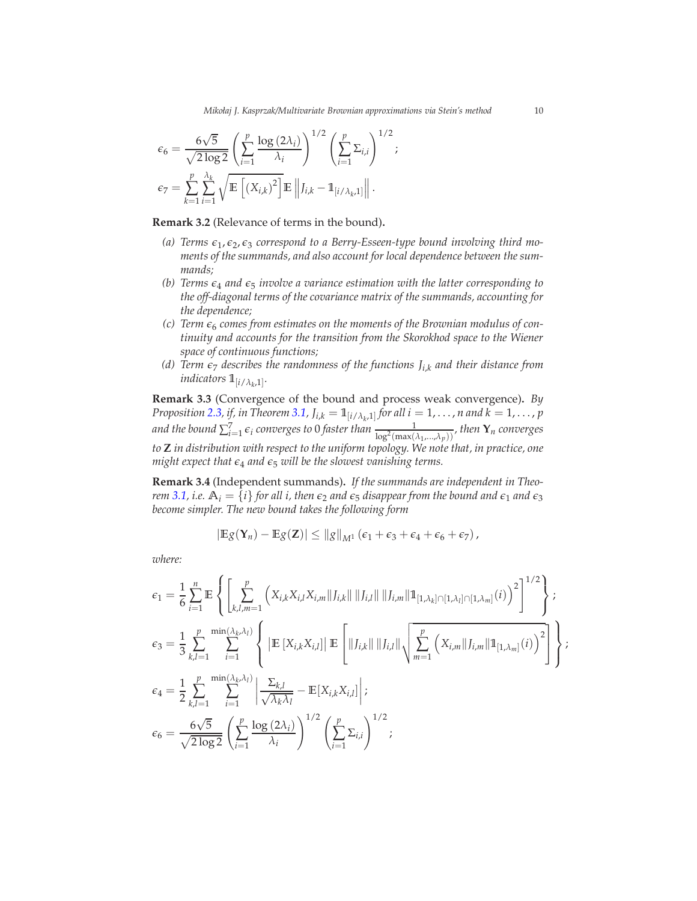$$
\epsilon_6 = \frac{6\sqrt{5}}{\sqrt{2\log 2}} \left( \sum_{i=1}^p \frac{\log(2\lambda_i)}{\lambda_i} \right)^{1/2} \left( \sum_{i=1}^p \Sigma_{i,i} \right)^{1/2};
$$

$$
\epsilon_7 = \sum_{k=1}^p \sum_{i=1}^{\lambda_k} \sqrt{\mathbb{E}\left[ \left( X_{i,k} \right)^2 \right]} \mathbb{E}\left\| J_{i,k} - \mathbb{1}_{\{i/\lambda_k,1\}} \right\|.
$$

**Remark 3.2** (Relevance of terms in the bound)**.**

- *(a) Terms ǫ*<sup>1</sup> , *ǫ*2, *ǫ*<sup>3</sup> *correspond to a Berry-Esseen-type bound involving third moments of the summands, and also account for local dependence between the summands;*
- *(b)* Terms  $\epsilon_4$  and  $\epsilon_5$  *involve a variance estimation with the latter corresponding to the off-diagonal terms of the covariance matrix of the summands, accounting for the dependence;*
- (c) Term  $\epsilon_6$  comes from estimates on the moments of the Brownian modulus of con*tinuity and accounts for the transition from the Skorokhod space to the Wiener space of continuous functions;*
- *(d)* Term  $\epsilon_7$  describes the randomness of the functions  $J_{i,k}$  and their distance from  $indicators \mathbb{1}_{[i/\lambda_k,1]}.$

**Remark 3.3** (Convergence of the bound and process weak convergence)**.** *By Proposition* [2.3,](#page-7-1) *if, in Theorem* [3.1,](#page-7-0)  $J_{i,k} = 1_{[i/\lambda_k,1]}$  *for all*  $i = 1, ..., n$  *and*  $k = 1, ..., p$ *and the bound*  $\sum_{i=1}^{7} \epsilon_i$  converges to 0 faster than  $\frac{1}{\log^2(\max(\lambda_1,...,\lambda_p))}$ , then  $\mathbf{Y}_n$  converges *to* **Z** *in distribution with respect to the uniform topology. We note that, in practice, one might expect that*  $\epsilon_4$  *and*  $\epsilon_5$  *will be the slowest vanishing terms.* 

**Remark 3.4** (Independent summands)**.** *If the summands are independent in Theorem* [3.1,](#page-7-0) *i.e.*  $A_i = \{i\}$  *for all i, then*  $\epsilon_2$  *and*  $\epsilon_5$  *disappear from the bound and*  $\epsilon_1$  *and*  $\epsilon_3$ *become simpler. The new bound takes the following form*

$$
|\mathbb{E} g(\mathbf{Y}_n)-\mathbb{E} g(\mathbf{Z})|\leq \|g\|_{M^1}(\epsilon_1+\epsilon_3+\epsilon_4+\epsilon_6+\epsilon_7),
$$

*where:*

$$
\epsilon_{1} = \frac{1}{6} \sum_{i=1}^{n} \mathbb{E} \left\{ \left[ \sum_{k,l,m=1}^{p} \left( X_{i,k} X_{i,l} X_{i,m} || J_{i,k} || || J_{i,l} || || J_{i,m} || \mathbb{1}_{[1,\lambda_{k}] \cap [1,\lambda_{l}] \cap [1,\lambda_{m}]}(i) \right)^{2} \right]^{1/2} \right\};
$$
  
\n
$$
\epsilon_{3} = \frac{1}{3} \sum_{k,l=1}^{p} \sum_{i=1}^{\min(\lambda_{k},\lambda_{l})} \left\{ \left| \mathbb{E} \left[ X_{i,k} X_{i,l} \right] \right| \mathbb{E} \left[ || J_{i,k} || || J_{i,l} || \sqrt{\sum_{m=1}^{p} \left( X_{i,m} || J_{i,m} || \mathbb{1}_{[1,\lambda_{m}]}(i) \right)^{2}} \right] \right\};
$$
  
\n
$$
\epsilon_{4} = \frac{1}{2} \sum_{k,l=1}^{p} \sum_{i=1}^{\min(\lambda_{k},\lambda_{l})} \left| \frac{\Sigma_{k,l}}{\sqrt{\lambda_{k}\lambda_{l}}} - \mathbb{E} \left[ X_{i,k} X_{i,l} \right] \right|;
$$
  
\n
$$
\epsilon_{6} = \frac{6\sqrt{5}}{\sqrt{2 \log 2}} \left( \sum_{i=1}^{p} \frac{\log(2\lambda_{i})}{\lambda_{i}} \right)^{1/2} \left( \sum_{i=1}^{p} \Sigma_{i,i} \right)^{1/2};
$$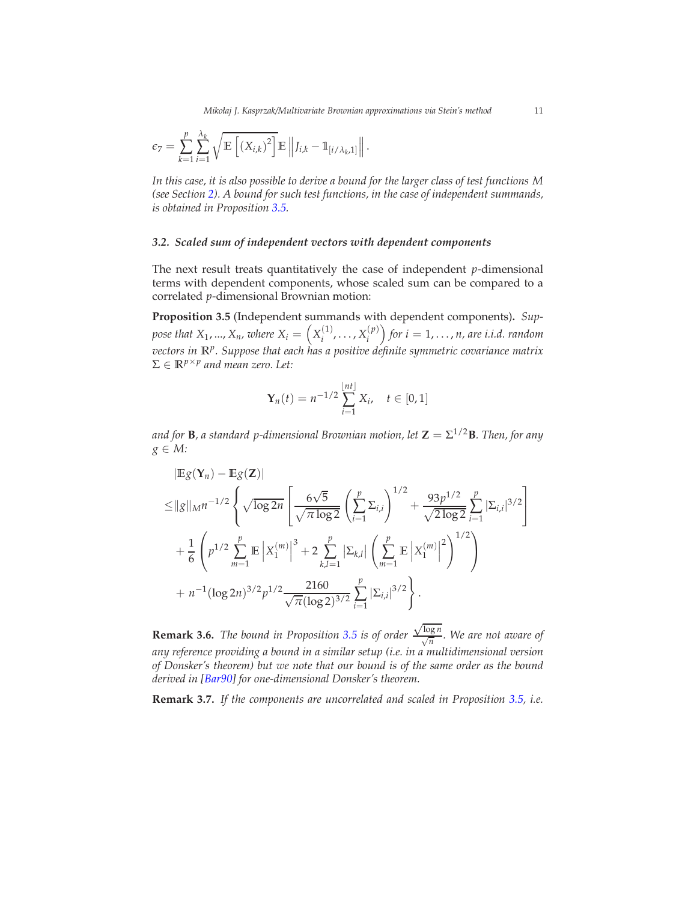$$
\epsilon_7 = \sum_{k=1}^p \sum_{i=1}^{\lambda_k} \sqrt{\mathbb{E}\left[\left(X_{i,k}\right)^2\right]} \mathbb{E}\left\|J_{i,k} - \mathbb{1}_{\left[i/\lambda_k,1\right]}\right\|.
$$

*In this case, it is also possible to derive a bound for the larger class of test functions M (see Section [2\)](#page-5-0). A bound for such test functions, in the case of independent summands, is obtained in Proposition [3.5.](#page-10-0)*

#### *3.2. Scaled sum of independent vectors with dependent components*

The next result treats quantitatively the case of independent *p*-dimensional terms with dependent components, whose scaled sum can be compared to a correlated *p*-dimensional Brownian motion:

<span id="page-10-0"></span>**Proposition 3.5** (Independent summands with dependent components)**.** *Sup*pose that  $X_1, ..., X_n$ , where  $X_i = \left(X_i^{(1)}\right)$  $X_i^{(1)}, \ldots, X_i^{(p)}$  $\binom{(p)}{i}$  for  $i=1,\ldots,n$ , are i.i.d. random *vectors in* **R***<sup>p</sup> . Suppose that each has a positive definite symmetric covariance matrix*  $\Sigma \in \mathbb{R}^{p \times p}$  and mean zero. Let:

$$
\mathbf{Y}_n(t) = n^{-1/2} \sum_{i=1}^{\lfloor nt \rfloor} X_i, \quad t \in [0,1]
$$

*and for* **B***, a standard p-dimensional Brownian motion, let* **Z** = Σ 1/2**B***. Then, for any g* ∈ *M:*

$$
|\mathbb{E}g(\mathbf{Y}_n) - \mathbb{E}g(\mathbf{Z})|
$$
  
\n
$$
\leq ||g||_{M}n^{-1/2} \left\{ \sqrt{\log 2n} \left[ \frac{6\sqrt{5}}{\sqrt{\pi \log 2}} \left( \sum_{i=1}^{p} \Sigma_{i,i} \right)^{1/2} + \frac{93p^{1/2}}{\sqrt{2 \log 2}} \sum_{i=1}^{p} |\Sigma_{i,i}|^{3/2} \right] \right\}
$$
  
\n
$$
+ \frac{1}{6} \left( p^{1/2} \sum_{m=1}^{p} \mathbb{E} |X_1^{(m)}|^3 + 2 \sum_{k,l=1}^{p} |\Sigma_{k,l}| \left( \sum_{m=1}^{p} \mathbb{E} |X_1^{(m)}|^2 \right)^{1/2} \right)
$$
  
\n
$$
+ n^{-1} (\log 2n)^{3/2} p^{1/2} \frac{2160}{\sqrt{\pi} (\log 2)^{3/2}} \sum_{i=1}^{p} |\Sigma_{i,i}|^{3/2} \right\}.
$$

**Remark 3.6.** *The bound in Proposition [3.5](#page-10-0) is of order*  $\frac{\sqrt{\log n}}{\sqrt{n}}$ . We are not aware of *any reference providing a bound in a similar setup (i.e. in a multidimensional version of Donsker's theorem) but we note that our bound is of the same order as the bound derived in [\[Bar90](#page-43-0)] for one-dimensional Donsker's theorem.*

**Remark 3.7.** *If the components are uncorrelated and scaled in Proposition [3.5,](#page-10-0) i.e.*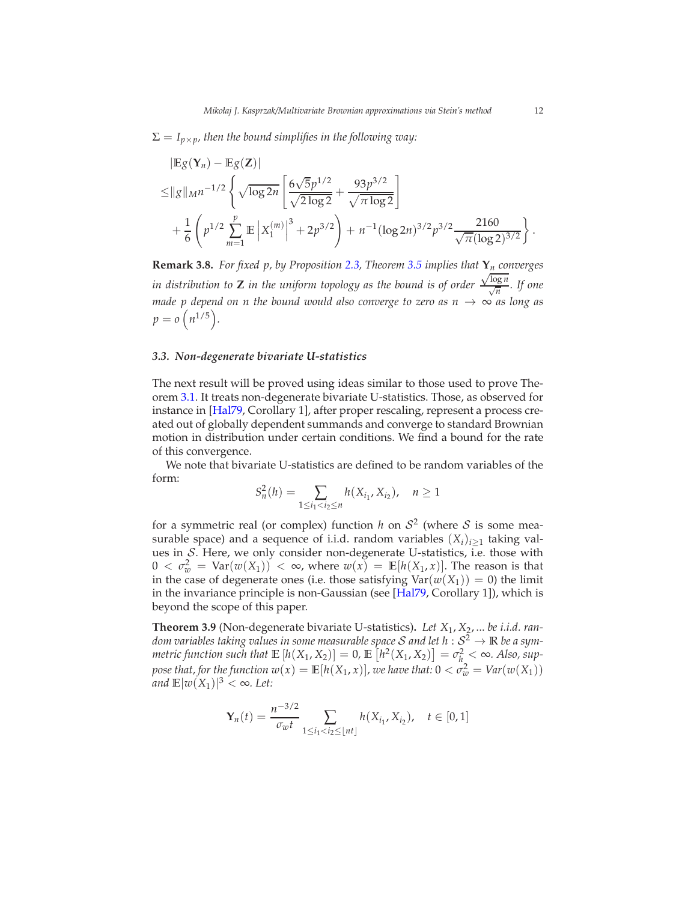$\Sigma = I_{p \times p}$ *, then the bound simplifies in the following way:* 

$$
|\mathbb{E}g(\mathbf{Y}_n) - \mathbb{E}g(\mathbf{Z})|
$$
  
\n
$$
\leq ||g||_{M}n^{-1/2} \left\{ \sqrt{\log 2n} \left[ \frac{6\sqrt{5}p^{1/2}}{\sqrt{2\log 2}} + \frac{93p^{3/2}}{\sqrt{\pi \log 2}} \right] + \frac{1}{6} \left( p^{1/2} \sum_{m=1}^{p} \mathbb{E} \left| X_1^{(m)} \right|^3 + 2p^{3/2} \right) + n^{-1} (\log 2n)^{3/2} p^{3/2} \frac{2160}{\sqrt{\pi} (\log 2)^{3/2}} \right\}.
$$

**Remark 3.8.** *For fixed p, by Proposition [2.3,](#page-7-1) Theorem [3.5](#page-10-0) implies that* **Y***n converges in distribution to* **Z** *in the uniform topology as the bound is of order*  $\frac{\sqrt{\log n}}{\sqrt{n}}$ *.* If one *made p depend on n the bound would also converge to zero as n*  $\rightarrow \infty$  *as long as*  $p = o(n^{1/5}).$ 

#### *3.3. Non-degenerate bivariate U-statistics*

The next result will be proved using ideas similar to those used to prove Theorem [3.1.](#page-7-0) It treats non-degenerate bivariate U-statistics. Those, as observed for instance in [\[Hal79](#page-44-13), Corollary 1], after proper rescaling, represent a process created out of globally dependent summands and converge to standard Brownian motion in distribution under certain conditions. We find a bound for the rate of this convergence.

We note that bivariate U-statistics are defined to be random variables of the form:

$$
S_n^2(h) = \sum_{1 \le i_1 < i_2 \le n} h(X_{i_1}, X_{i_2}), \quad n \ge 1
$$

for a symmetric real (or complex) function *h* on  $S^2$  (where S is some measurable space) and a sequence of i.i.d. random variables  $(X_i)_{i\geq 1}$  taking values in  $S$ . Here, we only consider non-degenerate U-statistics, i.e. those with  $0 < \sigma_w^2 = \text{Var}(w(X_1)) < \infty$ , where  $w(x) = \mathbb{E}[h(X_1,x)]$ . The reason is that in the case of degenerate ones (i.e. those satisfying  $Var(w(X_1)) = 0$ ) the limit in the invariance principle is non-Gaussian (see [\[Hal79,](#page-44-13) Corollary 1]), which is beyond the scope of this paper.

<span id="page-11-0"></span>**Theorem 3.9** (Non-degenerate bivariate U-statistics)**.** *Let X*1, *X*2, ... *be i.i.d. random variables taking values in some measurable space*  $S$  *and let*  $h: S^2 \to \mathbb{R}$  *be a symmetric function such that*  $\mathbb{E} [h(X_1, X_2)] = 0$ ,  $\mathbb{E} [h^2(X_1, X_2)] = \sigma_h^2 < \infty$ . Also, sup*pose that, for the function*  $w(x) = \mathbb{E}[h(X_1, x)]$ *, we have that:*  $0 < \sigma_w^2 = \text{Var}(w(X_1))$ *and*  $\mathbb{E}|w(X_1)|^3 < \infty$ *. Let:* 

$$
\mathbf{Y}_n(t) = \frac{n^{-3/2}}{\sigma_{w}t} \sum_{1 \le i_1 < i_2 \le \lfloor nt \rfloor} h(X_{i_1}, X_{i_2}), \quad t \in [0, 1]
$$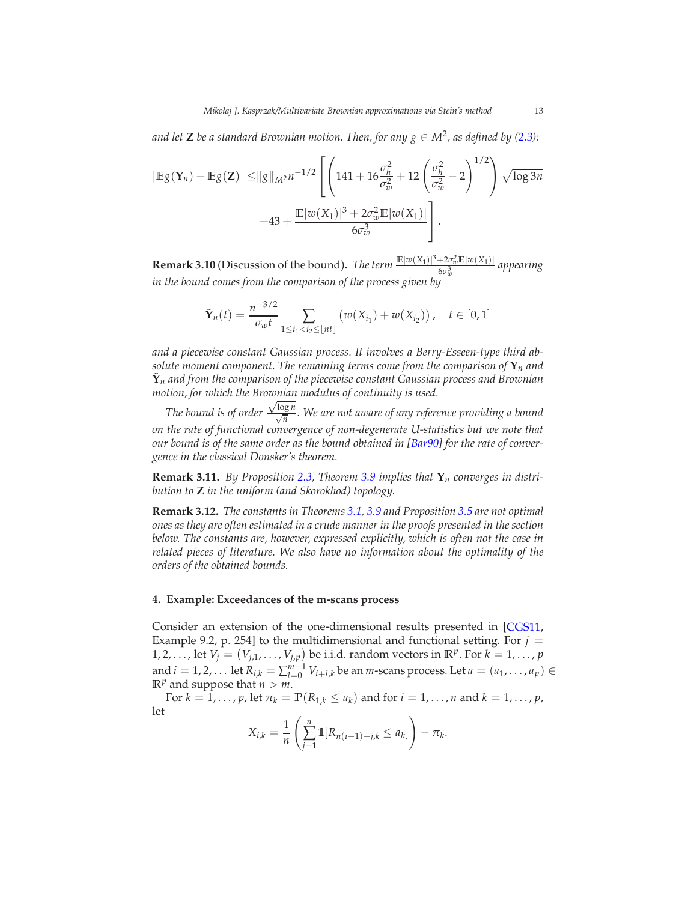and let  $\mathbf{Z}$  be a standard Brownian motion. Then, for any  $g \in M^2$ , as defined by [\(2.3\)](#page-6-1):

$$
|\mathbb{E}g(\mathbf{Y}_n) - \mathbb{E}g(\mathbf{Z})| \le ||g||_{M^2} n^{-1/2} \left[ \left( 141 + 16 \frac{\sigma_h^2}{\sigma_w^2} + 12 \left( \frac{\sigma_h^2}{\sigma_w^2} - 2 \right)^{1/2} \right) \sqrt{\log 3n} + 43 + \frac{\mathbb{E}|w(X_1)|^3 + 2\sigma_w^2 \mathbb{E}|w(X_1)|}{6\sigma_w^3} \right].
$$

**Remark 3.10** (Discussion of the bound). *The term*  $\frac{\mathbb{E}|w(X_1)|^3 + 2\sigma_w^2 \mathbb{E}|w(X_1)|}{6\sigma_w^3}$  appearing *in the bound comes from the comparison of the process given by*

$$
\tilde{\mathbf{Y}}_n(t) = \frac{n^{-3/2}}{\sigma_w t} \sum_{1 \le i_1 < i_2 \le \lfloor nt \rfloor} \left( w(X_{i_1}) + w(X_{i_2}) \right), \quad t \in [0, 1]
$$

*and a piecewise constant Gaussian process. It involves a Berry-Esseen-type third absolute moment component. The remaining terms come from the comparison of*  $\mathbf{Y}_n$  *and*  $\tilde{\mathbf{Y}}_n$  and from the comparison of the piecewise constant Gaussian process and Brownian *motion, for which the Brownian modulus of continuity is used.*

*The bound is of order*  $\frac{\sqrt{\log n}}{\sqrt{n}}$ . We are not aware of any reference providing a bound *on the rate of functional convergence of non-degenerate U-statistics but we note that our bound is of the same order as the bound obtained in [\[Bar90\]](#page-43-0) for the rate of convergence in the classical Donsker's theorem.*

**Remark 3.11.** *By Proposition [2.3,](#page-7-1) Theorem [3.9](#page-11-0) implies that* **Y***n converges in distribution to* **Z** *in the uniform (and Skorokhod) topology.*

**Remark 3.12.** *The constants in Theorems [3.1,](#page-7-0) [3.9](#page-11-0) and Proposition [3.5](#page-10-0) are not optimal ones as they are often estimated in a crude manner in the proofs presented in the section below. The constants are, however, expressed explicitly, which is often not the case in related pieces of literature. We also have no information about the optimality of the orders of the obtained bounds.*

#### <span id="page-12-0"></span>**4. Example: Exceedances of the m-scans process**

Consider an extension of the one-dimensional results presented in [\[CGS11,](#page-44-1) Example 9.2, p. 254] to the multidimensional and functional setting. For  $j =$ 1, 2, . . . . , let  $V_j = (V_{j,1}, \ldots, V_{j,p})$  be i.i.d. random vectors in  $\mathbb{R}^p$ . For  $k = 1, \ldots, p$ and *i* = 1, 2, . . . let  $R_{i,k} = \sum_{l=0}^{m-1} V_{i+l,k}$  be an *m*-scans process. Let *a* = (*a*<sub>1</sub>, . . . , *a*<sub>*p*</sub>) ∈  $\mathbb{R}^p$  and suppose that  $n > m$ .

For  $k = 1, \ldots, p$ , let  $\pi_k = \mathbb{P}(R_{1,k} \le a_k)$  and for  $i = 1, \ldots, n$  and  $k = 1, \ldots, p$ , let

$$
X_{i,k} = \frac{1}{n} \left( \sum_{j=1}^{n} \mathbb{1}[R_{n(i-1)+j,k} \leq a_k] \right) - \pi_k.
$$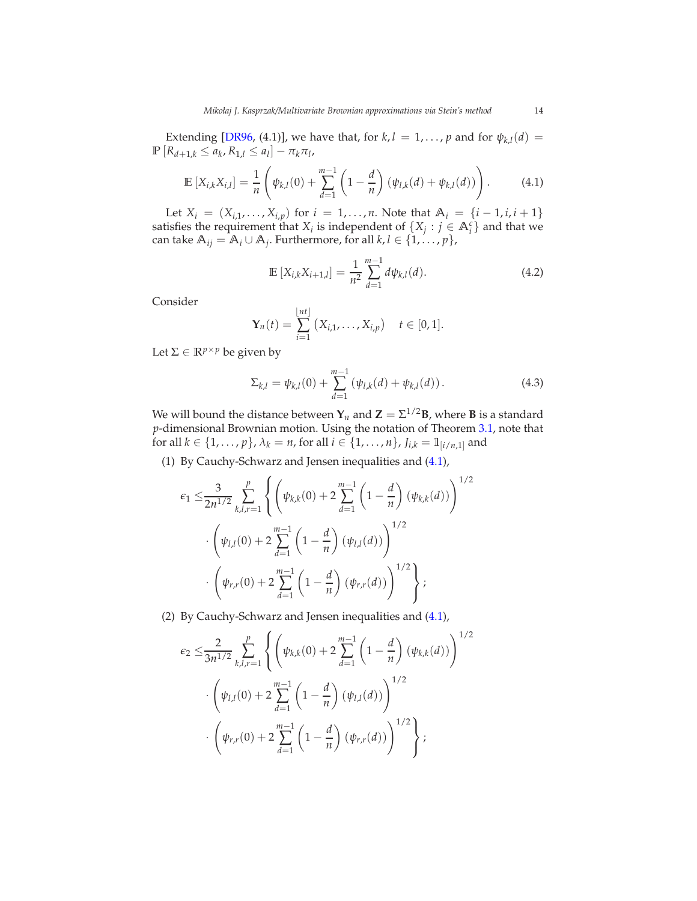Extending [\[DR96](#page-44-4), (4.1)], we have that, for  $k, l = 1, ..., p$  and for  $\psi_{k,l}(d) =$  $\mathbb{P} \left[ R_{d+1,k} \leq a_k, R_{1,l} \leq a_l \right] - \pi_k \pi_l,$ 

<span id="page-13-0"></span>
$$
\mathbb{E}\left[X_{i,k}X_{i,l}\right] = \frac{1}{n}\left(\psi_{k,l}(0) + \sum_{d=1}^{m-1} \left(1 - \frac{d}{n}\right)(\psi_{l,k}(d) + \psi_{k,l}(d))\right). \tag{4.1}
$$

Let  $X_i = (X_{i,1}, \ldots, X_{i,p})$  for  $i = 1, \ldots, n$ . Note that  $A_i = \{i - 1, i, i + 1\}$ satisfies the requirement that *X<sub>i</sub>* is independent of  $\{X_j : j \in \mathbb{A}_i^c\}$  and that we  $\text{can take } \mathbb{A}_{ij} = \mathbb{A}_i \cup \mathbb{A}_j.$  Furthermore, for all  $k, l \in \{1, \ldots, p\},$ 

<span id="page-13-2"></span>
$$
\mathbb{E}\left[X_{i,k}X_{i+1,l}\right] = \frac{1}{n^2} \sum_{d=1}^{m-1} d\psi_{k,l}(d). \tag{4.2}
$$

Consider

$$
\mathbf{Y}_n(t) = \sum_{i=1}^{\lfloor nt \rfloor} (X_{i,1}, \ldots, X_{i,p}) \quad t \in [0,1].
$$

Let  $\Sigma \in \mathbb{R}^{p \times p}$  be given by

<span id="page-13-1"></span>
$$
\Sigma_{k,l} = \psi_{k,l}(0) + \sum_{d=1}^{m-1} (\psi_{l,k}(d) + \psi_{k,l}(d)).
$$
\n(4.3)

We will bound the distance between  $Y_n$  and  $Z = \Sigma^{1/2}B$ , where **B** is a standard *p*-dimensional Brownian motion. Using the notation of Theorem [3.1,](#page-7-0) note that for all  $k \in \{1, ..., p\}$ ,  $\lambda_k = n$ , for all  $i \in \{1, ..., n\}$ ,  $J_{i,k} = 1$ <sub>[ $i/n,1$ ]</sub> and

(1) By Cauchy-Schwarz and Jensen inequalities and [\(4.1\)](#page-13-0),

$$
\epsilon_1 \leq \frac{3}{2n^{1/2}} \sum_{k,l,r=1}^p \left\{ \left( \psi_{k,k}(0) + 2 \sum_{d=1}^{m-1} \left( 1 - \frac{d}{n} \right) (\psi_{k,k}(d)) \right)^{1/2} \right. \\ \left. \cdot \left( \psi_{l,l}(0) + 2 \sum_{d=1}^{m-1} \left( 1 - \frac{d}{n} \right) (\psi_{l,l}(d)) \right)^{1/2} \right\} \\ \cdot \left( \psi_{r,r}(0) + 2 \sum_{d=1}^{m-1} \left( 1 - \frac{d}{n} \right) (\psi_{r,r}(d)) \right)^{1/2} \right\} ;
$$

(2) By Cauchy-Schwarz and Jensen inequalities and [\(4.1\)](#page-13-0),

$$
\epsilon_2 \leq \frac{2}{3n^{1/2}} \sum_{k,l,r=1}^p \left\{ \left( \psi_{k,k}(0) + 2 \sum_{d=1}^{m-1} \left( 1 - \frac{d}{n} \right) (\psi_{k,k}(d)) \right)^{1/2} \right\} \cdot \left( \psi_{l,l}(0) + 2 \sum_{d=1}^{m-1} \left( 1 - \frac{d}{n} \right) (\psi_{l,l}(d)) \right)^{1/2} \cdot \left( \psi_{r,r}(0) + 2 \sum_{d=1}^{m-1} \left( 1 - \frac{d}{n} \right) (\psi_{r,r}(d)) \right)^{1/2} \right\};
$$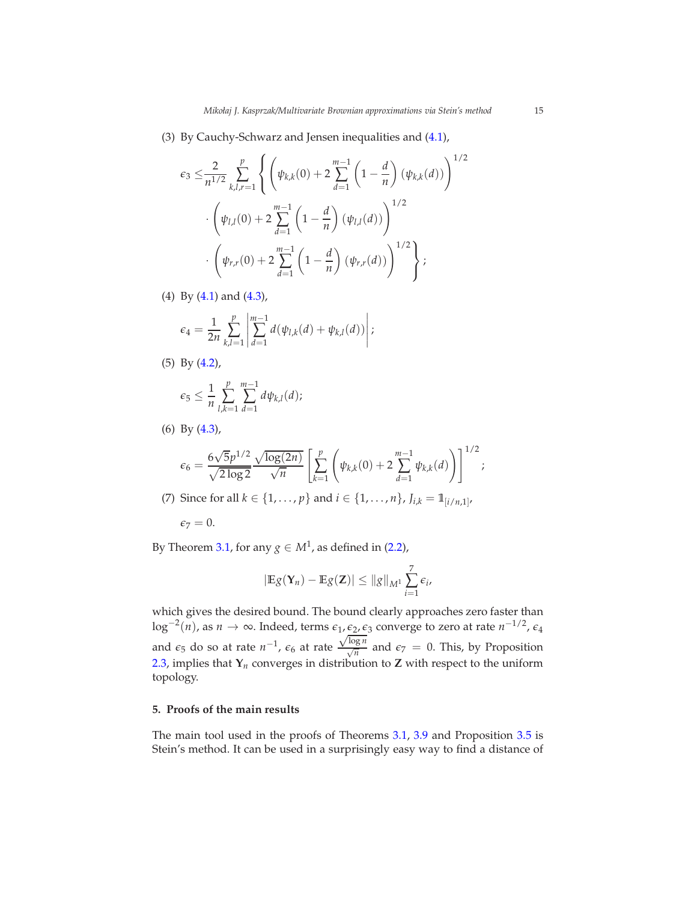(3) By Cauchy-Schwarz and Jensen inequalities and [\(4.1\)](#page-13-0),

$$
\epsilon_3 \leq \frac{2}{n^{1/2}} \sum_{k,l,r=1}^p \left\{ \left( \psi_{k,k}(0) + 2 \sum_{d=1}^{m-1} \left( 1 - \frac{d}{n} \right) (\psi_{k,k}(d)) \right)^{1/2} \right\} \cdot \left( \psi_{l,l}(0) + 2 \sum_{d=1}^{m-1} \left( 1 - \frac{d}{n} \right) (\psi_{l,l}(d)) \right)^{1/2} \cdot \left( \psi_{r,r}(0) + 2 \sum_{d=1}^{m-1} \left( 1 - \frac{d}{n} \right) (\psi_{r,r}(d)) \right)^{1/2} \right\};
$$

(4) By [\(4.1\)](#page-13-0) and [\(4.3\)](#page-13-1),

$$
\epsilon_4 = \frac{1}{2n} \sum_{k,l=1}^p \left| \sum_{d=1}^{m-1} d(\psi_{l,k}(d) + \psi_{k,l}(d)) \right|;
$$

(5) By [\(4.2\)](#page-13-2),

$$
\epsilon_5 \leq \frac{1}{n} \sum_{l,k=1}^p \sum_{d=1}^{m-1} d\psi_{k,l}(d);
$$

(6) By [\(4.3\)](#page-13-1),

$$
\epsilon_6 = \frac{6\sqrt{5}p^{1/2}}{\sqrt{2\log 2}} \frac{\sqrt{\log(2n)}}{\sqrt{n}} \left[ \sum_{k=1}^p \left( \psi_{k,k}(0) + 2 \sum_{d=1}^{m-1} \psi_{k,k}(d) \right) \right]^{1/2};
$$

(7) Since for all  $k \in \{1, ..., p\}$  and  $i \in \{1, ..., n\}$ ,  $J_{i,k} = 1$ <sub>[*i*/*n*,1]</sub>,

$$
\epsilon_7=0.
$$

By Theorem [3.1,](#page-7-0) for any  $g \in M^1$ , as defined in [\(2.2\)](#page-6-0),

$$
|\mathbb{E}g(\mathbf{Y}_n)-\mathbb{E}g(\mathbf{Z})|\leq ||g||_{M^1}\sum_{i=1}^7 \epsilon_i,
$$

which gives the desired bound. The bound clearly approaches zero faster than log<sup>-2</sup>(*n*), as *n* → ∞. Indeed, terms  $\epsilon_1$ ,  $\underline{\epsilon_2}$ ,  $\epsilon_3$  converge to zero at rate *n*<sup>-1/2</sup>,  $\epsilon_4$ and  $\epsilon_5$  do so at rate  $n^{-1}$ ,  $\epsilon_6$  at rate  $\frac{\sqrt{\log n}}{\sqrt{n}}$  and  $\epsilon_7 = 0$ . This, by Proposition [2.3,](#page-7-1) implies that **Y***n* converges in distribution to **Z** with respect to the uniform topology.

# <span id="page-14-0"></span>**5. Proofs of the main results**

The main tool used in the proofs of Theorems [3.1,](#page-7-0) [3.9](#page-11-0) and Proposition [3.5](#page-10-0) is Stein's method. It can be used in a surprisingly easy way to find a distance of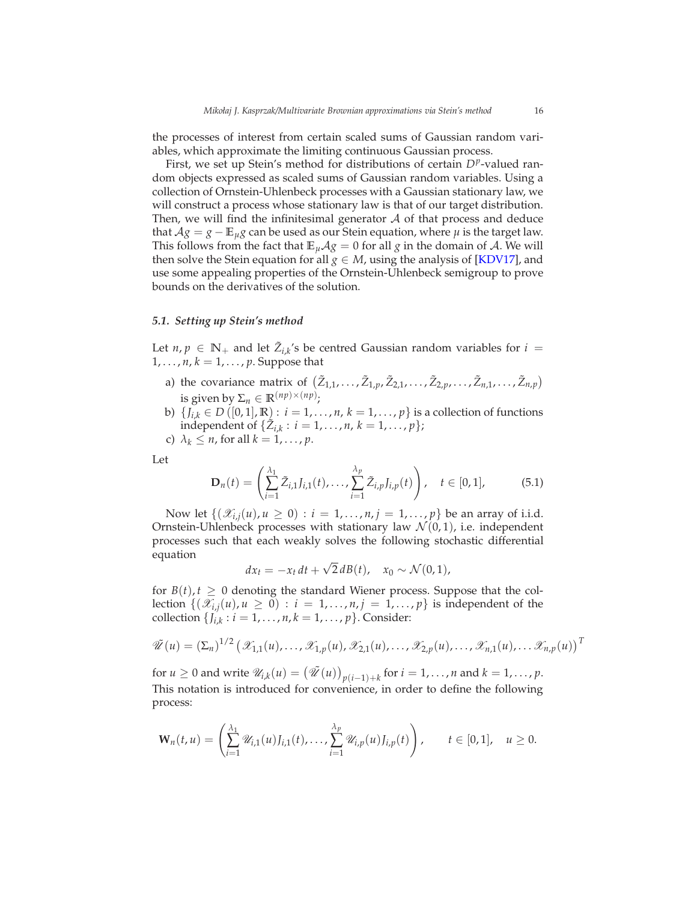the processes of interest from certain scaled sums of Gaussian random variables, which approximate the limiting continuous Gaussian process.

First, we set up Stein's method for distributions of certain  $D^p$ -valued random objects expressed as scaled sums of Gaussian random variables. Using a collection of Ornstein-Uhlenbeck processes with a Gaussian stationary law, we will construct a process whose stationary law is that of our target distribution. Then, we will find the infinitesimal generator  $A$  of that process and deduce that  $A$ *g* = *g* −  $\mathbb{E}_{\mu}$ *g* can be used as our Stein equation, where  $\mu$  is the target law. This follows from the fact that  $\mathbb{E}_{\mu} A g = 0$  for all *g* in the domain of A. We will then solve the Stein equation for all  $g \in M$ , using the analysis of [\[KDV17\]](#page-45-14), and use some appealing properties of the Ornstein-Uhlenbeck semigroup to prove bounds on the derivatives of the solution.

#### *5.1. Setting up Stein's method*

Let  $n, p \in \mathbb{N}_+$  and let  $\tilde{Z}_{i,k}$ 's be centred Gaussian random variables for  $i =$  $1, \ldots, n, k = 1, \ldots, p$ . Suppose that

- a) the covariance matrix of  $(\tilde{Z}_{1,1}, \ldots, \tilde{Z}_{1,p}, \tilde{Z}_{2,1}, \ldots, \tilde{Z}_{2,p}, \ldots, \tilde{Z}_{n,1}, \ldots, \tilde{Z}_{n,p})$ is given by  $\Sigma_n \in \mathbb{R}^{(np)\times(np)}$ ;
- b) {*J*<sub>*i*,*k*</sub>  $\in$  *D* ([0, 1], **R**) : *i* = 1, . . . , *n*, *k* = 1, . . . , *p*} is a collection of functions  $\text{independent of } \{ \tilde{Z}_{i,k} : i = 1, ..., n, k = 1, ..., p \};$
- c)  $\lambda_k \leq n$ , for all  $k = 1, \ldots, p$ .

Let

<span id="page-15-0"></span>
$$
\mathbf{D}_n(t) = \left(\sum_{i=1}^{\lambda_1} \tilde{Z}_{i,1} J_{i,1}(t), \dots, \sum_{i=1}^{\lambda_p} \tilde{Z}_{i,p} J_{i,p}(t)\right), \quad t \in [0,1], \tag{5.1}
$$

Now let  $\{(\mathscr{X}_{i,j}(u), u \geq 0) : i = 1, ..., n, j = 1, ..., p\}$  be an array of i.i.d. Ornstein-Uhlenbeck processes with stationary law  $\mathcal{N}(0,1)$ , i.e. independent processes such that each weakly solves the following stochastic differential equation

$$
dx_t = -x_t dt + \sqrt{2} dB(t), \quad x_0 \sim \mathcal{N}(0, 1),
$$

for  $B(t)$ ,  $t \geq 0$  denoting the standard Wiener process. Suppose that the collection  $\{(\mathscr{X}_{i,j}(u), u \ge 0) : i = 1, \ldots, n, j = 1, \ldots, p\}$  is independent of the  $\text{collection } \{J_{i,k} : i = 1, \ldots, n, k = 1, \ldots, p\}.$  Consider:

$$
\tilde{\mathscr{U}}(u) = \left(\Sigma_n\right)^{1/2} \left(\mathscr{X}_{1,1}(u),\ldots,\mathscr{X}_{1,p}(u),\mathscr{X}_{2,1}(u),\ldots,\mathscr{X}_{2,p}(u),\ldots,\mathscr{X}_{n,1}(u),\ldots,\mathscr{X}_{n,p}(u)\right)^T
$$

for  $u \ge 0$  and write  $\mathcal{U}_{i,k}(u) = (\mathcal{U}(u))_{p(i-1)+k}$  for  $i = 1, ..., n$  and  $k = 1, ..., p$ . This notation is introduced for convenience, in order to define the following process:

$$
\mathbf{W}_{n}(t, u) = \left(\sum_{i=1}^{\lambda_{1}} \mathscr{U}_{i, 1}(u) J_{i, 1}(t), \ldots, \sum_{i=1}^{\lambda_{p}} \mathscr{U}_{i, p}(u) J_{i, p}(t)\right), \qquad t \in [0, 1], \quad u \geq 0.
$$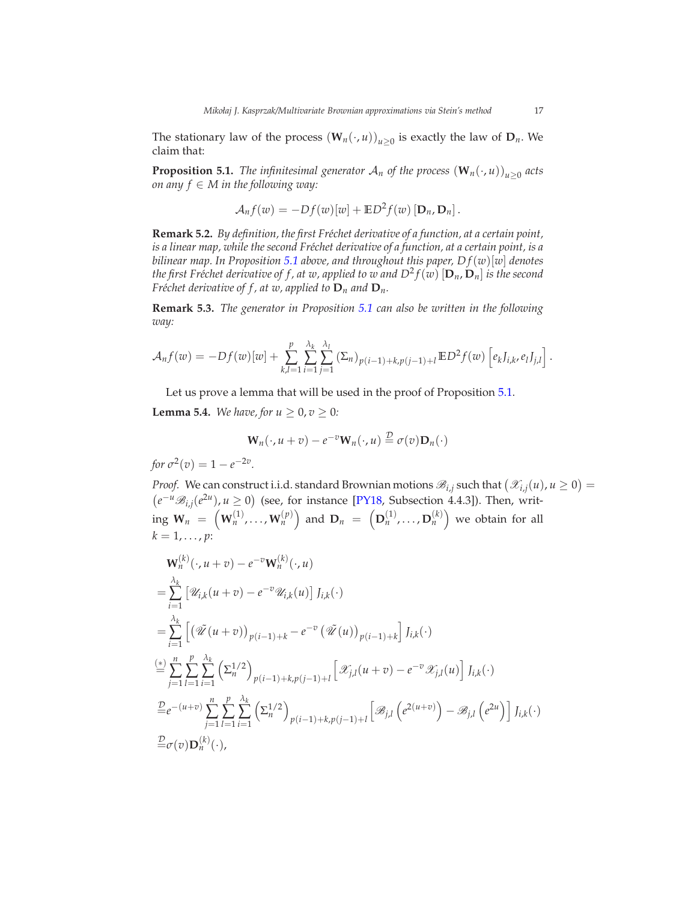The stationary law of the process  $(\mathbf{W}_n(\cdot, u))_{u \geq 0}$  is exactly the law of  $\mathbf{D}_n$ . We claim that:

<span id="page-16-0"></span>**Proposition 5.1.** *The infinitesimal generator*  $\mathcal{A}_n$  *of the process*  $(\mathbf{W}_n(\cdot, u))_{u \geq 0}$  *acts on any f* ∈ *M in the following way:*

$$
\mathcal{A}_n f(w) = -Df(w)[w] + \mathbb{E}D^2 f(w) [\mathbf{D}_n, \mathbf{D}_n].
$$

**Remark 5.2.** *By definition, the first Fr´echet derivative of a function, at a certain point,* is a linear map, while the second Fréchet derivative of a function, at a certain point, is a *bilinear map. In Proposition* [5.1](#page-16-0) *above, and throughout this paper,*  $Df(w)[w]$  *denotes* the first Fréchet derivative of f , at w, applied to w and  $D^2f(w)\left[\mathbf{D}_n,\mathbf{D}_n\right]$  is the second *Fréchet derivative of f, at w, applied to*  $D_n$  *and*  $D_n$ *.* 

**Remark 5.3.** *The generator in Proposition [5.1](#page-16-0) can also be written in the following way:*

$$
\mathcal{A}_n f(w) = -Df(w)[w] + \sum_{k,l=1}^p \sum_{i=1}^{\lambda_k} \sum_{j=1}^{\lambda_l} (\Sigma_n)_{p(i-1)+k, p(j-1)+l} \mathbb{E} D^2 f(w) \left[ e_k J_{i,k}, e_l J_{j,l} \right].
$$

Let us prove a lemma that will be used in the proof of Proposition [5.1.](#page-16-0)

<span id="page-16-1"></span>**Lemma 5.4.** *We have, for*  $u \ge 0$ ,  $v \ge 0$ *:* 

$$
\mathbf{W}_n(\cdot, u + v) - e^{-v} \mathbf{W}_n(\cdot, u) \stackrel{\mathcal{D}}{=} \sigma(v) \mathbf{D}_n(\cdot)
$$

*for*  $\sigma^2(v) = 1 - e^{-2v}$ .

*Proof.* We can construct i.i.d. standard Brownian motions  $\mathcal{B}_{i,j}$  such that  $(\mathcal{X}_{i,j}(u), u \ge 0)$  $(e^{-u}\mathcal{B}_{i,j}(e^{2u}), u ≥ 0)$  (see, for instance [\[PY18,](#page-45-15) Subsection 4.4.3]). Then, writ- $\mathbf{w}_n \; = \; \left(\mathbf{W}^{(1)}_n, \ldots, \mathbf{W}^{(p)}_n\right) \; \text{and} \; \mathbf{D}_n \; = \; \left(\mathbf{D}^{(1)}_n, \ldots, \mathbf{D}^{(k)}_n\right) \; \text{we obtain for all}$  $k = 1, \ldots, p$ :

$$
\mathbf{W}_{n}^{(k)}(\cdot, u + v) - e^{-v} \mathbf{W}_{n}^{(k)}(\cdot, u)
$$
\n
$$
= \sum_{i=1}^{\lambda_{k}} \left[ \mathcal{U}_{i,k}(u + v) - e^{-v} \mathcal{U}_{i,k}(u) \right] J_{i,k}(\cdot)
$$
\n
$$
= \sum_{i=1}^{\lambda_{k}} \left[ \left( \mathcal{U}(u + v) \right)_{p(i-1)+k} - e^{-v} \left( \mathcal{U}(u) \right)_{p(i-1)+k} \right] J_{i,k}(\cdot)
$$
\n
$$
\stackrel{(*)}{=} \sum_{j=1}^{n} \sum_{l=1}^{p} \sum_{i=1}^{\lambda_{k}} \left( \sum_{n}^{1/2} \right)_{p(i-1)+k, p(j-1)+l} \left[ \mathcal{X}_{j,l}(u + v) - e^{-v} \mathcal{X}_{j,l}(u) \right] J_{i,k}(\cdot)
$$
\n
$$
\stackrel{\mathcal{D}}{=} e^{-(u+v)} \sum_{j=1}^{n} \sum_{l=1}^{p} \sum_{i=1}^{\lambda_{k}} \left( \sum_{n}^{1/2} \right)_{p(i-1)+k, p(j-1)+l} \left[ \mathcal{B}_{j,l} \left( e^{2(u+v)} \right) - \mathcal{B}_{j,l} \left( e^{2u} \right) \right] J_{i,k}(\cdot)
$$
\n
$$
\stackrel{\mathcal{D}}{=} \sigma(v) \mathbf{D}_{n}^{(k)}(\cdot),
$$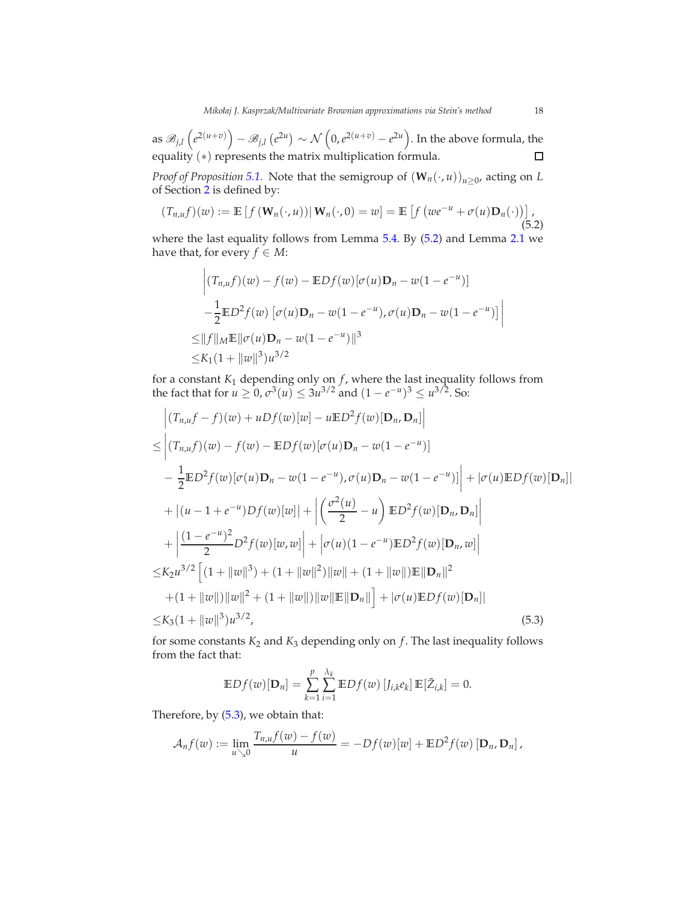as  $\mathscr{B}_{j,l}\left(e^{2(u+v)}\right)-\mathscr{B}_{j,l}\left(e^{2u}\right)\sim\mathcal{N}\left(0,e^{2(u+v)}-e^{2u}\right).$  In the above formula, the equality (\*) represents the matrix multiplication formula.  $\Box$ 

*Proof of Proposition* [5.1.](#page-16-0) Note that the semigroup of  $(\mathbf{W}_n(\cdot, u))_{u \geq 0}$ , acting on *L* of Section [2](#page-5-0) is defined by:

<span id="page-17-0"></span>
$$
(T_{n,u}f)(w) := \mathbb{E}\left[f\left(\mathbf{W}_n(\cdot,u)\right)|\mathbf{W}_n(\cdot,0) = w\right] = \mathbb{E}\left[f\left(we^{-u} + \sigma(u)\mathbf{D}_n(\cdot)\right)\right],\tag{5.2}
$$

where the last equality follows from Lemma [5.4.](#page-16-1) By [\(5.2\)](#page-17-0) and Lemma [2.1](#page-6-2) we have that, for every *f*  $\in$  *M*:

$$
\left| (T_{n,u}f)(w) - f(w) - \mathbb{E}Df(w)[\sigma(u)\mathbf{D}_n - w(1 - e^{-u})] - \frac{1}{2}\mathbb{E}D^2f(w) [\sigma(u)\mathbf{D}_n - w(1 - e^{-u}), \sigma(u)\mathbf{D}_n - w(1 - e^{-u})] \right|
$$
  
\n
$$
\leq ||f||_M \mathbb{E}||\sigma(u)\mathbf{D}_n - w(1 - e^{-u})||^3
$$
  
\n
$$
\leq K_1(1 + ||w||^3)u^{3/2}
$$

for a constant *K*<sup>1</sup> depending only on *f* , where the last inequality follows from the fact that for  $u \ge 0$ ,  $\sigma^3(u) \le 3u^{3/2}$  and  $(1 - e^{-u})^3 \le u^{3/2}$ . So:

$$
\begin{aligned}\n&\left| (T_{n,u}f - f)(w) + uDf(w)[w] - u\mathbb{E}D^2f(w)[\mathbf{D}_n, \mathbf{D}_n] \right| \\
&\leq \left| (T_{n,u}f)(w) - f(w) - \mathbb{E}Df(w)[\sigma(u)\mathbf{D}_n - w(1 - e^{-u})] \right| \\
&- \frac{1}{2}\mathbb{E}D^2f(w)[\sigma(u)\mathbf{D}_n - w(1 - e^{-u}), \sigma(u)\mathbf{D}_n - w(1 - e^{-u})] \right| + |\sigma(u)\mathbb{E}Df(w)[\mathbf{D}_n]| \\
&+ |(u - 1 + e^{-u})Df(w)[w]| + \left| \left( \frac{\sigma^2(u)}{2} - u \right) \mathbb{E}D^2f(w)[\mathbf{D}_n, \mathbf{D}_n] \right| \\
&+ \left| \frac{(1 - e^{-u})^2}{2}D^2f(w)[w, w] \right| + |\sigma(u)(1 - e^{-u})\mathbb{E}D^2f(w)[\mathbf{D}_n, w] \right| \\
&\leq K_2u^{3/2} \left[ (1 + ||w||^3) + (1 + ||w||^2) ||w|| + (1 + ||w||)\mathbb{E}||\mathbf{D}_n||^2 \right. \\
&+ (1 + ||w||) ||w||^2 + (1 + ||w||) ||w||\mathbb{E}||\mathbf{D}_n|| \right] + |\sigma(u)\mathbb{E}Df(w)[\mathbf{D}_n]| \\
&\leq K_3(1 + ||w||^3)u^{3/2}, \n\end{aligned} \tag{5.3}
$$

for some constants  $K_2$  and  $K_3$  depending only on  $f$ . The last inequality follows from the fact that:

<span id="page-17-1"></span>
$$
\mathbb{E}Df(w)[\mathbf{D}_n] = \sum_{k=1}^p \sum_{i=1}^{\lambda_k} \mathbb{E}Df(w) [J_{i,k}e_k] \mathbb{E}[\tilde{Z}_{i,k}] = 0.
$$

Therefore, by [\(5.3\)](#page-17-1), we obtain that:

$$
\mathcal{A}_n f(w) := \lim_{u \searrow 0} \frac{T_{n,u} f(w) - f(w)}{u} = -Df(w)[w] + \mathbb{E}D^2 f(w) [\mathbf{D}_n, \mathbf{D}_n],
$$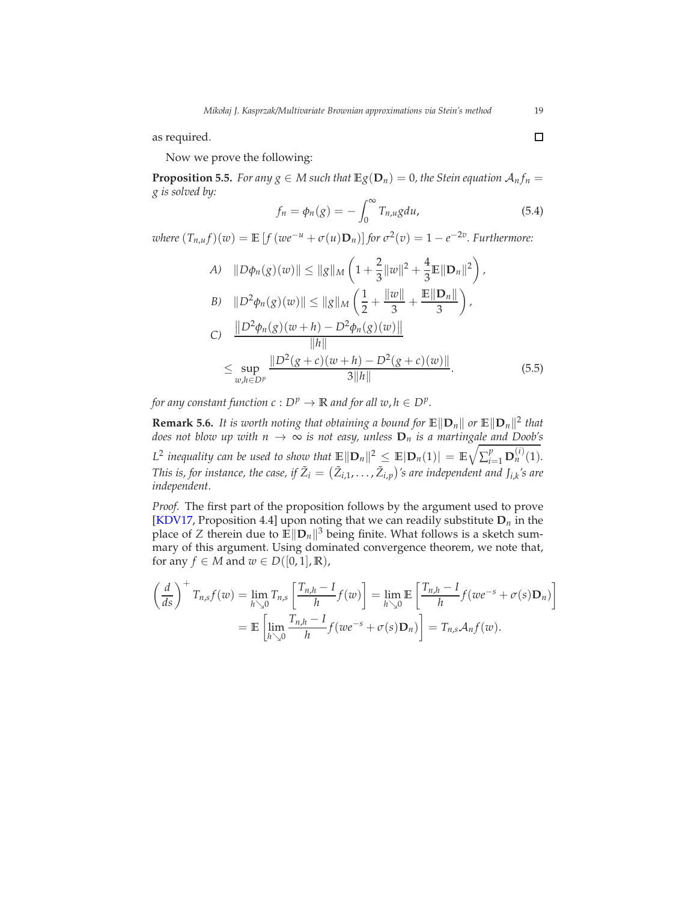as required.

Now we prove the following:

**Proposition 5.5.** *For any*  $g \in M$  *such that*  $\mathbb{E}g(\mathbf{D}_n) = 0$ *, the Stein equation*  $\mathcal{A}_n f_n =$ *g is solved by:*

<span id="page-18-0"></span>
$$
f_n = \phi_n(g) = -\int_0^\infty T_{n,u} g du,
$$
\n(5.4)

 *<i>for*  $\sigma^2(v) = 1 - e^{-2v}$ . *Furthermore:* 

A) 
$$
||D\phi_n(g)(w)|| \le ||g||_M \left(1 + \frac{2}{3}||w||^2 + \frac{4}{3}\mathbb{E}||\mathbf{D}_n||^2\right),
$$
  
\nB)  $||D^2\phi_n(g)(w)|| \le ||g||_M \left(\frac{1}{2} + \frac{||w||}{3} + \frac{\mathbb{E}||\mathbf{D}_n||}{3}\right),$   
\nC)  $\frac{||D^2\phi_n(g)(w+h) - D^2\phi_n(g)(w)||}{||h||}$   
\n $\leq \sup_{w,h \in D^p} \frac{||D^2(g+c)(w+h) - D^2(g+c)(w)||}{3||h||}.$  (5.5)

*for any constant function c* :  $D^p \to \mathbb{R}$  *and for all w, h*  $\in D^p$ .

**Remark 5.6.** *It is worth noting that obtaining a bound for*  $\mathbb{E} \|\mathbf{D}_n\|$  *or*  $\mathbb{E} \|\mathbf{D}_n\|^2$  *that does not blow up with*  $n \to \infty$  *is not easy, unless*  $D_n$  *is a martingal<u>e and Doob'</u>s*  $L^2$  inequality can be used to show that  $\mathbb{E} \|\mathbf{D}_n\|^2 \leq \mathbb{E} |\mathbf{D}_n(1)| = \mathbb{E} \sqrt{\sum_{i=1}^p \mathbf{D}_n^{(i)}(1)}$ . This is, for instance, the case, if  $\tilde{Z}_i = (\tilde{Z}_{i,1}, \ldots, \tilde{Z}_{i,p})$ 's are independent and J<sub>i,k</sub>'s are *independent.*

*Proof.* The first part of the proposition follows by the argument used to prove [\[KDV17](#page-45-14), Proposition 4.4] upon noting that we can readily substitute **D***n* in the place of *Z* therein due to  $\mathbb{E} \|\mathbf{D}_n\|^3$  being finite. What follows is a sketch summary of this argument. Using dominated convergence theorem, we note that, for any  $f \in M$  and  $w \in D([0, 1], \mathbb{R})$ ,

$$
\left(\frac{d}{ds}\right)^+ T_{n,s} f(w) = \lim_{h \searrow 0} T_{n,s} \left[ \frac{T_{n,h} - I}{h} f(w) \right] = \lim_{h \searrow 0} \mathbb{E} \left[ \frac{T_{n,h} - I}{h} f(w e^{-s} + \sigma(s) \mathbf{D}_n) \right]
$$

$$
= \mathbb{E} \left[ \lim_{h \searrow 0} \frac{T_{n,h} - I}{h} f(w e^{-s} + \sigma(s) \mathbf{D}_n) \right] = T_{n,s} \mathcal{A}_n f(w).
$$

<span id="page-18-1"></span> $\Box$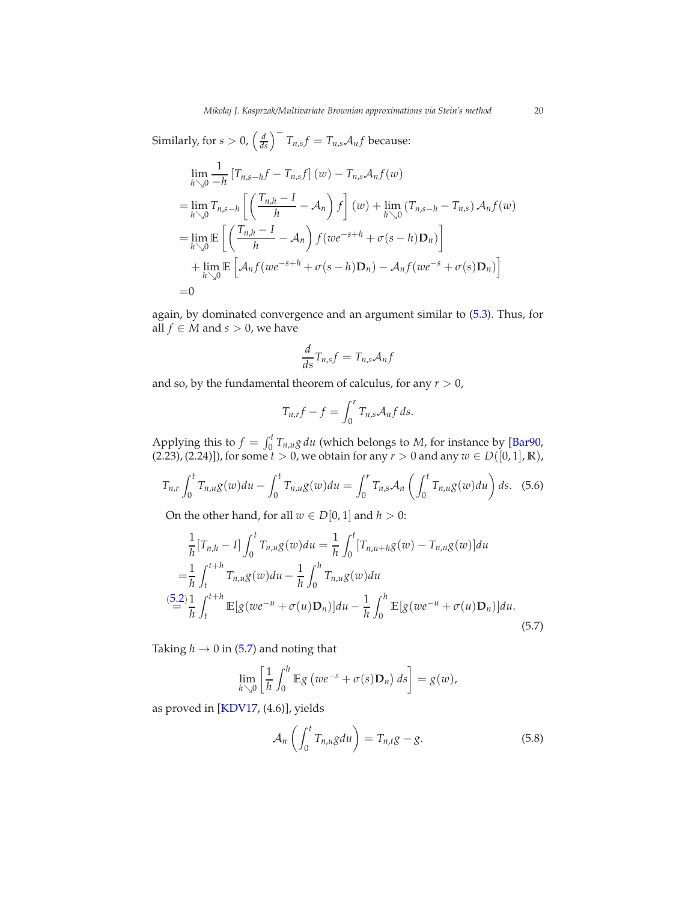Similarly, for  $s > 0$ ,  $\left(\frac{d}{ds}\right)^{-1}T_{n,s}f = T_{n,s}\mathcal{A}_n f$  because:

$$
\lim_{h\searrow 0} \frac{1}{-h} \left[ T_{n,s-h}f - T_{n,s}f \right](w) - T_{n,s} \mathcal{A}_n f(w)
$$
\n
$$
= \lim_{h\searrow 0} T_{n,s-h} \left[ \left( \frac{T_{n,h} - I}{h} - \mathcal{A}_n \right) f \right](w) + \lim_{h\searrow 0} \left( T_{n,s-h} - T_{n,s} \right) \mathcal{A}_n f(w)
$$
\n
$$
= \lim_{h\searrow 0} \mathbb{E} \left[ \left( \frac{T_{n,h} - I}{h} - \mathcal{A}_n \right) f(w e^{-s+h} + \sigma(s-h) \mathbf{D}_n) \right]
$$
\n
$$
+ \lim_{h\searrow 0} \mathbb{E} \left[ \mathcal{A}_n f(w e^{-s+h} + \sigma(s-h) \mathbf{D}_n) - \mathcal{A}_n f(w e^{-s} + \sigma(s) \mathbf{D}_n) \right]
$$
\n
$$
= 0
$$

again, by dominated convergence and an argument similar to [\(5.3\)](#page-17-1). Thus, for all  $f \in M$  and  $s > 0$ , we have

$$
\frac{d}{ds}T_{n,s}f=T_{n,s}\mathcal{A}_n f
$$

and so, by the fundamental theorem of calculus, for any  $r > 0$ ,

<span id="page-19-1"></span>
$$
T_{n,r}f-f=\int_0^r T_{n,s}\mathcal{A}_n f\,ds.
$$

Applying this to  $f = \int_0^t T_{n,u} g \, du$  (which belongs to *M*, for instance by [\[Bar90,](#page-43-0)  $(2.23)$ ,  $(2.24)$ ]), for some  $t > 0$ , we obtain for any  $r > 0$  and any  $w \in D([0, 1], \mathbb{R})$ ,

$$
T_{n,r} \int_0^t T_{n,u} g(w) du - \int_0^t T_{n,u} g(w) du = \int_0^r T_{n,s} A_n \left( \int_0^t T_{n,u} g(w) du \right) ds. \tag{5.6}
$$

On the other hand, for all  $w \in D[0,1]$  and  $h > 0$ :

$$
\frac{1}{h}[T_{n,h} - I] \int_0^t T_{n,u}g(w)du = \frac{1}{h} \int_0^t [T_{n,u+h}g(w) - T_{n,u}g(w)]du
$$
  
\n
$$
= \frac{1}{h} \int_t^{t+h} T_{n,u}g(w)du - \frac{1}{h} \int_0^h T_{n,u}g(w)du
$$
  
\n
$$
\stackrel{(5.2)}{=} \frac{1}{h} \int_t^{t+h} \mathbb{E}[g(we^{-u} + \sigma(u)\mathbf{D}_n)]du - \frac{1}{h} \int_0^h \mathbb{E}[g(we^{-u} + \sigma(u)\mathbf{D}_n)]du.
$$
  
\n(5.7)

Taking  $h \to 0$  in [\(5.7\)](#page-19-0) and noting that

$$
\lim_{h\searrow 0}\left[\frac{1}{h}\int_0^h\mathbb{E}g\left(we^{-s}+\sigma(s)\mathbf{D}_n\right)ds\right]=g(w),
$$

as proved in [\[KDV17](#page-45-14), (4.6)], yields

<span id="page-19-2"></span><span id="page-19-0"></span>
$$
\mathcal{A}_n\left(\int_0^t T_{n,u}gdu\right) = T_{n,t}g - g. \tag{5.8}
$$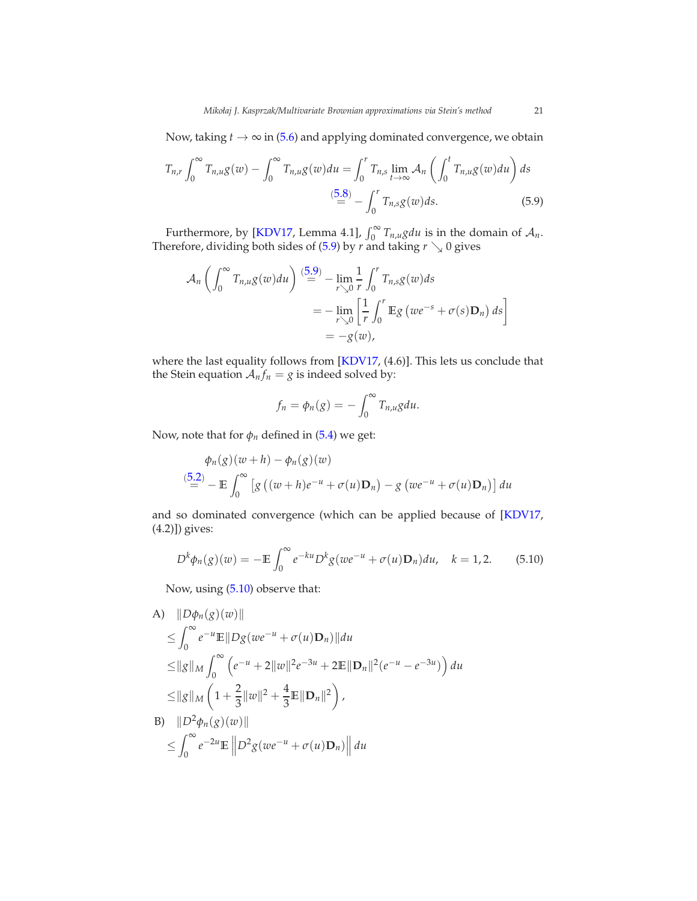Now, taking  $t \to \infty$  in [\(5.6\)](#page-19-1) and applying dominated convergence, we obtain

$$
T_{n,r} \int_0^\infty T_{n,u} g(w) - \int_0^\infty T_{n,u} g(w) du = \int_0^r T_{n,s} \lim_{t \to \infty} \mathcal{A}_n \left( \int_0^t T_{n,u} g(w) du \right) ds
$$
  

$$
\stackrel{(5.8)}{=} - \int_0^r T_{n,s} g(w) ds.
$$
 (5.9)

Furthermore, by [\[KDV17](#page-45-14), Lemma 4.1],  $\int_0^\infty T_{n,u} g du$  is in the domain of  $\mathcal{A}_n$ . Therefore, dividing both sides of [\(5.9\)](#page-20-0) by  $r$  and taking  $r \searrow 0$  gives

$$
\mathcal{A}_n \left( \int_0^\infty T_{n,u} g(w) du \right) \stackrel{(5.9)}{=} - \lim_{r \searrow 0} \frac{1}{r} \int_0^r T_{n,s} g(w) ds
$$
  
= 
$$
- \lim_{r \searrow 0} \left[ \frac{1}{r} \int_0^r \mathbb{E} g(w e^{-s} + \sigma(s) \mathbf{D}_n) ds \right]
$$
  
= 
$$
-g(w),
$$

where the last equality follows from [\[KDV17](#page-45-14), (4.6)]. This lets us conclude that the Stein equation  $A_n f_n = g$  is indeed solved by:

<span id="page-20-0"></span>
$$
f_n = \phi_n(g) = -\int_0^\infty T_{n,u} g du.
$$

Now, note that for  $\phi_n$  defined in [\(5.4\)](#page-18-0) we get:

$$
\phi_n(g)(w+h) - \phi_n(g)(w)
$$
  
\n
$$
\stackrel{(5.2)}{=} - \mathbb{E} \int_0^\infty \left[ g\left( (w+h)e^{-u} + \sigma(u)\mathbf{D}_n \right) - g\left( we^{-u} + \sigma(u)\mathbf{D}_n \right) \right] du
$$

and so dominated convergence (which can be applied because of [\[KDV17,](#page-45-14) (4.2)]) gives:

<span id="page-20-1"></span>
$$
D^{k}\phi_{n}(g)(w) = -\mathbb{E}\int_{0}^{\infty}e^{-ku}D^{k}g(we^{-u} + \sigma(u)\mathbf{D}_{n})du, \quad k = 1, 2. \quad (5.10)
$$

Now, using [\(5.10\)](#page-20-1) observe that:

A) 
$$
||D\phi_n(g)(w)||
$$
  
\n $\leq \int_0^{\infty} e^{-u} \mathbb{E}||Dg(we^{-u} + \sigma(u)\mathbf{D}_n)||du$   
\n $\leq ||g||_M \int_0^{\infty} (e^{-u} + 2||w||^2 e^{-3u} + 2\mathbb{E}||\mathbf{D}_n||^2 (e^{-u} - e^{-3u})) du$   
\n $\leq ||g||_M \left(1 + \frac{2}{3}||w||^2 + \frac{4}{3}\mathbb{E}||\mathbf{D}_n||^2\right),$   
\nB)  $||D^2\phi_n(g)(w)||$   
\n $\leq \int_0^{\infty} e^{-2u} \mathbb{E}||D^2g(we^{-u} + \sigma(u)\mathbf{D}_n)||du$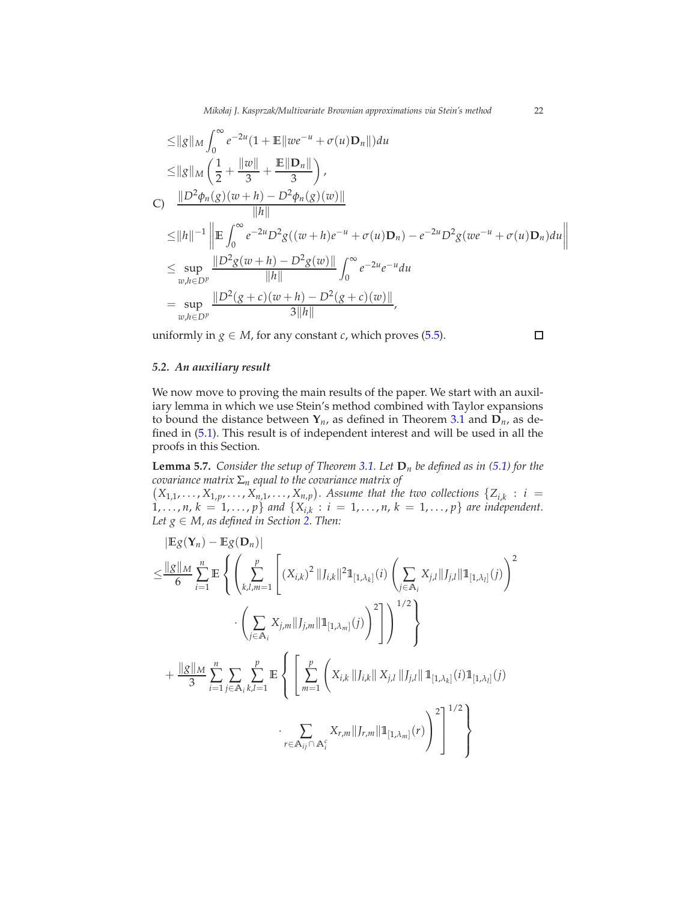$$
\leq ||g||_M \int_0^\infty e^{-2u} (1 + \mathbb{E}||we^{-u} + \sigma(u)\mathbf{D}_n||) du
$$
  
\n
$$
\leq ||g||_M \left(\frac{1}{2} + \frac{||w||}{3} + \frac{\mathbb{E}||\mathbf{D}_n||}{3}\right),
$$
  
\nC) 
$$
\frac{||D^2\phi_n(g)(w+h) - D^2\phi_n(g)(w)||}{||h||}
$$
  
\n
$$
\leq ||h||^{-1} \left\| \mathbb{E} \int_0^\infty e^{-2u} D^2 g((w+h)e^{-u} + \sigma(u)\mathbf{D}_n) - e^{-2u} D^2 g(we^{-u} + \sigma(u)\mathbf{D}_n) du \right\|
$$
  
\n
$$
\leq \sup_{w,h \in D^p} \frac{||D^2 g(w+h) - D^2 g(w)||}{||h||} \int_0^\infty e^{-2u} e^{-u} du
$$
  
\n
$$
= \sup_{w,h \in D^p} \frac{||D^2(g+c)(w+h) - D^2(g+c)(w)||}{3||h||},
$$

uniformly in  $g \in M$ , for any constant *c*, which proves [\(5.5\)](#page-18-1).

 $\Box$ 

#### *5.2. An auxiliary result*

We now move to proving the main results of the paper. We start with an auxiliary lemma in which we use Stein's method combined with Taylor expansions to bound the distance between  $Y_n$ , as defined in Theorem [3.1](#page-7-0) and  $D_n$ , as defined in [\(5.1\)](#page-15-0). This result is of independent interest and will be used in all the proofs in this Section.

<span id="page-21-0"></span>**Lemma 5.7.** *Consider the setup of Theorem [3.1.](#page-7-0)* Let  $D_n$  *be defined as in* [\(5.1\)](#page-15-0) *for the covariance matrix* Σ*<sup>n</sup> equal to the covariance matrix of*

 $(X_{1,1}, \ldots, X_{1,p}, \ldots, X_{n,1}, \ldots, X_{n,p})$ . Assume that the two collections  $\{Z_{i,k}: i =$  $1, \ldots, n, k = 1, \ldots, p$  *and*  $\{X_{i,k} : i = 1, \ldots, n, k = 1, \ldots, p\}$  are independent. *Let*  $g \in M$ , as defined in Section [2.](#page-5-0) Then:

$$
|\mathbb{E}g(\mathbf{Y}_{n}) - \mathbb{E}g(\mathbf{D}_{n})|
$$
  
\n
$$
\leq \frac{||g||_{M}}{6} \sum_{i=1}^{n} \mathbb{E} \left\{ \left( \sum_{k,l,m=1}^{p} \left[ (X_{i,k})^{2} ||J_{i,k}||^{2} \mathbb{1}_{[1,\lambda_{k}]}(i) \left( \sum_{j \in A_{i}} X_{j,l} ||J_{j,l}|| \mathbb{1}_{[1,\lambda_{l}]}(j) \right)^{2} \right] \right) \right\}^{4/2}
$$
  
\n
$$
\cdot \left( \sum_{j \in A_{i}} X_{j,m} ||J_{j,m}|| \mathbb{1}_{[1,\lambda_{m}]}(j) \right)^{2} \right\}^{1/2}
$$
  
\n
$$
+ \frac{||g||_{M}}{3} \sum_{i=1}^{n} \sum_{j \in A_{i}} \sum_{k,l=1}^{p} \mathbb{E} \left\{ \left[ \sum_{m=1}^{p} \left( X_{i,k} ||J_{i,k}|| X_{j,l} ||J_{j,l}|| \mathbb{1}_{[1,\lambda_{k}]}(i) \mathbb{1}_{[1,\lambda_{l}]}(j) \right. \right. \\ \cdot \left. \sum_{r \in A_{ij} \cap A_{i}^{c}} X_{r,m} ||J_{r,m}|| \mathbb{1}_{[1,\lambda_{m}]}(r) \right)^{2} \right]^{1/2}
$$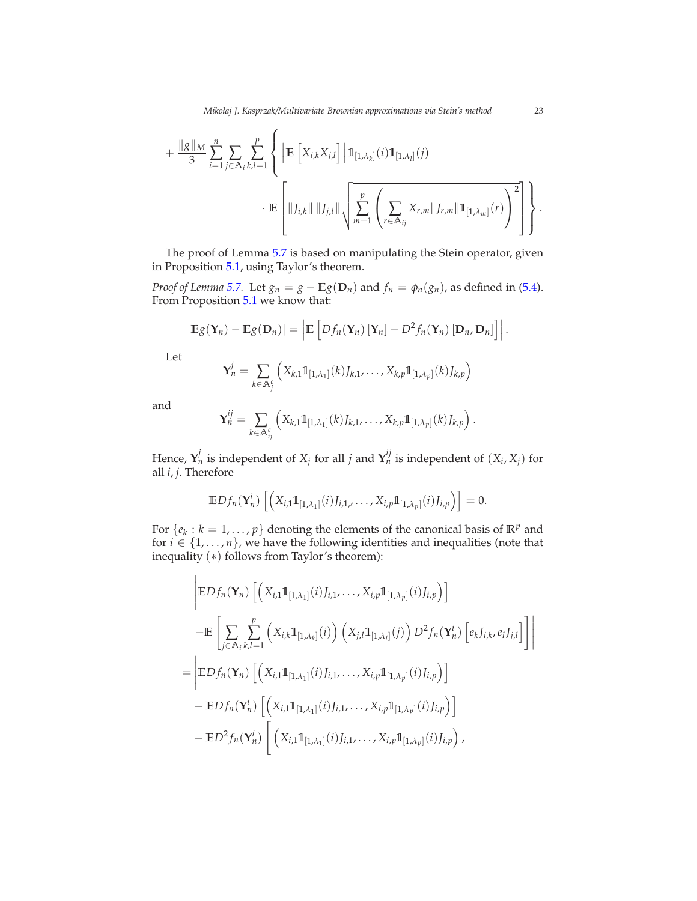$$
+ \frac{\|g\|_{M}}{3} \sum_{i=1}^{n} \sum_{j \in A_{i}} \sum_{k,l=1}^{p} \left\{ \left| \mathbb{E} \left[ X_{i,k} X_{j,l} \right] \right| \mathbb{1}_{[1,\lambda_{k}]}(i) \mathbb{1}_{[1,\lambda_{l}]}(j) + \mathbb{E} \left[ \left\| J_{i,k} \right\| \left\| J_{j,l} \right\| \sqrt{\sum_{m=1}^{p} \left( \sum_{r \in A_{ij}} X_{r,m} \| J_{r,m} \| \mathbb{1}_{[1,\lambda_{m}]}(r) \right)^{2}} \right] \right\}.
$$

The proof of Lemma [5.7](#page-21-0) is based on manipulating the Stein operator, given in Proposition [5.1,](#page-16-0) using Taylor's theorem.

*Proof of Lemma* [5.7.](#page-21-0) Let  $g_n = g - \mathbb{E}g(\mathbf{D}_n)$  and  $f_n = \phi_n(g_n)$ , as defined in [\(5.4\)](#page-18-0). From Proposition [5.1](#page-16-0) we know that:

$$
|\mathbb{E}g(\mathbf{Y}_n)-\mathbb{E}g(\mathbf{D}_n)|=\left|\mathbb{E}\left[Df_n(\mathbf{Y}_n)\left[\mathbf{Y}_n\right]-D^2f_n(\mathbf{Y}_n)\left[\mathbf{D}_n,\mathbf{D}_n\right]\right]\right|.
$$

Let

$$
\mathbf{Y}_n^j = \sum_{k \in \mathbb{A}_j^c} \left( X_{k,1} \mathbb{1}_{[1,\lambda_1]}(k) J_{k,1}, \dots, X_{k,p} \mathbb{1}_{[1,\lambda_p]}(k) J_{k,p} \right)
$$

and

$$
\mathbf{Y}_n^{ij} = \sum_{k \in \mathbb{A}_{ij}^c} \left( X_{k,1} \mathbb{1}_{[1,\lambda_1]}(k) J_{k,1}, \ldots, X_{k,p} \mathbb{1}_{[1,\lambda_p]}(k) J_{k,p} \right).
$$

Hence,  $\mathbf{Y}_n^j$  is independent of  $X_j$  for all *j* and  $\mathbf{Y}_n^{ij}$  is independent of  $(X_i, X_j)$  for all *i*, *j*. Therefore

$$
\mathbb{E}Df_n(\mathbf{Y}_n^i)\left[\left(X_{i,1}\mathbb{1}_{[1,\lambda_1]}(i)J_{i,1},\ldots,X_{i,p}\mathbb{1}_{[1,\lambda_p]}(i)J_{i,p}\right)\right]=0.
$$

For  $\{e_k : k = 1, \ldots, p\}$  denoting the elements of the canonical basis of  $\mathbb{R}^p$  and for  $i \in \{1, \ldots, n\}$ , we have the following identities and inequalities (note that inequality (∗) follows from Taylor's theorem):

$$
\begin{split}\n&\quad \left| \mathbb{E}Df_{n}(\mathbf{Y}_{n}) \left[ \left( X_{i,1} \mathbb{1}_{[1,\lambda_{1}]}(i) J_{i,1}, \ldots, X_{i,p} \mathbb{1}_{[1,\lambda_{p}]}(i) J_{i,p} \right) \right] \\
&\quad - \mathbb{E} \left[ \sum_{j \in A_{i}} \sum_{k,l=1}^{p} \left( X_{i,k} \mathbb{1}_{[1,\lambda_{k}]}(i) \right) \left( X_{j,l} \mathbb{1}_{[1,\lambda_{l}]}(j) \right) D^{2} f_{n}(\mathbf{Y}_{n}^{i}) \left[ e_{k} J_{i,k}, e_{l} J_{j,l} \right] \right] \right] \\
&= \left| \mathbb{E}Df_{n}(\mathbf{Y}_{n}) \left[ \left( X_{i,1} \mathbb{1}_{[1,\lambda_{1}]}(i) J_{i,1}, \ldots, X_{i,p} \mathbb{1}_{[1,\lambda_{p}]}(i) J_{i,p} \right) \right] \\
&\quad - \mathbb{E}Df_{n}(\mathbf{Y}_{n}^{i}) \left[ \left( X_{i,1} \mathbb{1}_{[1,\lambda_{1}]}(i) J_{i,1}, \ldots, X_{i,p} \mathbb{1}_{[1,\lambda_{p}]}(i) J_{i,p} \right) \right] \\
&\quad - \mathbb{E}D^{2} f_{n}(\mathbf{Y}_{n}^{i}) \left[ \left( X_{i,1} \mathbb{1}_{[1,\lambda_{1}]}(i) J_{i,1}, \ldots, X_{i,p} \mathbb{1}_{[1,\lambda_{p}]}(i) J_{i,p} \right),\n\end{split}
$$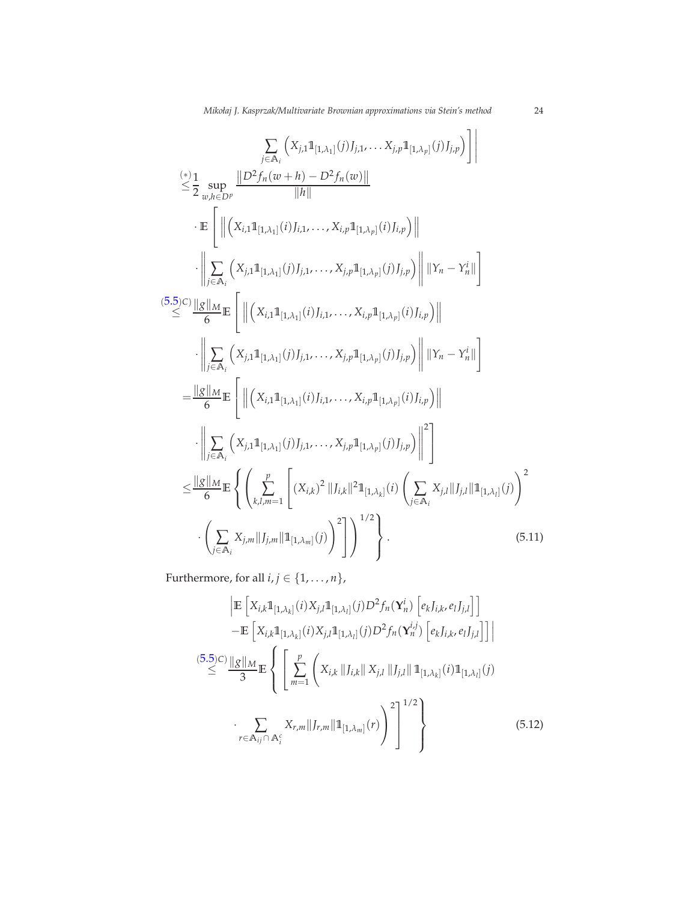$$
\sum_{j \in \mathbb{A}_{i}} \left( X_{j,1} \mathbb{1}_{[1,\lambda_{1}]}(j) J_{j,1}, \dots, X_{j,p} \mathbb{1}_{[1,\lambda_{p}]}(j) J_{j,p} \right) \Bigg|
$$
\n
$$
\leq \frac{1}{2} \sup_{w,h \in D^{p}} \frac{\left\| D^{2} f_{n}(w+h) - D^{2} f_{n}(w) \right\|}{\|h\|}
$$
\n
$$
\cdot \mathbb{E} \left[ \left\| \left( X_{i,1} \mathbb{1}_{[1,\lambda_{1}]}(i) J_{i,1}, \dots, X_{i,p} \mathbb{1}_{[1,\lambda_{p}]}(i) J_{i,p} \right) \right\|
$$
\n
$$
\cdot \left\| \sum_{j \in \mathbb{A}_{i}} \left( X_{j,1} \mathbb{1}_{[1,\lambda_{1}]}(j) J_{j,1}, \dots, X_{j,p} \mathbb{1}_{[1,\lambda_{p}]}(i) J_{j,p} \right) \right\| \left\| Y_{n} - Y_{n}^{i} \right\| \right]
$$
\n
$$
\cdot \left\| \sum_{j \in \mathbb{A}_{i}} \left[ \left\| \left( X_{i,1} \mathbb{1}_{[1,\lambda_{1}]}(i) J_{i,1}, \dots, X_{i,p} \mathbb{1}_{[1,\lambda_{p}]}(i) J_{j,p} \right) \right\| \left\| Y_{n} - Y_{n}^{i} \right\| \right]
$$
\n
$$
\cdot \left\| \sum_{j \in \mathbb{A}_{i}} \left( X_{j,1} \mathbb{1}_{[1,\lambda_{1}]}(j) J_{j,1}, \dots, X_{j,p} \mathbb{1}_{[1,\lambda_{p}]}(i) J_{j,p} \right) \right\| \left\| Y_{n} - Y_{n}^{i} \right\| \right]
$$
\n
$$
= \frac{\|g\|_{M}}{6} \mathbb{E} \left[ \left\| \left( X_{i,1} \mathbb{1}_{[1,\lambda_{1}]}(i) J_{j,1}, \dots, X_{j,p} \mathbb{1}_{[1,\lambda_{p}]}(i) J_{j,p} \right) \right\|^{2} \right]
$$
\n
$$
\leq \frac{\|g\|_{M}}{6} \mathbb{E} \left\{ \left(
$$

Furthermore, for all  $i, j \in \{1, \ldots, n\}$ ,

<span id="page-23-1"></span><span id="page-23-0"></span>
$$
\left| \mathbb{E} \left[ X_{i,k} \mathbb{1}_{[1,\lambda_k]}(i) X_{j,l} \mathbb{1}_{[1,\lambda_l]}(j) D^2 f_n(\mathbf{Y}_n^i) \left[ e_k J_{i,k}, e_l J_{j,l} \right] \right] \right|
$$
  
\n
$$
- \mathbb{E} \left[ X_{i,k} \mathbb{1}_{[1,\lambda_k]}(i) X_{j,l} \mathbb{1}_{[1,\lambda_l]}(j) D^2 f_n(\mathbf{Y}_n^{i,j}) \left[ e_k J_{i,k}, e_l J_{j,l} \right] \right] \right|
$$
  
\n(5.5) c)  $\underline{\|g\|_M}_{\leq} \mathbb{E} \left\{ \left[ \sum_{m=1}^p \left( X_{i,k} \| J_{i,k} \| X_{j,l} \| J_{j,l} \| \mathbb{1}_{[1,\lambda_k]}(i) \mathbb{1}_{[1,\lambda_l]}(j) \right. \right. \\ \left. \sum_{r \in \mathbb{A}_{ij} \cap \mathbb{A}_i^c} X_{r,m} \| J_{r,m} \| \mathbb{1}_{[1,\lambda_m]}(r) \right)^2 \right\}^{1/2} \right\}$   
\n(5.12)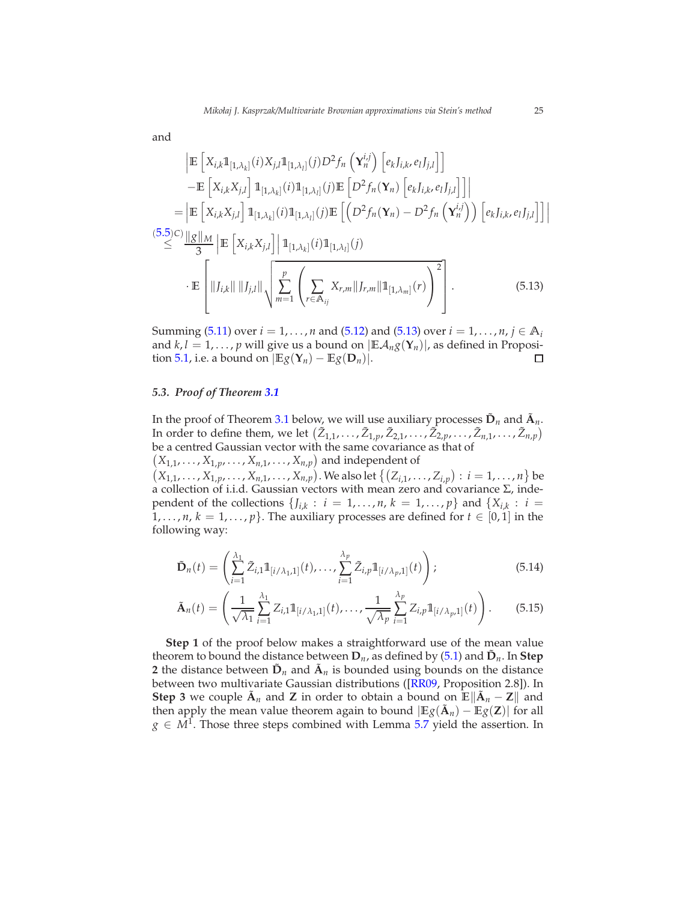and

$$
\begin{split}\n&= \left[ \mathbf{X}_{i,k} \mathbf{1}_{[1,\lambda_k]}(i) \mathbf{X}_{j,l} \mathbf{1}_{[1,\lambda_l]}(j) D^2 f_n \left( \mathbf{Y}_n^{i,j} \right) \left[ e_k J_{i,k}, e_l J_{j,l} \right] \right] \\
&- \mathbf{E} \left[ \mathbf{X}_{i,k} \mathbf{X}_{j,l} \right] \mathbf{1}_{[1,\lambda_k]}(i) \mathbf{1}_{[1,\lambda_l]}(j) \mathbf{E} \left[ D^2 f_n(\mathbf{Y}_n) \left[ e_k J_{i,k}, e_l J_{j,l} \right] \right] \\
&= \left| \mathbf{E} \left[ \mathbf{X}_{i,k} \mathbf{X}_{j,l} \right] \mathbf{1}_{[1,\lambda_k]}(i) \mathbf{1}_{[1,\lambda_l]}(j) \mathbf{E} \left[ \left( D^2 f_n(\mathbf{Y}_n) - D^2 f_n \left( \mathbf{Y}_n^{i,j} \right) \right) \left[ e_k J_{i,k}, e_l J_{j,l} \right] \right] \right|\n\end{split}
$$
\n
$$
\begin{split}\n&= \left[ \mathbf{X}_{i,k} \mathbf{X}_{j,l} \right] \mathbf{1}_{[1,\lambda_k]}(i) \mathbf{1}_{[1,\lambda_l]}(j) \\
&= \mathbf{E} \left[ \left\| J_{i,k} \right\| \left\| J_{j,l} \right\| \sqrt{\sum_{m=1}^p \left( \sum_{r \in \mathbb{A}_{ij}} \mathbf{X}_{r,m} \left\| J_{r,m} \right\| \mathbf{1}_{[1,\lambda_m]}(r) \right)^2} \right].\n\end{split}
$$
\n
$$
(5.13)
$$

Summing [\(5.11\)](#page-23-0) over  $i = 1, ..., n$  and [\(5.12\)](#page-23-1) and [\(5.13\)](#page-24-0) over  $i = 1, ..., n$ ,  $j \in A_i$ and  $k, l = 1, ..., p$  will give us a bound on  $|\mathbb{E} A_n g(\mathbf{Y}_n)|$ , as defined in Proposition 5.1, i.e. a bound on  $|\mathbb{E} g(\mathbf{Y}_n) - \mathbb{E} g(\mathbf{D}_n)|$ . tion [5.1,](#page-16-0) i.e. a bound on  $|\mathbb{E}g(\mathbf{Y}_n) - \mathbb{E}g(\mathbf{D}_n)|$ .

#### *5.3. Proof of Theorem [3.1](#page-7-0)*

In the proof of Theorem [3.1](#page-7-0) below, we will use auxiliary processes  $\tilde{\mathbf{D}}_n$  and  $\tilde{\mathbf{A}}_n$ . In order to define them, we let  $(\tilde{Z}_{1,1}, \ldots, \tilde{Z}_{1,p}, \tilde{Z}_{2,1}, \ldots, \tilde{Z}_{2,p}, \ldots, \tilde{Z}_{n,1}, \ldots, \tilde{Z}_{n,p})$ be a centred Gaussian vector with the same covariance as that of  $(X_{1,1}, \ldots, X_{1,p}, \ldots, X_{n,1}, \ldots, X_{n,p})$  and independent of

 $(X_{1,1},..., X_{1,p},..., X_{n,1},..., X_{n,p})$ . We also let  $\{(Z_{i,1},..., Z_{i,p}) : i = 1,...,n\}$  be a collection of i.i.d. Gaussian vectors with mean zero and covariance Σ, independent of the collections  $\{J_{i,k}: i = 1, \ldots, n, k = 1, \ldots, p\}$  and  $\{X_{i,k}: i = 1, \ldots, n\}$  $1, \ldots, n, k = 1, \ldots, p$ . The auxiliary processes are defined for  $t \in [0, 1]$  in the following way:

<span id="page-24-1"></span>
$$
\tilde{\mathbf{D}}_n(t) = \left(\sum_{i=1}^{\lambda_1} \tilde{Z}_{i,1} \mathbb{1}_{[i/\lambda_1,1]}(t), \dots, \sum_{i=1}^{\lambda_p} \tilde{Z}_{i,p} \mathbb{1}_{[i/\lambda_p,1]}(t)\right);
$$
\n(5.14)

<span id="page-24-2"></span>
$$
\tilde{\mathbf{A}}_n(t) = \left(\frac{1}{\sqrt{\lambda_1}} \sum_{i=1}^{\lambda_1} Z_{i,1} \mathbb{1}_{[i/\lambda_1,1]}(t), \dots, \frac{1}{\sqrt{\lambda_p}} \sum_{i=1}^{\lambda_p} Z_{i,p} \mathbb{1}_{[i/\lambda_p,1]}(t)\right).
$$
(5.15)

**Step 1** of the proof below makes a straightforward use of the mean value theorem to bound the distance between  $\mathbf{D}_n$ , as defined by [\(5.1\)](#page-15-0) and  $\tilde{\mathbf{D}}_n$ . In Step **2** the distance between  $\tilde{\mathbf{D}}_n$  and  $\tilde{\mathbf{A}}_n$  is bounded using bounds on the distance between two multivariate Gaussian distributions ([\[RR09](#page-45-16), Proposition 2.8]). In **Step 3** we couple  $\tilde{A}_n$  and **Z** in order to obtain a bound on  $\mathbb{E} \|\tilde{A}_n - \mathbf{Z}\|$  and then apply the mean value theorem again to bound  $|\mathbb{E}g(\tilde{\mathbf{A}}_n) - \mathbb{E}g(\mathbf{Z})|$  for all  $g \in M^1$ . Those three steps combined with Lemma [5.7](#page-21-0) yield the assertion. In

<span id="page-24-0"></span>I  $\overline{\phantom{a}}$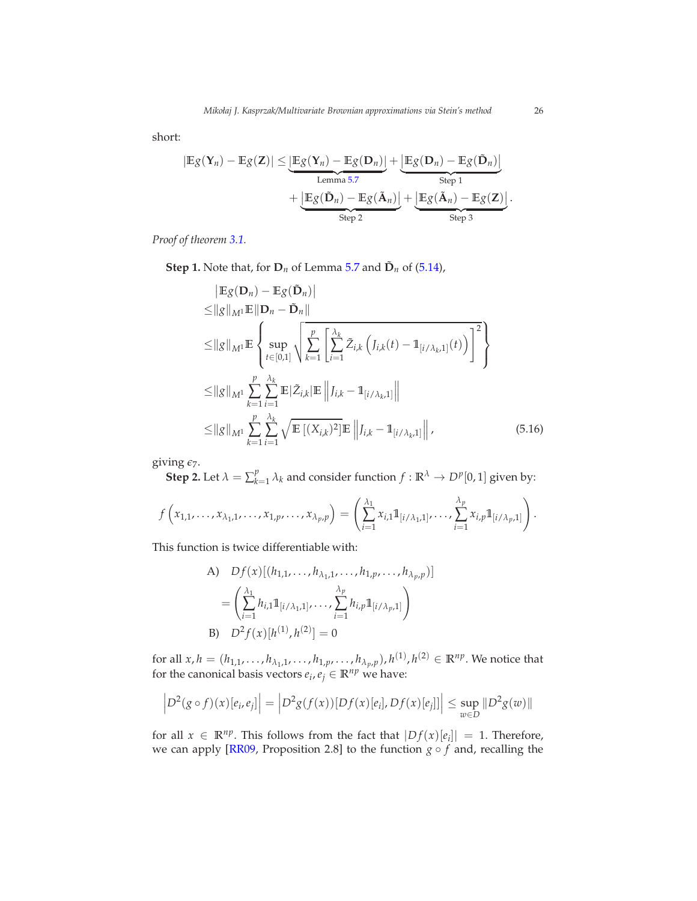short:

$$
|\mathbb{E}g(\mathbf{Y}_n) - \mathbb{E}g(\mathbf{Z})| \leq \underbrace{|\mathbb{E}g(\mathbf{Y}_n) - \mathbb{E}g(\mathbf{D}_n)|}_{\text{Lemma 5.7}} + \underbrace{|\mathbb{E}g(\mathbf{D}_n) - \mathbb{E}g(\mathbf{\tilde{A}}_n)|}_{\text{Step 2}} + \underbrace{|\mathbb{E}g(\mathbf{\tilde{A}}_n) - \mathbb{E}g(\mathbf{\tilde{A}}_n)|}_{\text{Step 3}} + \underbrace{|\mathbb{E}g(\mathbf{\tilde{A}}_n) - \mathbb{E}g(\mathbf{Z})|}_{\text{Step 3}}.
$$

*Proof of theorem [3.1.](#page-7-0)*

**Step 1.** Note that, for  $D_n$  of Lemma [5.7](#page-21-0) and  $\tilde{D}_n$  of [\(5.14\)](#page-24-1),

<span id="page-25-0"></span>
$$
\begin{split}\n& \left| \mathbb{E}_{\mathcal{S}}(\mathbf{D}_{n}) - \mathbb{E}_{\mathcal{S}}(\tilde{\mathbf{D}}_{n}) \right| \\
&\leq \left\| g \right\|_{M^{1}} \mathbb{E} \left\| \mathbf{D}_{n} - \tilde{\mathbf{D}}_{n} \right\| \\
&\leq \left\| g \right\|_{M^{1}} \mathbb{E} \left\{ \sup_{t \in [0,1]} \sqrt{\sum_{k=1}^{p} \left[ \sum_{i=1}^{\lambda_{k}} \tilde{Z}_{i,k} \left( J_{i,k}(t) - \mathbb{1}_{[i/\lambda_{k},1]}(t) \right) \right]^{2}} \right\} \\
&\leq \left\| g \right\|_{M^{1}} \sum_{k=1}^{p} \sum_{i=1}^{\lambda_{k}} \mathbb{E} \left| \tilde{Z}_{i,k} \right| \mathbb{E} \left\| J_{i,k} - \mathbb{1}_{[i/\lambda_{k},1]} \right\| \\
&\leq \left\| g \right\|_{M^{1}} \sum_{k=1}^{p} \sum_{i=1}^{\lambda_{k}} \sqrt{\mathbb{E} \left[ (X_{i,k})^{2} \right] \mathbb{E} \left\| J_{i,k} - \mathbb{1}_{[i/\lambda_{k},1]} \right\|},\n\end{split} \tag{5.16}
$$

giving *ǫ*7.

**Step 2.** Let  $\lambda = \sum_{k=1}^{p}$  ${}_{k=1}^p \lambda_k$  and consider function  $f : \mathbb{R}^{\lambda} \to D^p[0,1]$  given by:

$$
f\left(x_{1,1},\ldots,x_{\lambda_1,1},\ldots,x_{1,p},\ldots,x_{\lambda_p,p}\right)=\left(\sum_{i=1}^{\lambda_1}x_{i,1}\mathbb{1}_{[i/\lambda_1,1]},\ldots,\sum_{i=1}^{\lambda_p}x_{i,p}\mathbb{1}_{[i/\lambda_p,1]}\right).
$$

This function is twice differentiable with:

A) 
$$
Df(x)[(h_{1,1},...,h_{\lambda_1,1},...,h_{1,p},...,h_{\lambda_p,p})]
$$
  
\n
$$
= \left(\sum_{i=1}^{\lambda_1} h_{i,1} 1\!\!1_{[i/\lambda_1,1]},...,\sum_{i=1}^{\lambda_p} h_{i,p} 1\!\!1_{[i/\lambda_p,1]}\right)
$$
\nB)  $D^2f(x)[h^{(1)},h^{(2)}] = 0$ 

for all  $x, h = (h_{1,1}, \ldots, h_{\lambda_1,1}, \ldots, h_{1,p}, \ldots, h_{\lambda_p,p}), h^{(1)}, h^{(2)} \in \mathbb{R}^{np}$ . We notice that for the canonical basis vectors  $e_i$ ,  $e_j \in \mathbb{R}^{np}$  we have:

$$
\left| D^{2}(g \circ f)(x)[e_{i}, e_{j}] \right| = \left| D^{2}g(f(x))[Df(x)[e_{i}], Df(x)[e_{j}]] \right| \leq \sup_{w \in D} \| D^{2}g(w) \|
$$

for all  $x \in \mathbb{R}^{np}$ . This follows from the fact that  $|Df(x)[e_i]| = 1$ . Therefore, we can apply [\[RR09,](#page-45-16) Proposition 2.8] to the function *g* ◦ *f* and, recalling the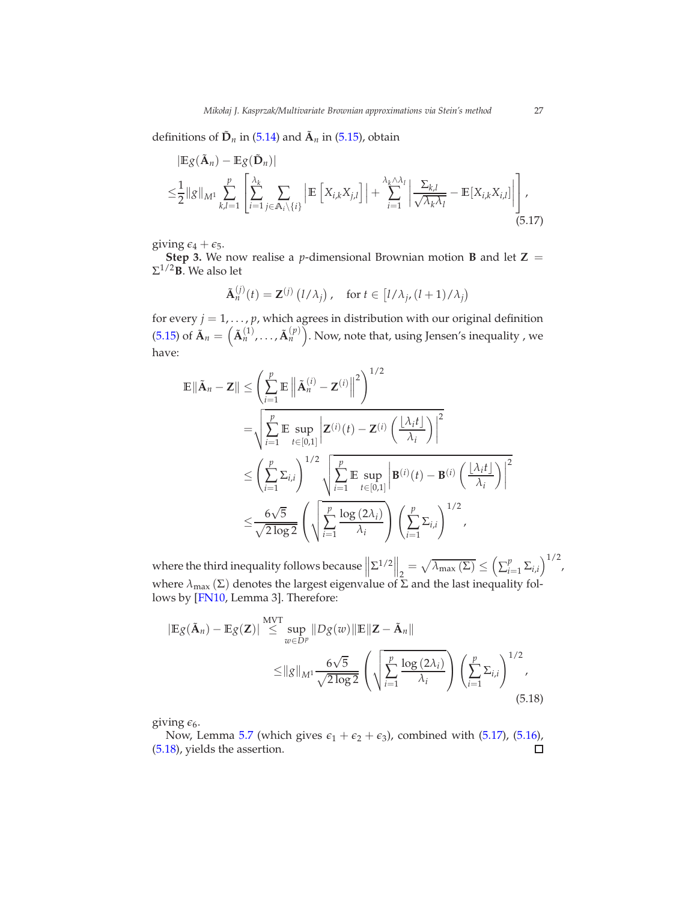definitions of  $\tilde{D}_n$  in [\(5.14\)](#page-24-1) and  $\tilde{A}_n$  in [\(5.15\)](#page-24-2), obtain

$$
|\mathbb{E}g(\tilde{\mathbf{A}}_n) - \mathbb{E}g(\tilde{\mathbf{D}}_n)|
$$
  
\n
$$
\leq \frac{1}{2} ||g||_{M^1} \sum_{k,l=1}^p \left[ \sum_{i=1}^{\lambda_k} \sum_{j \in \mathbb{A}_i \setminus \{i\}} \left| \mathbb{E} \left[ X_{i,k} X_{j,l} \right] \right| + \sum_{i=1}^{\lambda_k \wedge \lambda_l} \left| \frac{\Sigma_{k,l}}{\sqrt{\lambda_k \lambda_l}} - \mathbb{E} \left[ X_{i,k} X_{i,l} \right] \right| \right],
$$
\n(5.17)

giving  $\epsilon_4 + \epsilon_5$ .

**Step 3.** We now realise a *p*-dimensional Brownian motion **B** and let  $Z =$  $\Sigma^{1/2}$ **B**. We also let

<span id="page-26-0"></span>
$$
\tilde{\mathbf{A}}_n^{(j)}(t) = \mathbf{Z}^{(j)}(l/\lambda_j), \quad \text{for } t \in [l/\lambda_j, (l+1)/\lambda_j)
$$

for every  $j = 1, \ldots, p$ , which agrees in distribution with our original definition [\(5.15\)](#page-24-2) of  $\tilde{\bf A}_n = \left(\tilde{\bf A}_n^{(1)}, \ldots, \tilde{\bf A}_n^{(p)}\right)$ . Now, note that, using Jensen's inequality , we have:

$$
\mathbb{E}\|\tilde{\mathbf{A}}_{n}-\mathbf{Z}\| \leq \left(\sum_{i=1}^{p} \mathbb{E}\left\|\tilde{\mathbf{A}}_{n}^{(i)} - \mathbf{Z}^{(i)}\right\|^{2}\right)^{1/2} \n= \sqrt{\sum_{i=1}^{p} \mathbb{E}\sup_{t \in [0,1]} \left|\mathbf{Z}^{(i)}(t) - \mathbf{Z}^{(i)}\left(\frac{|\lambda_{i}t|}{\lambda_{i}}\right)\right|^{2} } \n\leq \left(\sum_{i=1}^{p} \Sigma_{i,i}\right)^{1/2} \sqrt{\sum_{i=1}^{p} \mathbb{E}\sup_{t \in [0,1]} \left|\mathbf{B}^{(i)}(t) - \mathbf{B}^{(i)}\left(\frac{|\lambda_{i}t|}{\lambda_{i}}\right)\right|^{2} } \n\leq \frac{6\sqrt{5}}{\sqrt{2\log 2}} \left(\sqrt{\sum_{i=1}^{p} \frac{\log(2\lambda_{i})}{\lambda_{i}}}\right) \left(\sum_{i=1}^{p} \Sigma_{i,i}\right)^{1/2},
$$

where the third inequality follows because  $\sum^{1/2}$  $\left\| \frac{1}{2} - \sqrt{\lambda_{\max}(\Sigma)} \leq \left( \sum_{i=1}^p \frac{1}{2} \right)$  $\sum_{i=1}^{p} \sum_{i,i} \bigg)^{1/2}$ , where  $\lambda_{\text{max}}(\Sigma)$  denotes the largest eigenvalue of  $\Sigma$  and the last inequality follows by [\[FN10,](#page-44-17) Lemma 3]. Therefore:

<span id="page-26-1"></span>
$$
|\mathbb{E}g(\tilde{\mathbf{A}}_n) - \mathbb{E}g(\mathbf{Z})| \stackrel{\text{MVT}}{\leq} \sup_{w \in D^p} \|Dg(w)\| \mathbb{E} \|\mathbf{Z} - \tilde{\mathbf{A}}_n\|
$$
  

$$
\leq ||g||_{M^1} \frac{6\sqrt{5}}{\sqrt{2\log 2}} \left(\sqrt{\sum_{i=1}^p \frac{\log(2\lambda_i)}{\lambda_i}}\right) \left(\sum_{i=1}^p \Sigma_{i,i}\right)^{1/2},
$$
(5.18)

giving  $\epsilon_6$ .

Now, Lemma [5.7](#page-21-0) (which gives  $\epsilon_1 + \epsilon_2 + \epsilon_3$ ), combined with [\(5.17\)](#page-26-0), [\(5.16\)](#page-25-0),  $\Box$ [\(5.18\)](#page-26-1), yields the assertion.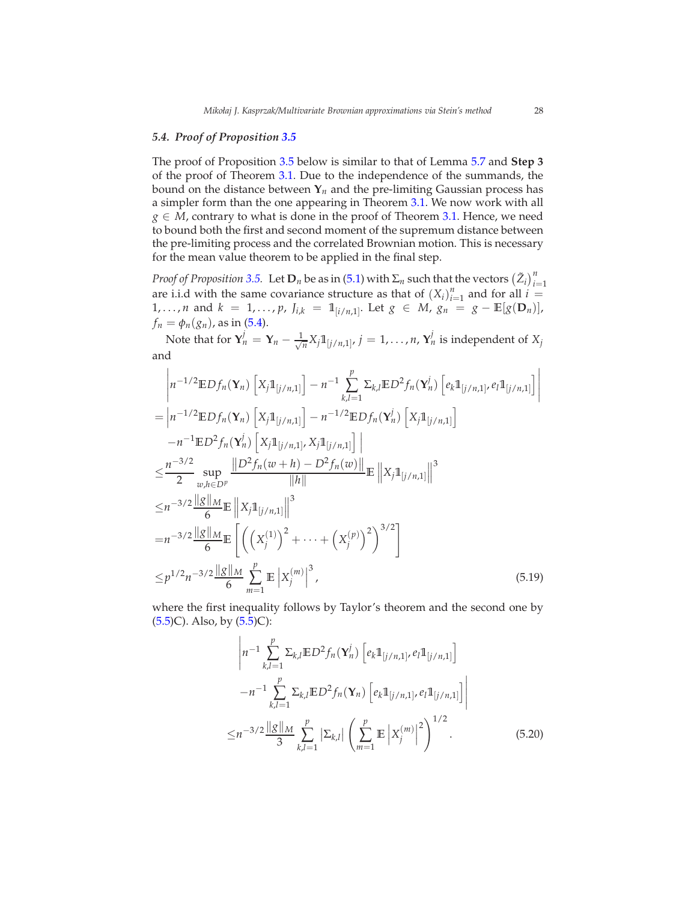#### *5.4. Proof of Proposition [3.5](#page-10-0)*

The proof of Proposition [3.5](#page-10-0) below is similar to that of Lemma [5.7](#page-21-0) and **Step 3** of the proof of Theorem [3.1.](#page-7-0) Due to the independence of the summands, the bound on the distance between  $Y_n$  and the pre-limiting Gaussian process has a simpler form than the one appearing in Theorem [3.1.](#page-7-0) We now work with all  $g \in M$ , contrary to what is done in the proof of Theorem [3.1.](#page-7-0) Hence, we need to bound both the first and second moment of the supremum distance between the pre-limiting process and the correlated Brownian motion. This is necessary for the mean value theorem to be applied in the final step.

*Proof of Proposition* [3.5.](#page-10-0) Let  $\mathbf{D}_n$  be as in [\(5.1\)](#page-15-0) with  $\Sigma_n$  such that the vectors  $(\tilde{Z}_i)_{i=1}^n$ are i.i.d with the same covariance structure as that of  $(X_i)_{i=1}^n$  and for all  $i =$ 1,..., *n* and  $k = 1, ..., p$ ,  $J_{i,k} = 1_{[i/n,1]}$ . Let  $g \in M$ ,  $g_n = g - \mathbb{E}[g(\mathbf{D}_n)]$ , *f*<sup>*n*</sup> =  $\phi_n(g_n)$ *,* as in [\(5.4\)](#page-18-0).

Note that for  $Y_n^j = Y_n - \frac{1}{\sqrt{n}}$  $\frac{1}{n}X_j \mathbb{1}_{[j/n,1]}, \, j=1,\ldots,n$ ,  $\mathbf{Y}_n^j$  is independent of  $X_j$ and

$$
\begin{split}\n&\left|n^{-1/2}\mathbb{E}Df_{n}(\mathbf{Y}_{n})\left[X_{j}\mathbb{1}_{[j/n,1]}\right]-n^{-1}\sum_{k,l=1}^{p} \Sigma_{k,l}\mathbb{E}D^{2}f_{n}(\mathbf{Y}_{n}^{j})\left[e_{k}\mathbb{1}_{[j/n,1]},e_{l}\mathbb{1}_{[j/n,1]}\right]\right| \\
&= \left|n^{-1/2}\mathbb{E}Df_{n}(\mathbf{Y}_{n})\left[X_{j}\mathbb{1}_{[j/n,1]}\right]-n^{-1/2}\mathbb{E}Df_{n}(\mathbf{Y}_{n}^{j})\left[X_{j}\mathbb{1}_{[j/n,1]}\right]\right| \\
&\quad -n^{-1}\mathbb{E}D^{2}f_{n}(\mathbf{Y}_{n}^{j})\left[X_{j}\mathbb{1}_{[j/n,1]},X_{j}\mathbb{1}_{[j/n,1]}\right] \\
&\leq \frac{n^{-3/2}}{2}\sup_{w,h\in D^{p}}\frac{\left\|D^{2}f_{n}(w+h)-D^{2}f_{n}(w)\right\|}{\|h\|}\mathbb{E}\left\|X_{j}\mathbb{1}_{[j/n,1]}\right\|^{3} \\
&\leq n^{-3/2}\frac{\|g\|_{M}}{6}\mathbb{E}\left\|X_{j}\mathbb{1}_{[j/n,1]}\right\|^{3} \\
&=n^{-3/2}\frac{\|g\|_{M}}{6}\mathbb{E}\left[\left(\left(X_{j}^{(1)}\right)^{2}+\cdots+\left(X_{j}^{(p)}\right)^{2}\right)^{3/2}\right] \\
&\leq p^{1/2}n^{-3/2}\frac{\|g\|_{M}}{6}\sum_{m=1}^{p}\mathbb{E}\left|X_{j}^{(m)}\right|^{3},\n\end{split} \tag{5.19}
$$

where the first inequality follows by Taylor's theorem and the second one by  $(5.5)C$  $(5.5)C$ . Also, by  $(5.5)C$ :

<span id="page-27-1"></span><span id="page-27-0"></span>
$$
\left| n^{-1} \sum_{k,l=1}^{p} \Sigma_{k,l} \mathbb{E} D^2 f_n(\mathbf{Y}_n^j) \left[ e_k \mathbb{1}_{[j/n,1]}, e_l \mathbb{1}_{[j/n,1]} \right] -n^{-1} \sum_{k,l=1}^{p} \Sigma_{k,l} \mathbb{E} D^2 f_n(\mathbf{Y}_n) \left[ e_k \mathbb{1}_{[j/n,1]}, e_l \mathbb{1}_{[j/n,1]} \right] \right|
$$
  

$$
\leq n^{-3/2} \frac{\|g\|_M}{3} \sum_{k,l=1}^{p} \left| \Sigma_{k,l} \right| \left( \sum_{m=1}^{p} \mathbb{E} \left| X_j^{(m)} \right|^2 \right)^{1/2} . \tag{5.20}
$$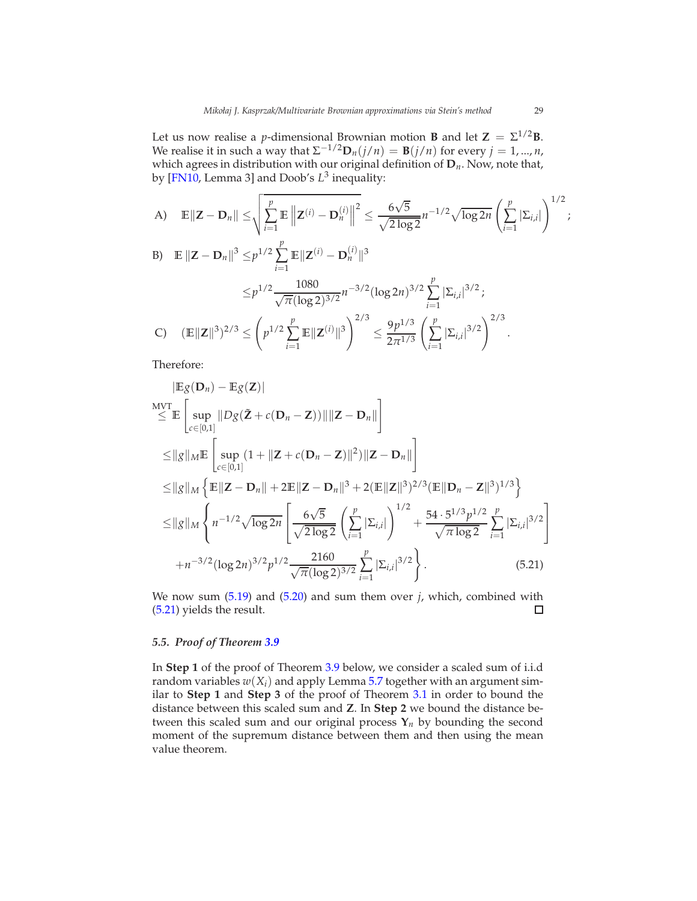Let us now realise a *p*-dimensional Brownian motion **B** and let  $\mathbf{Z} = \Sigma^{1/2} \mathbf{B}$ . We realise it in such a way that  $\Sigma^{-1/2} \mathbf{D}_n(j/n) = \mathbf{B}(j/n)$  for every  $j = 1, ..., n$ , which agrees in distribution with our original definition of **D***n*. Now, note that, by [\[FN10,](#page-44-17) Lemma 3] and Doob's *L* 3 inequality:

A) 
$$
\mathbb{E} \| \mathbf{Z} - \mathbf{D}_n \| \le \sqrt{\sum_{i=1}^p \mathbb{E} \| \mathbf{Z}^{(i)} - \mathbf{D}_n^{(i)} \|^2} \le \frac{6\sqrt{5}}{\sqrt{2\log 2}} n^{-1/2} \sqrt{\log 2n} \left( \sum_{i=1}^p |\Sigma_{i,i}| \right)^{1/2};
$$

B) 
$$
\mathbb{E} \| \mathbf{Z} - \mathbf{D}_n \|^3 \leq p^{1/2} \sum_{i=1}^p \mathbb{E} \| \mathbf{Z}^{(i)} - \mathbf{D}_n^{(i)} \|^3
$$
  
\n
$$
\leq p^{1/2} \frac{1080}{\sqrt{\pi} (\log 2)^{3/2}} n^{-3/2} (\log 2n)^{3/2} \sum_{i=1}^p |\Sigma_{i,i}|^{3/2};
$$
  
\nC) 
$$
(\mathbb{E} \| \mathbf{Z} \|^3)^{2/3} \leq \left( p^{1/2} \sum_{i=1}^p \mathbb{E} \| \mathbf{Z}^{(i)} \|^3 \right)^{2/3} \leq \frac{9p^{1/3}}{2\pi^{1/3}} \left( \sum_{i=1}^p |\Sigma_{i,i}|^{3/2} \right)^{2/3}.
$$

Therefore:

$$
|\mathbb{E}g(\mathbf{D}_{n}) - \mathbb{E}g(\mathbf{Z})|
$$
  
\n
$$
\leq \mathbb{E}\left[\sup_{c\in[0,1]}||Dg(\tilde{\mathbf{Z}} + c(\mathbf{D}_{n} - \mathbf{Z}))|| ||\mathbf{Z} - \mathbf{D}_{n}||\right]
$$
  
\n
$$
\leq ||g||_{M}\mathbb{E}\left[\sup_{c\in[0,1]}(1 + ||\mathbf{Z} + c(\mathbf{D}_{n} - \mathbf{Z})||^{2})||\mathbf{Z} - \mathbf{D}_{n}||\right]
$$
  
\n
$$
\leq ||g||_{M}\left\{\mathbb{E}||\mathbf{Z} - \mathbf{D}_{n}|| + 2\mathbb{E}||\mathbf{Z} - \mathbf{D}_{n}||^{3} + 2(\mathbb{E}||\mathbf{Z}||^{3})^{2/3}(\mathbb{E}||\mathbf{D}_{n} - \mathbf{Z}||^{3})^{1/3}\right\}
$$
  
\n
$$
\leq ||g||_{M}\left\{n^{-1/2}\sqrt{\log 2n}\left[\frac{6\sqrt{5}}{\sqrt{2\log 2}}\left(\sum_{i=1}^{p}|\Sigma_{i,i}|\right)^{1/2} + \frac{54\cdot5^{1/3}p^{1/2}}{\sqrt{\pi\log 2}}\sum_{i=1}^{p}|\Sigma_{i,i}|^{3/2}\right]\right\}
$$
  
\n
$$
+ n^{-3/2}(\log 2n)^{3/2}p^{1/2}\frac{2160}{\sqrt{\pi(\log 2)^{3/2}}}\sum_{i=1}^{p}|\Sigma_{i,i}|^{3/2}\right\}.
$$
 (5.21)

<span id="page-28-0"></span>We now sum [\(5.19\)](#page-27-0) and [\(5.20\)](#page-27-1) and sum them over *j*, which, combined with [\(5.21\)](#page-28-0) yields the result.  $\Box$ 

#### *5.5. Proof of Theorem [3.9](#page-11-0)*

In **Step 1** of the proof of Theorem [3.9](#page-11-0) below, we consider a scaled sum of i.i.d random variables  $w(X_i)$  and apply Lemma [5.7](#page-21-0) together with an argument similar to **Step 1** and **Step 3** of the proof of Theorem [3.1](#page-7-0) in order to bound the distance between this scaled sum and **Z**. In **Step 2** we bound the distance between this scaled sum and our original process  $Y_n$  by bounding the second moment of the supremum distance between them and then using the mean value theorem.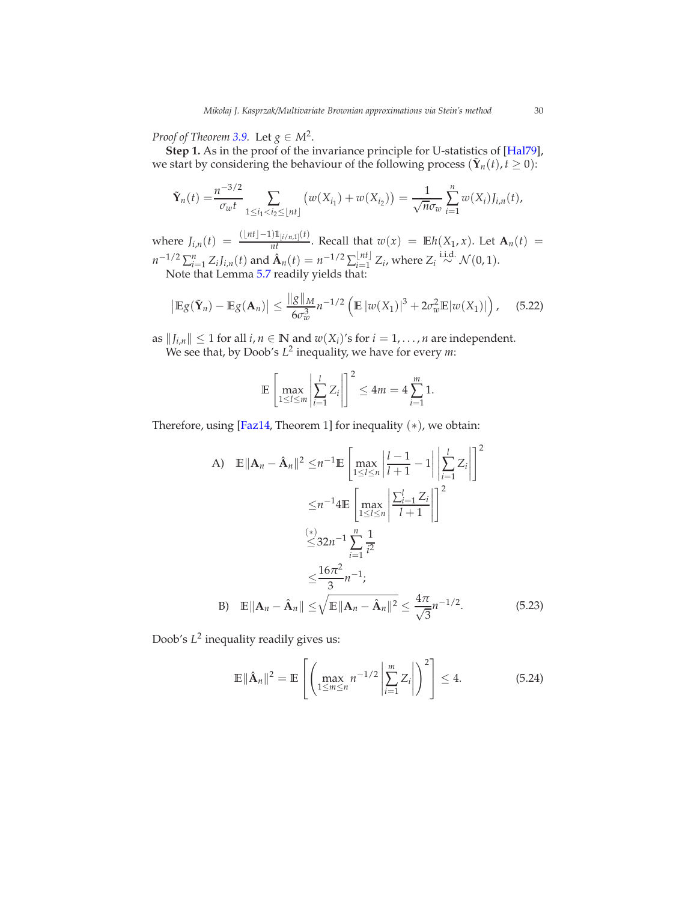*Proof of Theorem [3.9.](#page-11-0)* Let  $g \in M^2$ .

**Step 1.** As in the proof of the invariance principle for U-statistics of [\[Hal79\]](#page-44-13), we start by considering the behaviour of the following process  $(\tilde{\mathbf{Y}}_n(t), t \geq 0)$ :

$$
\tilde{\mathbf{Y}}_n(t) = \frac{n^{-3/2}}{\sigma_w t} \sum_{1 \le i_1 < i_2 \le \lfloor nt \rfloor} \left( w(X_{i_1}) + w(X_{i_2}) \right) = \frac{1}{\sqrt{n} \sigma_w} \sum_{i=1}^n w(X_i) J_{i,n}(t),
$$

 $\text{where } J_{i,n}(t) = \frac{(\lfloor nt \rfloor - 1) \mathbb{1}_{[i/n,1]}(t)}{nt}$ . Recall that  $w(x) = \mathbb{E}h(X_1, x)$ . Let  $\mathbf{A}_n(t) =$  $n^{-1/2} \sum_{i=1}^{n} Z_i J_{i,n}(t)$  and  $\hat{\mathbf{A}}_n(t) = n^{-1/2} \sum_{i=1}^{\lfloor nt \rfloor} Z_i$ , where  $Z_i \stackrel{\text{i.i.d.}}{\sim} \mathcal{N}(0, 1)$ . Note that Lemma [5.7](#page-21-0) readily yields that:

<span id="page-29-2"></span>
$$
\left|\mathbb{E}g(\tilde{\mathbf{Y}}_n)-\mathbb{E}g(\mathbf{A}_n)\right|\leq \frac{\|g\|_M}{6\sigma_w^3}n^{-1/2}\left(\mathbb{E}\left|w(X_1)\right|^3+2\sigma_w^2\mathbb{E}\left|w(X_1)\right|\right),\quad(5.22)
$$

as  $||J_{i,n}|| \leq 1$  for all  $i, n \in \mathbb{N}$  and  $w(X_i)$ 's for  $i = 1, ..., n$  are independent. We see that, by Doob's  $L^2$  inequality, we have for every *m*:

$$
\mathbb{E}\left[\max_{1\leq l\leq m}\left|\sum_{i=1}^l Z_i\right|\right]^2\leq 4m=4\sum_{i=1}^m 1.
$$

Therefore, using [\[Faz14](#page-44-18), Theorem 1] for inequality  $(*)$ , we obtain:

A) 
$$
\mathbb{E} ||\mathbf{A}_n - \hat{\mathbf{A}}_n||^2 \leq n^{-1} \mathbb{E} \left[ \max_{1 \leq l \leq n} \left| \frac{l-1}{l+1} - 1 \right| \left| \sum_{i=1}^l Z_i \right| \right]^2
$$
  
\n
$$
\leq n^{-1} 4 \mathbb{E} \left[ \max_{1 \leq l \leq n} \left| \frac{\sum_{i=1}^l Z_i}{l+1} \right| \right]^2
$$
  
\n
$$
\stackrel{(*)}{\leq} 32n^{-1} \sum_{i=1}^n \frac{1}{i^2}
$$
  
\n
$$
\leq \frac{16\pi^2}{3} n^{-1};
$$
  
\nB) 
$$
\mathbb{E} ||\mathbf{A}_n - \hat{\mathbf{A}}_n|| \leq \sqrt{\mathbb{E} ||\mathbf{A}_n - \hat{\mathbf{A}}_n||^2} \leq \frac{4\pi}{\sqrt{3}} n^{-1/2}.
$$
 (5.23)

Doob's  $L^2$  inequality readily gives us:

<span id="page-29-1"></span><span id="page-29-0"></span>
$$
\mathbb{E} \|\hat{\mathbf{A}}_n\|^2 = \mathbb{E} \left[ \left( \max_{1 \le m \le n} n^{-1/2} \left| \sum_{i=1}^m Z_i \right| \right)^2 \right] \le 4. \tag{5.24}
$$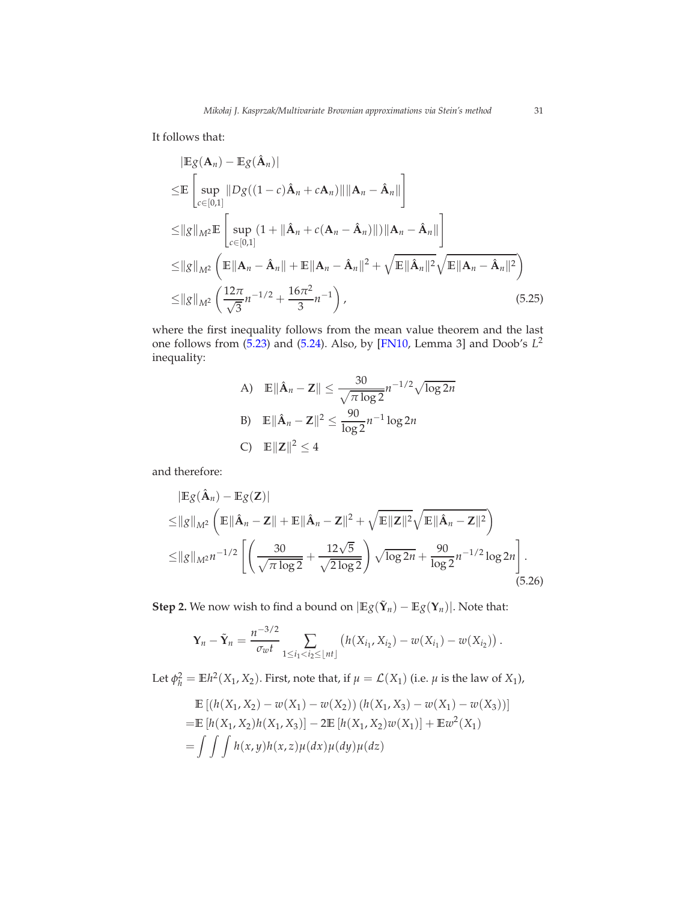It follows that:

$$
|\mathbb{E}g(\mathbf{A}_n) - \mathbb{E}g(\hat{\mathbf{A}}_n)|
$$
  
\n
$$
\leq \mathbb{E}\left[\sup_{c\in[0,1]}||Dg((1-c)\hat{\mathbf{A}}_n + c\mathbf{A}_n)|| ||\mathbf{A}_n - \hat{\mathbf{A}}_n||\right]
$$
  
\n
$$
\leq ||g||_{M^2} \mathbb{E}\left[\sup_{c\in[0,1]}(1 + ||\hat{\mathbf{A}}_n + c(\mathbf{A}_n - \hat{\mathbf{A}}_n)||) ||\mathbf{A}_n - \hat{\mathbf{A}}_n||\right]
$$
  
\n
$$
\leq ||g||_{M^2} \left(\mathbb{E}||\mathbf{A}_n - \hat{\mathbf{A}}_n|| + \mathbb{E}||\mathbf{A}_n - \hat{\mathbf{A}}_n||^2 + \sqrt{\mathbb{E}||\hat{\mathbf{A}}_n||^2}\sqrt{\mathbb{E}||\mathbf{A}_n - \hat{\mathbf{A}}_n||^2}\right)
$$
  
\n
$$
\leq ||g||_{M^2} \left(\frac{12\pi}{\sqrt{3}}n^{-1/2} + \frac{16\pi^2}{3}n^{-1}\right),
$$
\n(5.25)

where the first inequality follows from the mean value theorem and the last one follows from [\(5.23\)](#page-29-0) and [\(5.24\)](#page-29-1). Also, by [\[FN10,](#page-44-17) Lemma 3] and Doob's *L* 2 inequality:

<span id="page-30-0"></span>A) 
$$
\mathbb{E} \|\hat{\mathbf{A}}_n - \mathbf{Z}\| \le \frac{30}{\sqrt{\pi \log 2}} n^{-1/2} \sqrt{\log 2n}
$$
  
B)  $\mathbb{E} \|\hat{\mathbf{A}}_n - \mathbf{Z}\|^2 \le \frac{90}{\log 2} n^{-1} \log 2n$   
C)  $\mathbb{E} \|\mathbf{Z}\|^2 \le 4$ 

and therefore:

$$
|\mathbb{E}g(\hat{\mathbf{A}}_n) - \mathbb{E}g(\mathbf{Z})|
$$
  
\n
$$
\leq ||g||_{M^2} \left( \mathbb{E} ||\hat{\mathbf{A}}_n - \mathbf{Z}|| + \mathbb{E} ||\hat{\mathbf{A}}_n - \mathbf{Z}||^2 + \sqrt{\mathbb{E} ||\mathbf{Z}||^2} \sqrt{\mathbb{E} ||\hat{\mathbf{A}}_n - \mathbf{Z}||^2} \right)
$$
  
\n
$$
\leq ||g||_{M^2} n^{-1/2} \left[ \left( \frac{30}{\sqrt{\pi \log 2}} + \frac{12\sqrt{5}}{\sqrt{2 \log 2}} \right) \sqrt{\log 2n} + \frac{90}{\log 2} n^{-1/2} \log 2n \right].
$$
\n(5.26)

**Step 2.** We now wish to find a bound on  $|\mathbb{E}g(\tilde{\mathbf{Y}}_n) - \mathbb{E}g(\mathbf{Y}_n)|$ . Note that:

<span id="page-30-1"></span>
$$
\mathbf{Y}_n - \tilde{\mathbf{Y}}_n = \frac{n^{-3/2}}{\sigma_w t} \sum_{1 \leq i_1 < i_2 \leq \lfloor nt \rfloor} \left( h(X_{i_1}, X_{i_2}) - w(X_{i_1}) - w(X_{i_2}) \right).
$$

Let  $\phi_h^2 = \mathbb{E}h^2(X_1, X_2)$ . First, note that, if  $\mu = \mathcal{L}(X_1)$  (i.e.  $\mu$  is the law of  $X_1$ ),

$$
\mathbb{E} [(h(X_1, X_2) - w(X_1) - w(X_2)) (h(X_1, X_3) - w(X_1) - w(X_3))]
$$
  
=  $\mathbb{E} [h(X_1, X_2)h(X_1, X_3)] - 2\mathbb{E} [h(X_1, X_2)w(X_1)] + \mathbb{E} w^2(X_1)$   
=  $\int \int \int h(x, y)h(x, z) \mu(dx) \mu(dy) \mu(dz)$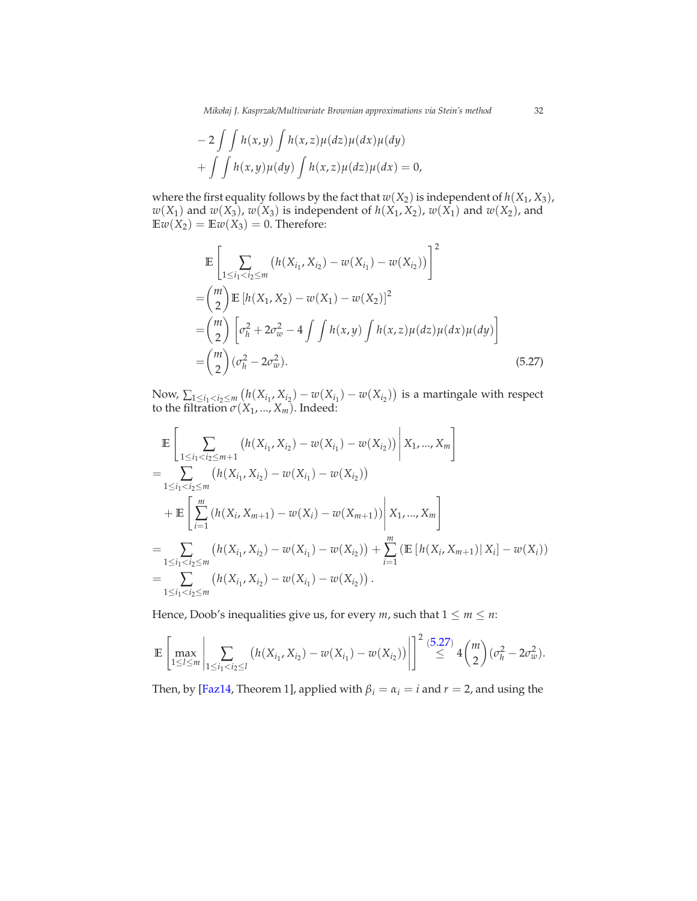*Mikołaj J. Kasprzak/Multivariate Brownian approximations via Stein's method* 32

$$
-2\int\int h(x,y)\int h(x,z)\mu(dz)\mu(dx)\mu(dy)
$$
  
+
$$
\int\int h(x,y)\mu(dy)\int h(x,z)\mu(dz)\mu(dx) = 0,
$$

where the first equality follows by the fact that  $w(X_2)$  is independent of  $h(X_1, X_3)$ ,  $w(X_1)$  and  $w(X_3)$ ,  $w(X_3)$  is independent of  $h(X_1, X_2)$ ,  $w(X_1)$  and  $w(X_2)$ , and  $Ew(X_2) = Ew(X_3) = 0$ . Therefore:

$$
\mathbb{E}\left[\sum_{1\leq i_1\n
$$
=\binom{m}{2}\mathbb{E}\left[h(X_1,X_2)-w(X_1)-w(X_2)\right]^2
$$
\n
$$
=\binom{m}{2}\left[\sigma_h^2+2\sigma_w^2-4\int\int h(x,y)\int h(x,z)\mu(dz)\mu(dx)\mu(dy)\right]
$$
\n
$$
=\binom{m}{2}(\sigma_h^2-2\sigma_w^2).
$$
\n(5.27)
$$

Now,  $\sum_{1 \leq i_1 < i_2 \leq m}$   $\left(h(X_{i_1}, X_{i_2}) - w(X_{i_1}) - w(X_{i_2})\right)$  is a martingale with respect to the filtration  $\sigma(X_1, ..., X_m)$ . Indeed:

$$
\mathbb{E}\left[\sum_{1\leq i_1\n
$$
=\sum_{1\leq i_1\n
$$
+\mathbb{E}\left[\sum_{i=1}^m\left(h(X_i,X_{m+1})-w(X_i)-w(X_{m+1})\right)\Big|X_1,...,X_m\right]
$$
\n
$$
=\sum_{1\leq i_1\n
$$
=\sum_{1\leq i_1
$$
$$
$$
$$

Hence, Doob's inequalities give us, for every  $m$ , such that  $1 \le m \le n$ :

$$
\mathbb{E}\left[\max_{1\leq l\leq m}\left|\sum_{1\leq i_1
$$

Then, by [\[Faz14](#page-44-18), Theorem 1], applied with  $\beta_i = \alpha_i = i$  and  $r = 2$ , and using the

<span id="page-31-0"></span>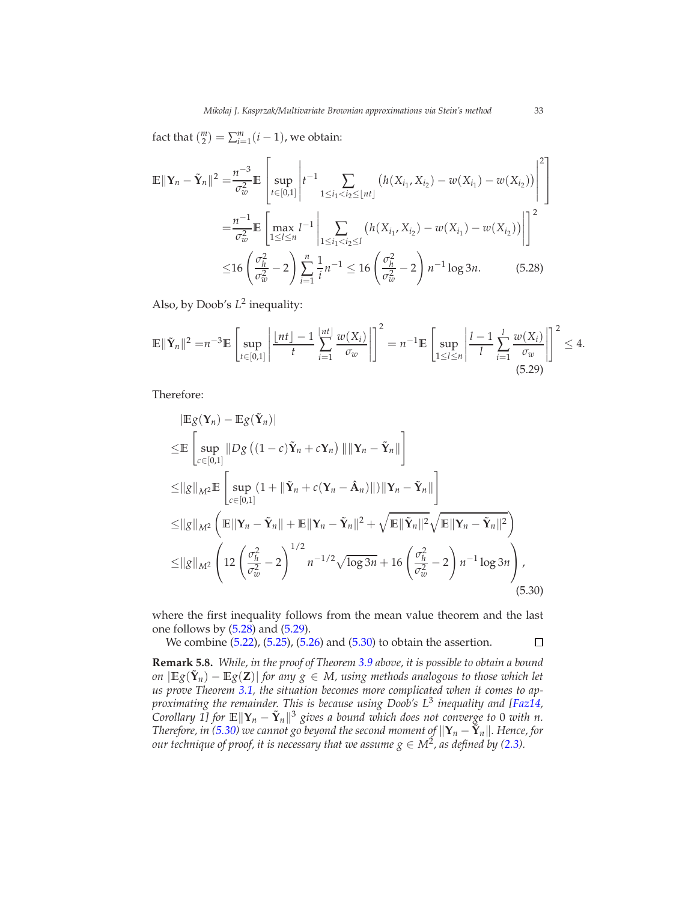fact that  $\binom{m}{2} = \sum_{i=1}^{m} (i-1)$ , we obtain:

$$
\mathbb{E} \|\mathbf{Y}_n - \tilde{\mathbf{Y}}_n\|^2 = \frac{n^{-3}}{\sigma_w^2} \mathbb{E} \left[ \sup_{t \in [0,1]} \left| t^{-1} \sum_{1 \le i_1 < i_2 \le \lfloor nt \rfloor} \left( h(X_{i_1}, X_{i_2}) - w(X_{i_1}) - w(X_{i_2}) \right) \right|^2 \right]
$$
\n
$$
= \frac{n^{-1}}{\sigma_w^2} \mathbb{E} \left[ \max_{1 \le i \le n} l^{-1} \left| \sum_{1 \le i_1 < i_2 \le l} \left( h(X_{i_1}, X_{i_2}) - w(X_{i_1}) - w(X_{i_2}) \right) \right| \right]^2
$$
\n
$$
\le 16 \left( \frac{\sigma_h^2}{\sigma_w^2} - 2 \right) \sum_{i=1}^n \frac{1}{i} n^{-1} \le 16 \left( \frac{\sigma_h^2}{\sigma_w^2} - 2 \right) n^{-1} \log 3n. \tag{5.28}
$$

<span id="page-32-0"></span>Also, by Doob's  $L^2$  inequality:

$$
\mathbb{E}\|\tilde{\mathbf{Y}}_n\|^2 = n^{-3} \mathbb{E}\left[\sup_{t\in[0,1]}\left|\frac{\lfloor nt \rfloor - 1}{t}\sum_{i=1}^{\lfloor nt \rfloor}\frac{w(X_i)}{\sigma_w}\right|\right]^2 = n^{-1} \mathbb{E}\left[\sup_{1\leq l\leq n}\left|\frac{l-1}{l}\sum_{i=1}^l\frac{w(X_i)}{\sigma_w}\right|\right]^2 \leq 4.
$$
\n(5.29)

Therefore:

$$
|\mathbb{E}g(\mathbf{Y}_n) - \mathbb{E}g(\tilde{\mathbf{Y}}_n)|
$$
  
\n
$$
\leq \mathbb{E}\left[\sup_{c\in[0,1]}||Dg((1-c)\tilde{\mathbf{Y}}_n + c\mathbf{Y}_n)|| ||\mathbf{Y}_n - \tilde{\mathbf{Y}}_n||\right]
$$
  
\n
$$
\leq ||g||_{M^2}\mathbb{E}\left[\sup_{c\in[0,1]}(1+||\tilde{\mathbf{Y}}_n + c(\mathbf{Y}_n - \hat{\mathbf{A}}_n)||) ||\mathbf{Y}_n - \tilde{\mathbf{Y}}_n||\right]
$$
  
\n
$$
\leq ||g||_{M^2}\left(\mathbb{E}||\mathbf{Y}_n - \tilde{\mathbf{Y}}_n|| + \mathbb{E}||\mathbf{Y}_n - \tilde{\mathbf{Y}}_n||^2 + \sqrt{\mathbb{E}||\tilde{\mathbf{Y}}_n||^2}\sqrt{\mathbb{E}||\mathbf{Y}_n - \tilde{\mathbf{Y}}_n||^2}\right)
$$
  
\n
$$
\leq ||g||_{M^2}\left(12\left(\frac{\sigma_h^2}{\sigma_w^2} - 2\right)^{1/2}n^{-1/2}\sqrt{\log 3n} + 16\left(\frac{\sigma_h^2}{\sigma_w^2} - 2\right)n^{-1}\log 3n\right),
$$
\n(5.30)

where the first inequality follows from the mean value theorem and the last one follows by  $(5.28)$  and  $(5.29)$ .

We combine [\(5.22\)](#page-29-2), [\(5.25\)](#page-30-0), [\(5.26\)](#page-30-1) and [\(5.30\)](#page-32-2) to obtain the assertion.

**Remark 5.8.** *While, in the proof of Theorem [3.9](#page-11-0) above, it is possible to obtain a bound on*  $|\mathbb{E}[g(\tilde{\mathbf{Y}}_n) - \mathbb{E}[g(\mathbf{Z})]|$  *for any*  $g \in M$ , using methods analogous to those which let *us prove Theorem [3.1,](#page-7-0) the situation becomes more complicated when it comes to approximating the remainder. This is because using Doob's L*<sup>3</sup> *inequality and [\[Faz14,](#page-44-18) Corollary 1]* for  $\mathbb{E} \|\mathbf{Y}_n - \tilde{\mathbf{Y}}_n\|^3$  gives a bound which does not converge to 0 with n. *Therefore, in* [\(5.30\)](#page-32-2) we cannot go beyond the second moment of  $\|\mathbf{Y}_n - \tilde{\mathbf{Y}}_n\|$ . Hence, for *our technique of proof, it is necessary that we assume*  $g \in M^2$ *, as defined by [\(2.3\)](#page-6-1).* 

<span id="page-32-2"></span><span id="page-32-1"></span>□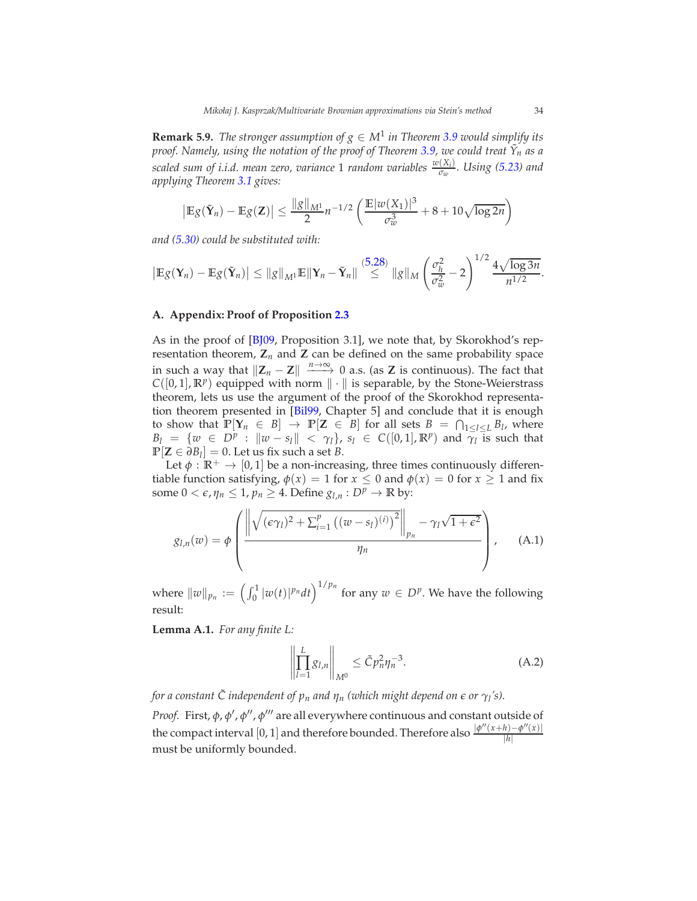**Remark 5.9.** *The stronger assumption of*  $g \in M^1$  *in Theorem [3.9](#page-11-0) would simplify its proof. Namely, using the notation of the proof of Theorem [3.9,](#page-11-0) we could treat Y*˜ *n as a scaled sum of i.i.d. mean zero, variance* 1 *random variables <sup>w</sup>*(*X<sup>i</sup>* ) *σw . Using [\(5.23\)](#page-29-0) and applying Theorem [3.1](#page-7-0) gives:*

$$
\left|\mathbb{E}g(\tilde{\mathbf{Y}}_n)-\mathbb{E}g(\mathbf{Z})\right|\leq \frac{\|g\|_{M^1}}{2}n^{-1/2}\left(\frac{\mathbb{E}|w(X_1)|^3}{\sigma_w^3}+8+10\sqrt{\log 2n}\right)
$$

*and [\(5.30\)](#page-32-2) could be substituted with:*

$$
\left|\mathbb{E}g(\mathbf{Y}_n)-\mathbb{E}g(\tilde{\mathbf{Y}}_n)\right|\leq \|g\|_{M^1}\mathbb{E}\|\mathbf{Y}_n-\tilde{\mathbf{Y}}_n\|\overset{(5.28)}{\leq} \|g\|_M\left(\frac{\sigma_h^2}{\sigma_w^2}-2\right)^{1/2}\frac{4\sqrt{\log 3n}}{n^{1/2}}.
$$

#### **A. Appendix: Proof of Proposition [2.3](#page-7-1)**

As in the proof of [\[BJ09](#page-43-1), Proposition 3.1], we note that, by Skorokhod's representation theorem,  $\mathbf{Z}_n$  and  $\mathbf{Z}$  can be defined on the same probability space in such a way that  $\|\mathbf{Z}_n - \mathbf{Z}\| \xrightarrow{n \to \infty} 0$  a.s. (as **Z** is continuous). The fact that  $C([0, 1], \mathbb{R}^p)$  equipped with norm  $\|\cdot\|$  is separable, by the Stone-Weierstrass theorem, lets us use the argument of the proof of the Skorokhod representation theorem presented in [\[Bil99](#page-43-4), Chapter 5] and conclude that it is enough to show that  $\mathbb{P}[Y_n \in B] \to \mathbb{P}[Z \in B]$  for all sets  $B = \bigcap_{1 \leq l \leq L} B_l$ , where  $B_l = \{w \in D^p : ||w - s_l|| < \gamma_l\}$ ,  $s_l \in C([0, 1], \mathbb{R}^p)$  and  $\overline{\gamma_l}$  is such that  $\mathbb{P}[\mathbf{Z} \in \partial B_l] = 0$ . Let us fix such a set *B*.

Let  $\phi : \mathbb{R}^+ \to [0, 1]$  be a non-increasing, three times continuously differentiable function satisfying,  $\phi(x) = 1$  for  $x \le 0$  and  $\phi(x) = 0$  for  $x \ge 1$  and fix some  $0 < \epsilon$ ,  $\eta_n \leq 1$ ,  $p_n \geq 4$ . Define  $g_{l,n} : D^p \to \mathbb{R}$  by:

$$
g_{l,n}(w) = \phi \left( \frac{\left\| \sqrt{(\epsilon \gamma_l)^2 + \sum_{i=1}^p ((w - s_l)^{(i)})^2} \right\|_{p_n} - \gamma_l \sqrt{1 + \epsilon^2}}{\eta_n} \right), \quad (A.1)
$$

where  $\|w\|_{p_n} := \left(\int_0^1 |w(t)|^{p_n} dt\right)^{1/p_n}$  for any  $w \in D^p$ . We have the following result:

<span id="page-33-1"></span>**Lemma A.1.** *For any finite L:*

<span id="page-33-0"></span>
$$
\left\| \prod_{l=1}^{L} g_{l,n} \right\|_{M^{0}} \leq \tilde{C} p_{n}^{2} \eta_{n}^{-3}.
$$
 (A.2)

*for a constant*  $\tilde{C}$  *independent of*  $p_n$  *and*  $\eta_n$  *(which might depend on*  $\epsilon$  *or*  $\gamma_l$ *'s). Proof.* First, φ, φ', φ'', φ''' are all everywhere continuous and constant outside of the compact interval [0, 1] and therefore bounded. Therefore also  $\frac{|\phi''(x+h)-\phi''(x)|}{|h|}$ |*h*| must be uniformly bounded.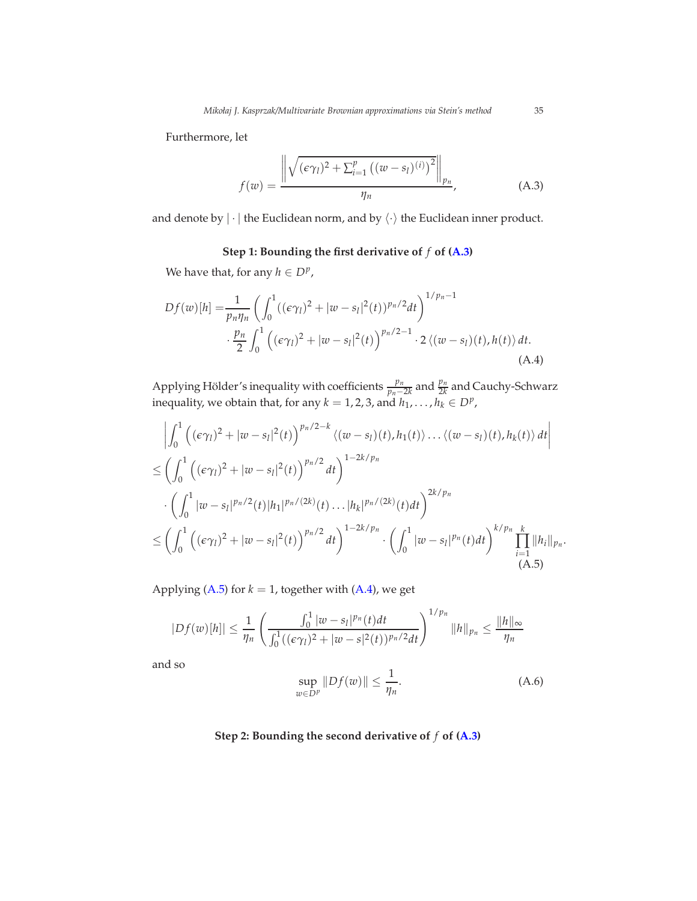Furthermore, let

<span id="page-34-0"></span>
$$
f(w) = \frac{\left\| \sqrt{(\epsilon \gamma_l)^2 + \sum_{i=1}^p ((w - s_l)^{(i)})^2} \right\|_{p_n}}{\eta_n},
$$
 (A.3)

and denote by  $|\cdot|$  the Euclidean norm, and by  $\langle \cdot \rangle$  the Euclidean inner product.

# <span id="page-34-2"></span>**Step 1: Bounding the first derivative of** *f* **of [\(A.3\)](#page-34-0)**

We have that, for any  $h \in D^p$ ,

$$
Df(w)[h] = \frac{1}{p_n \eta_n} \left( \int_0^1 ((\epsilon \gamma_l)^2 + |w - s_l|^2(t))^{p_n/2} dt \right)^{1/p_n - 1} \cdot \frac{p_n}{2} \int_0^1 ((\epsilon \gamma_l)^2 + |w - s_l|^2(t))^{p_n/2 - 1} \cdot 2 \langle (w - s_l)(t), h(t) \rangle dt.
$$
\n(A.4)

Applying Hölder's inequality with coefficients  $\frac{p_n}{p_n-2k}$  and  $\frac{p_n}{2k}$  and Cauchy-Schwarz inequality, we obtain that, for any  $k = 1, 2, 3$ , and  $h_1, \ldots, h_k \in D^p$ ,

$$
\left| \int_{0}^{1} \left( (\epsilon \gamma_{l})^{2} + |w - s_{l}|^{2}(t) \right)^{p_{n}/2 - k} \langle (w - s_{l})(t), h_{1}(t) \rangle \dots \langle (w - s_{l})(t), h_{k}(t) \rangle dt \right|
$$
  
\n
$$
\leq \left( \int_{0}^{1} \left( (\epsilon \gamma_{l})^{2} + |w - s_{l}|^{2}(t) \right)^{p_{n}/2} dt \right)^{1 - 2k/p_{n}}
$$
  
\n
$$
\cdot \left( \int_{0}^{1} |w - s_{l}|^{p_{n}/2}(t) |h_{1}|^{p_{n}/2(k)}(t) \dots |h_{k}|^{p_{n}/2(k)}(t) dt \right)^{2k/p_{n}}
$$
  
\n
$$
\leq \left( \int_{0}^{1} \left( (\epsilon \gamma_{l})^{2} + |w - s_{l}|^{2}(t) \right)^{p_{n}/2} dt \right)^{1 - 2k/p_{n}} \cdot \left( \int_{0}^{1} |w - s_{l}|^{p_{n}}(t) dt \right)^{k/p_{n}} \prod_{i=1}^{k} ||h_{i}||_{p_{n}}.
$$
  
\n(A.5)

Applying [\(A.5\)](#page-34-1) for  $k = 1$ , together with [\(A.4\)](#page-34-2), we get

$$
|Df(w)[h]| \leq \frac{1}{\eta_n} \left( \frac{\int_0^1 |w-s_l|^{p_n}(t)dt}{\int_0^1 ((\epsilon \gamma_l)^2 + |w-s|^2(t))^{p_n/2}dt} \right)^{1/p_n} ||h||_{p_n} \leq \frac{||h||_{\infty}}{\eta_n}
$$

and so

<span id="page-34-3"></span><span id="page-34-1"></span>
$$
\sup_{w \in D^p} \|Df(w)\| \le \frac{1}{\eta_n}.\tag{A.6}
$$

# **Step 2: Bounding the second derivative of** *f* **of [\(A.3\)](#page-34-0)**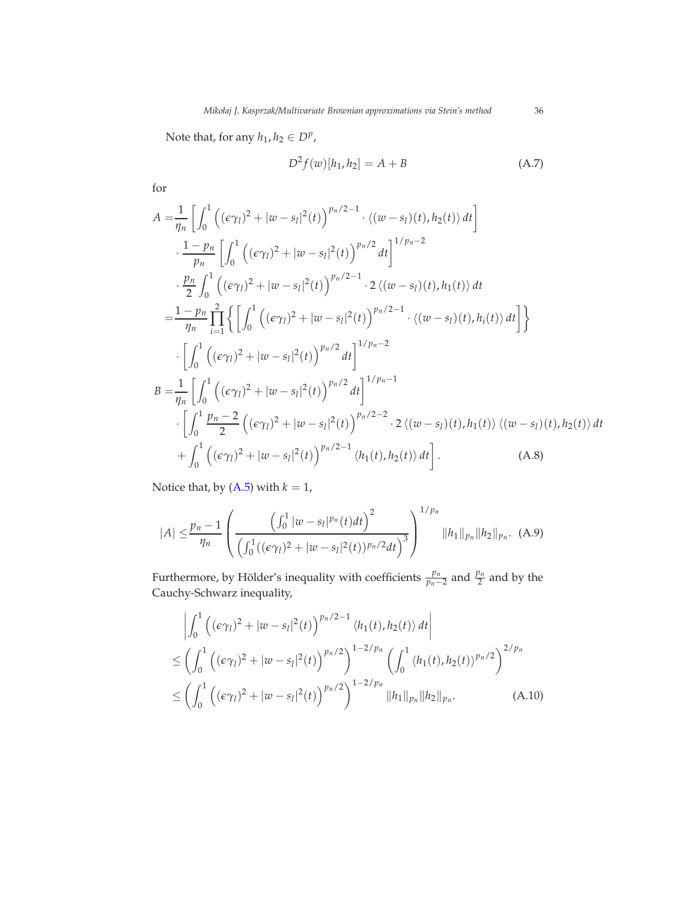Note that, for any  $h_1, h_2 \in D^p$ ,

<span id="page-35-1"></span>
$$
D^{2} f(w)[h_{1}, h_{2}] = A + B \tag{A.7}
$$

for

$$
A = \frac{1}{\eta_n} \left[ \int_0^1 ((\epsilon \gamma_l)^2 + |w - s_l|^2(t))^{p_n/2 - 1} \cdot \langle (w - s_l)(t), h_2(t) \rangle dt \right]
$$
  
\n
$$
\cdot \frac{1 - p_n}{p_n} \left[ \int_0^1 ((\epsilon \gamma_l)^2 + |w - s_l|^2(t))^{p_n/2} dt \right]^{1/p_n - 2}
$$
  
\n
$$
\cdot \frac{p_n}{2} \int_0^1 ((\epsilon \gamma_l)^2 + |w - s_l|^2(t))^{p_n/2 - 1} \cdot 2 \langle (w - s_l)(t), h_1(t) \rangle dt
$$
  
\n
$$
= \frac{1 - p_n}{\eta_n} \prod_{i=1}^2 \left\{ \left[ \int_0^1 ((\epsilon \gamma_l)^2 + |w - s_l|^2(t))^{p_n/2 - 1} \cdot \langle (w - s_l)(t), h_i(t) \rangle dt \right] \right\}
$$
  
\n
$$
\cdot \left[ \int_0^1 ((\epsilon \gamma_l)^2 + |w - s_l|^2(t))^{p_n/2} dt \right]^{1/p_n - 2}
$$
  
\n
$$
B = \frac{1}{\eta_n} \left[ \int_0^1 ((\epsilon \gamma_l)^2 + |w - s_l|^2(t))^{p_n/2} dt \right]^{1/p_n - 1}
$$
  
\n
$$
\cdot \left[ \int_0^1 \frac{p_n - 2}{2} ((\epsilon \gamma_l)^2 + |w - s_l|^2(t))^{p_n/2 - 2} \cdot 2 \langle (w - s_l)(t), h_1(t) \rangle \langle (w - s_l)(t), h_2(t) \rangle dt \right]
$$
  
\n
$$
+ \int_0^1 ((\epsilon \gamma_l)^2 + |w - s_l|^2(t))^{p_n/2 - 1} \langle h_1(t), h_2(t) \rangle dt \right].
$$
 (A.8)

Notice that, by  $(A.5)$  with  $k = 1$ ,

<span id="page-35-2"></span>
$$
|A| \leq \frac{p_n - 1}{\eta_n} \left( \frac{\left(\int_0^1 |w - s_I|^{p_n}(t) dt\right)^2}{\left(\int_0^1 ((\epsilon \gamma_I)^2 + |w - s_I|^2(t))^{p_n/2} dt\right)^3} \right)^{1/p_n} ||h_1||_{p_n} ||h_2||_{p_n}.
$$
 (A.9)

Furthermore, by Hölder's inequality with coefficients  $\frac{p_n}{p_n-2}$  and  $\frac{p_n}{2}$  and by the Cauchy-Schwarz inequality,

<span id="page-35-0"></span>
$$
\left| \int_0^1 \left( (\epsilon \gamma_l)^2 + |w - s_l|^2(t) \right)^{p_n/2 - 1} \langle h_1(t), h_2(t) \rangle dt \right|
$$
  
\n
$$
\leq \left( \int_0^1 \left( (\epsilon \gamma_l)^2 + |w - s_l|^2(t) \right)^{p_n/2} \right)^{1 - 2/p_n} \left( \int_0^1 \langle h_1(t), h_2(t) \rangle^{p_n/2} \right)^{2/p_n}
$$
  
\n
$$
\leq \left( \int_0^1 \left( (\epsilon \gamma_l)^2 + |w - s_l|^2(t) \right)^{p_n/2} \right)^{1 - 2/p_n} ||h_1||_{p_n} ||h_2||_{p_n}.
$$
 (A.10)

<span id="page-35-3"></span>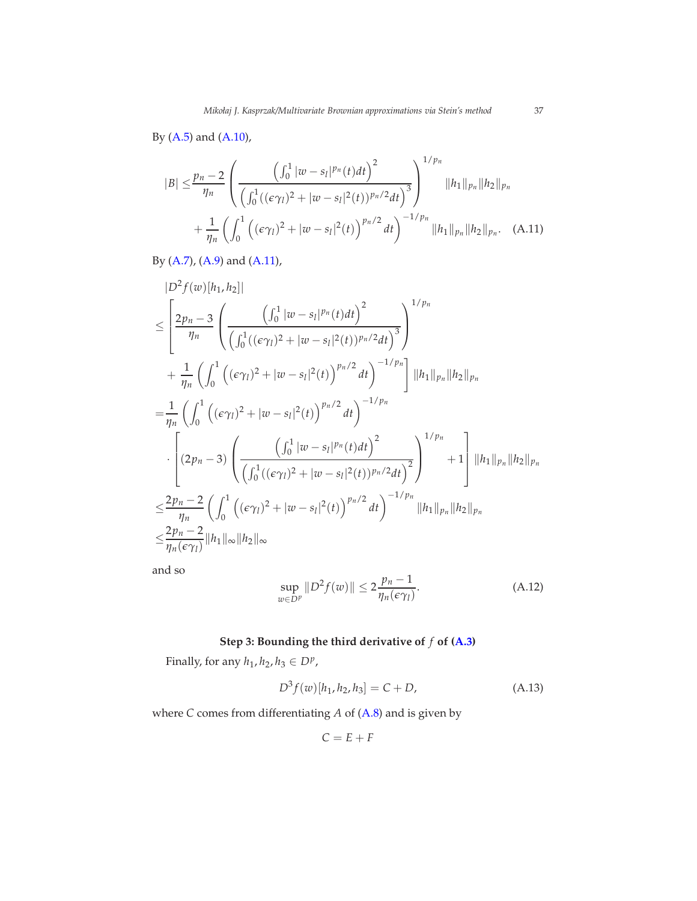By [\(A.5\)](#page-34-1) and [\(A.10\)](#page-35-0),

<span id="page-36-0"></span>
$$
|B| \leq \frac{p_n - 2}{\eta_n} \left( \frac{\left(\int_0^1 |w - s_l|^{p_n}(t)dt\right)^2}{\left(\int_0^1 ((\epsilon \gamma_l)^2 + |w - s_l|^2(t))^{p_n/2}dt\right)^3} \right)^{1/p_n} ||h_1||_{p_n} ||h_2||_{p_n} + \frac{1}{\eta_n} \left(\int_0^1 \left((\epsilon \gamma_l)^2 + |w - s_l|^2(t)\right)^{p_n/2}dt\right)^{-1/p_n} ||h_1||_{p_n} ||h_2||_{p_n}.
$$
 (A.11)

By [\(A.7\)](#page-35-1), [\(A.9\)](#page-35-2) and [\(A.11\)](#page-36-0),

$$
|D^{2} f(w)[h_{1}, h_{2}]|
$$
\n
$$
\leq \left[\frac{2p_{n}-3}{\eta_{n}} \left(\frac{\left(\int_{0}^{1} |w-s_{l}|^{p_{n}}(t)dt\right)^{2}}{\left(\int_{0}^{1} ((\epsilon \gamma_{l})^{2} + |w-s_{l}|^{2}(t))^{p_{n}/2}dt\right)^{3}}\right)^{1/p_{n}}\right]^{1/p_{n}}
$$
\n
$$
+\frac{1}{\eta_{n}} \left(\int_{0}^{1} \left((\epsilon \gamma_{l})^{2} + |w-s_{l}|^{2}(t)\right)^{p_{n}/2}dt\right)^{-1/p_{n}}\right] ||h_{1}||_{p_{n}} ||h_{2}||_{p_{n}}
$$
\n
$$
=\frac{1}{\eta_{n}} \left(\int_{0}^{1} \left((\epsilon \gamma_{l})^{2} + |w-s_{l}|^{2}(t)\right)^{p_{n}/2}dt\right)^{-1/p_{n}}
$$
\n
$$
\cdot \left[(2p_{n}-3) \left(\frac{\left(\int_{0}^{1} |w-s_{l}|^{p_{n}}(t)dt\right)^{2}}{\left(\int_{0}^{1} ((\epsilon \gamma_{l})^{2} + |w-s_{l}|^{2}(t))^{p_{n}/2}dt\right)^{2}}\right)^{1/p_{n}} + 1\right] ||h_{1}||_{p_{n}} ||h_{2}||_{p_{n}}
$$
\n
$$
\leq \frac{2p_{n}-2}{\eta_{n}} \left(\int_{0}^{1} \left((\epsilon \gamma_{l})^{2} + |w-s_{l}|^{2}(t)\right)^{p_{n}/2}dt\right)^{-1/p_{n}} ||h_{1}||_{p_{n}} ||h_{2}||_{p_{n}}
$$
\n
$$
\leq \frac{2p_{n}-2}{\eta_{n}(\epsilon \gamma_{l})} ||h_{1}||_{\infty} ||h_{2}||_{\infty}
$$

and so

<span id="page-36-1"></span>
$$
\sup_{w \in D^p} \|D^2 f(w)\| \le 2 \frac{p_n - 1}{\eta_n(\epsilon \gamma_l)}.
$$
\n(A.12)

# **Step 3: Bounding the third derivative of** *f* **of [\(A.3\)](#page-34-0)**

Finally, for any  $h_1, h_2, h_3 \in D^p$ ,

$$
D^{3} f(w)[h_{1}, h_{2}, h_{3}] = C + D,
$$
\n(A.13)

where *C* comes from differentiating *A* of [\(A.8\)](#page-35-3) and is given by

$$
C = E + F
$$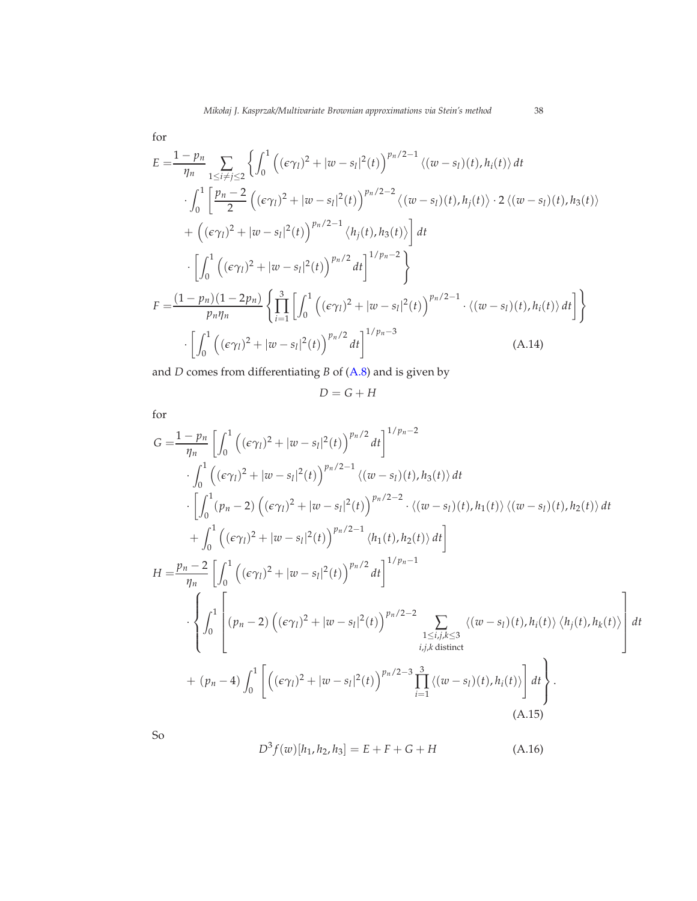for

$$
E = \frac{1 - p_n}{\eta_n} \sum_{1 \le i \ne j \le 2} \left\{ \int_0^1 \left( (\epsilon \gamma_l)^2 + |w - s_l|^2(t) \right)^{p_n/2 - 1} \langle (w - s_l)(t), h_i(t) \rangle dt \right. \\ \left. \int_0^1 \left[ \frac{p_n - 2}{2} \left( (\epsilon \gamma_l)^2 + |w - s_l|^2(t) \right)^{p_n/2 - 2} \langle (w - s_l)(t), h_j(t) \rangle \cdot 2 \langle (w - s_l)(t), h_3(t) \rangle \right. \\ \left. + \left( (\epsilon \gamma_l)^2 + |w - s_l|^2(t) \right)^{p_n/2 - 1} \langle h_j(t), h_3(t) \rangle \right] dt \right. \\ \left. \cdot \left[ \int_0^1 \left( (\epsilon \gamma_l)^2 + |w - s_l|^2(t) \right)^{p_n/2} dt \right]^{1/p_n - 2} \right\}
$$

$$
F = \frac{(1 - p_n)(1 - 2p_n)}{p_n \eta_n} \left\{ \prod_{i=1}^3 \left[ \int_0^1 \left( (\epsilon \gamma_l)^2 + |w - s_l|^2(t) \right)^{p_n/2 - 1} \cdot \langle (w - s_l)(t), h_i(t) \rangle dt \right] \right\}
$$

$$
\cdot \left[ \int_0^1 \left( (\epsilon \gamma_l)^2 + |w - s_l|^2(t) \right)^{p_n/2} dt \right]^{1/p_n - 3} \tag{A.14}
$$

and *D* comes from differentiating *B* of [\(A.8\)](#page-35-3) and is given by

<span id="page-37-0"></span>
$$
D = G + H
$$

for

$$
G = \frac{1 - p_n}{\eta_n} \left[ \int_0^1 ((\epsilon \gamma_l)^2 + |\omega - s_l|^2(t))^{p_n/2} dt \right]^{1/p_n - 2}
$$
  
\n
$$
\cdot \int_0^1 ((\epsilon \gamma_l)^2 + |\omega - s_l|^2(t))^{p_n/2 - 1} \langle (\omega - s_l)(t), h_3(t) \rangle dt
$$
  
\n
$$
\cdot \left[ \int_0^1 (p_n - 2) ((\epsilon \gamma_l)^2 + |\omega - s_l|^2(t))^{p_n/2 - 2} \cdot \langle (\omega - s_l)(t), h_1(t) \rangle \langle (\omega - s_l)(t), h_2(t) \rangle dt + \int_0^1 ((\epsilon \gamma_l)^2 + |\omega - s_l|^2(t))^{p_n/2 - 1} \langle h_1(t), h_2(t) \rangle dt \right]
$$
  
\n
$$
H = \frac{p_n - 2}{\eta_n} \left[ \int_0^1 ((\epsilon \gamma_l)^2 + |\omega - s_l|^2(t))^{p_n/2} dt \right]^{1/p_n - 1}
$$
  
\n
$$
\cdot \left\{ \int_0^1 \left[ (p_n - 2) ((\epsilon \gamma_l)^2 + |\omega - s_l|^2(t))^{p_n/2 - 2} \sum_{\substack{1 \le i, j, k \le 3 \\ i, j, k \text{ distinct}}} \langle (\omega - s_l)(t), h_i(t) \rangle \langle h_j(t), h_k(t) \rangle \right] dt + (p_n - 4) \int_0^1 \left[ ((\epsilon \gamma_l)^2 + |\omega - s_l|^2(t))^{p_n/2 - 3} \prod_{i=1}^3 \langle (\omega - s_l)(t), h_i(t) \rangle \right] dt \right\}.
$$
  
\n(A.15)

So

<span id="page-37-2"></span><span id="page-37-1"></span>
$$
D^{3} f(w)[h_{1}, h_{2}, h_{3}] = E + F + G + H \tag{A.16}
$$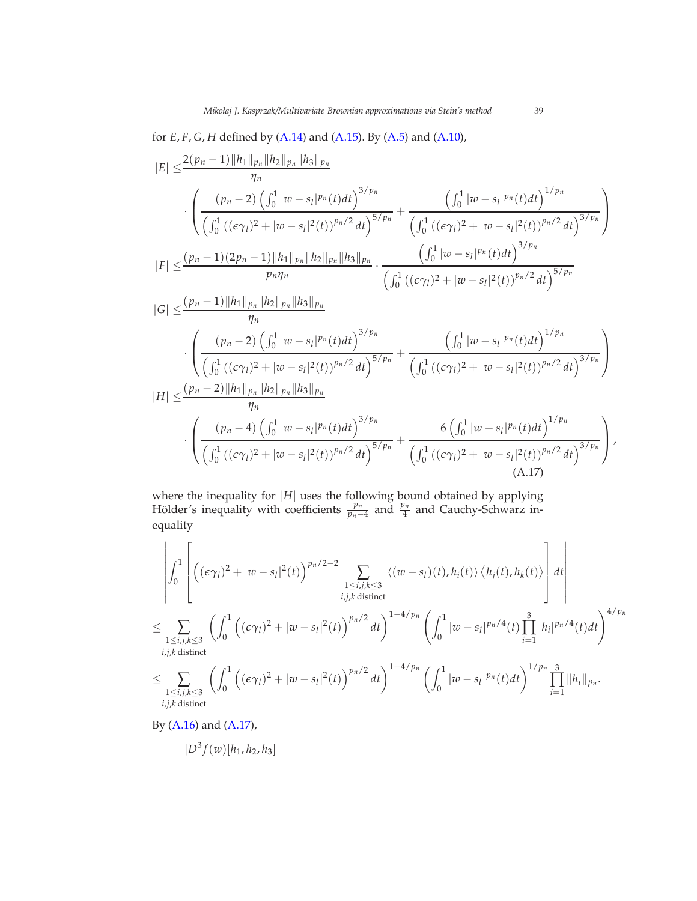for *E*, *F*, *G*, *H* defined by [\(A.14\)](#page-37-0) and [\(A.15\)](#page-37-1). By [\(A.5\)](#page-34-1) and [\(A.10\)](#page-35-0),

$$
|E| \leq \frac{2(p_n - 1)||h_1||_{p_n}||h_2||_{p_n}||h_3||_{p_n}}{\int (p_n - 2) \left(\int_0^1 |w - s_I|^{p_n}(t)dt\right)^{3/p_n}} + \frac{\left(\int_0^1 |w - s_I|^{p_n}(t)dt\right)^{1/p_n}}{\left(\int_0^1 \left((\epsilon \gamma_I)^2 + |w - s_I|^2(t)\right)^{p_n/2}dt\right)^{5/p_n}} + \frac{\left(\int_0^1 |w - s_I|^{p_n}(t)dt\right)^{1/p_n}}{\left(\int_0^1 \left((\epsilon \gamma_I)^2 + |w - s_I|^2(t)\right)^{p_n/2}dt\right)^{3/p_n}}\right)}
$$
\n
$$
|F| \leq \frac{(p_n - 1)(2p_n - 1)||h_1||_{p_n}||h_2||_{p_n}||h_3||_{p_n}}{p_n p_n} \cdot \frac{\left(\int_0^1 |w - s_I|^{p_n}(t)dt\right)^{3/p_n}}{\left(\int_0^1 \left((\epsilon \gamma_I)^2 + |w - s_I|^2(t)\right)^{p_n/2}dt\right)^{5/p_n}}\right)
$$
\n
$$
|G| \leq \frac{(p_n - 1)||h_1||_{p_n}||h_2||_{p_n}||h_3||_{p_n}}{\int (p_n - 2) \left(\int_0^1 |w - s_I|^{p_n}(t)dt\right)^{3/p_n}} + \frac{\left(\int_0^1 |w - s_I|^p^{n}(t)dt\right)^{1/p_n}}{\left(\int_0^1 \left((\epsilon \gamma_I)^2 + |w - s_I|^2(t)\right)^{p_n/2}dt\right)^{3/p_n}}\right)}
$$
\n
$$
|H| \leq \frac{(p_n - 2)||h_1||_{p_n}||h_2||_{p_n}||h_3||_{p_n}}{\eta_n} \cdot \frac{\left(\int_0^1 |w - s_I|^p^{n}(t)dt\right)^{3/p_n}}{\left(\int_0^1 \left((\epsilon \gamma_I)^2 + |w - s_I|^2(t)\right)^{p_n/2}dt\right)^{3/p_n}} + \frac{6\left(\int_0^1 |w - s_I|^p^{n}(t)dt\right)^{1/p_n}}{\left(\int_0^1 \left((\epsilon \gamma_I)^2 + |w - s_I|^2(t)\right)^{p_n/2}dt\right)^{3/p_n
$$

<span id="page-38-0"></span>where the inequality for  $|H|$  uses the following bound obtained by applying Hölder's inequality with coefficients  $\frac{p_n}{p_n-4}$  and  $\frac{p_n}{4}$  and Cauchy-Schwarz inequality

$$
\left|\int_{0}^{1} \left[ \left( (\epsilon \gamma_{l})^{2} + |\omega - s_{l}|^{2}(t) \right)^{p_{n}/2-2} \sum_{\substack{1 \leq i,j,k \leq 3 \\ i,j,k \text{ distinct}}} \langle (\omega - s_{l})(t), h_{i}(t) \rangle \langle h_{j}(t), h_{k}(t) \rangle \right] dt \right|
$$
  
\n
$$
\leq \sum_{\substack{1 \leq i,j,k \leq 3 \\ i,j,k \text{ distinct}}} \left( \int_{0}^{1} \left( (\epsilon \gamma_{l})^{2} + |\omega - s_{l}|^{2}(t) \right)^{p_{n}/2} dt \right)^{1-4/p_{n}} \left( \int_{0}^{1} |\omega - s_{l}|^{p_{n}/4}(t) \prod_{i=1}^{3} |h_{i}|^{p_{n}/4}(t) dt \right)^{4/p_{n}}
$$
  
\n
$$
\leq \sum_{\substack{1 \leq i,j,k \leq 3 \\ i,j,k \text{ distinct}}} \left( \int_{0}^{1} \left( (\epsilon \gamma_{l})^{2} + |\omega - s_{l}|^{2}(t) \right)^{p_{n}/2} dt \right)^{1-4/p_{n}} \left( \int_{0}^{1} |\omega - s_{l}|^{p_{n}}(t) dt \right)^{1/p_{n}} \prod_{i=1}^{3} ||h_{i}||_{p_{n}}.
$$

By [\(A.16\)](#page-37-2) and [\(A.17\)](#page-38-0),

$$
|D^3 f(w)[h_1, h_2, h_3]|
$$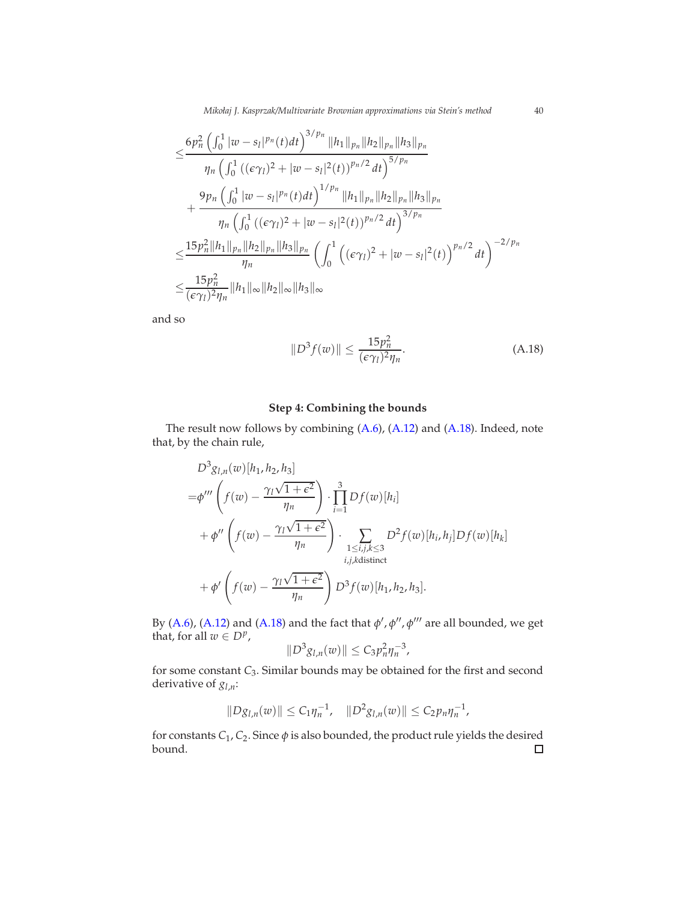*Mikołaj J. Kasprzak/Multivariate Brownian approximations via Stein's method* 40

$$
\leq \frac{6p_n^2\left(\int_0^1 |w-s_I|^{p_n}(t)dt\right)^{3/p_n}||h_1||_{p_n}||h_2||_{p_n}||h_3||_{p_n}}{\eta_n\left(\int_0^1 ((\epsilon \gamma_I)^2 + |w-s_I|^2(t))^{p_n/2} dt\right)^{5/p_n}} + \frac{9p_n\left(\int_0^1 |w-s_I|^{p_n}(t)dt\right)^{1/p_n}||h_1||_{p_n}||h_2||_{p_n}||h_3||_{p_n}}{\eta_n\left(\int_0^1 ((\epsilon \gamma_I)^2 + |w-s_I|^2(t))^{p_n/2} dt\right)^{3/p_n}} \leq \frac{15p_n^2||h_1||_{p_n}||h_2||_{p_n}||h_3||_{p_n}}{\eta_n}\left(\int_0^1 ((\epsilon \gamma_I)^2 + |w-s_I|^2(t))^{p_n/2} dt\right)^{-2/p_n}
$$
  

$$
\leq \frac{15p_n^2}{(\epsilon \gamma_I)^2 \eta_n}||h_1||_{\infty}||h_2||_{\infty}||h_3||_{\infty}
$$

and so

<span id="page-39-0"></span>
$$
||D^3 f(w)|| \le \frac{15p_n^2}{(\epsilon \gamma_l)^2 \eta_n}.
$$
\n(A.18)

# **Step 4: Combining the bounds**

The result now follows by combining [\(A.6\)](#page-34-3), [\(A.12\)](#page-36-1) and [\(A.18\)](#page-39-0). Indeed, note that, by the chain rule,

$$
D^{3}g_{l,n}(w)[h_{1},h_{2},h_{3}]
$$
  
\n
$$
=\phi''' \left(f(w) - \frac{\gamma_{l}\sqrt{1+\epsilon^{2}}}{\eta_{n}}\right) \cdot \prod_{i=1}^{3} Df(w)[h_{i}]
$$
  
\n
$$
+\phi'' \left(f(w) - \frac{\gamma_{l}\sqrt{1+\epsilon^{2}}}{\eta_{n}}\right) \cdot \sum_{\substack{1 \le i,j,k \le 3 \\ i,j,k \text{distinct}}} D^{2}f(w)[h_{i},h_{j}]Df(w)[h_{k}]
$$
  
\n
$$
+\phi' \left(f(w) - \frac{\gamma_{l}\sqrt{1+\epsilon^{2}}}{\eta_{n}}\right) D^{3}f(w)[h_{1},h_{2},h_{3}].
$$

By [\(A.6\)](#page-34-3), [\(A.12\)](#page-36-1) and [\(A.18\)](#page-39-0) and the fact that *φ* ′ , *φ* ′′ , *φ* ′′′ are all bounded, we get that, for all  $w \in D^p$ ,

$$
||D^3g_{l,n}(w)|| \leq C_3 p_n^2 \eta_n^{-3},
$$

for some constant *C*3. Similar bounds may be obtained for the first and second derivative of *gl*,*n*:

$$
||Dg_{l,n}(w)|| \leq C_1 \eta_n^{-1}, \quad ||D^2 g_{l,n}(w)|| \leq C_2 p_n \eta_n^{-1},
$$

for constants *C*<sup>1</sup> , *C*2. Since *φ* is also bounded, the product rule yields the desired bound.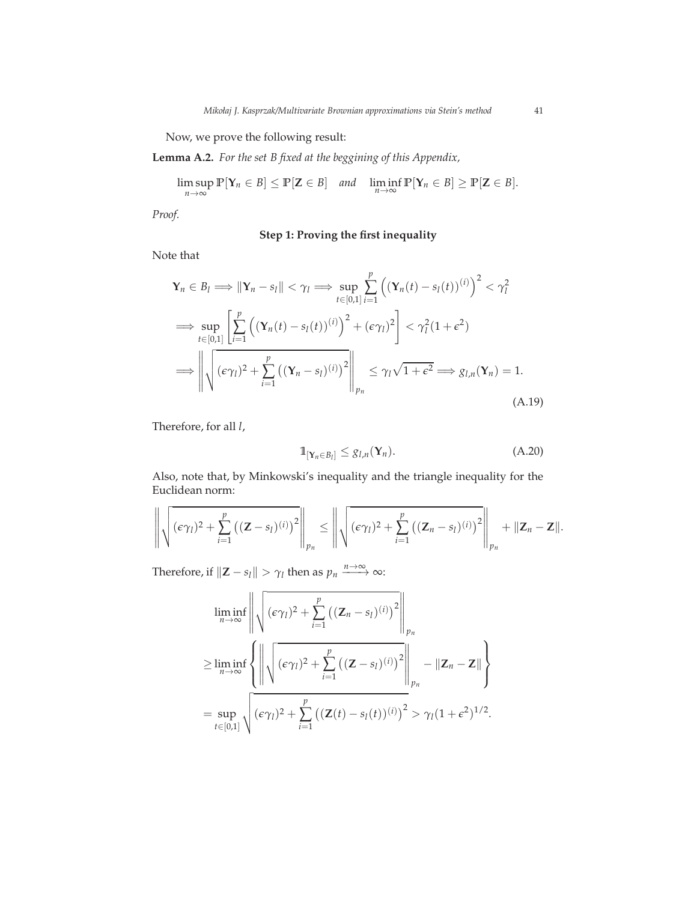Now, we prove the following result:

<span id="page-40-1"></span>**Lemma A.2.** *For the set B fixed at the beggining of this Appendix,*

$$
\limsup_{n\to\infty}\mathbb{P}[\mathbf{Y}_n\in B]\leq \mathbb{P}[\mathbf{Z}\in B] \quad and \quad \liminf_{n\to\infty}\mathbb{P}[\mathbf{Y}_n\in B]\geq \mathbb{P}[\mathbf{Z}\in B].
$$

*Proof.*

# **Step 1: Proving the first inequality**

Note that

$$
\mathbf{Y}_n \in B_l \Longrightarrow \|\mathbf{Y}_n - s_l\| < \gamma_l \Longrightarrow \sup_{t \in [0,1]} \sum_{i=1}^p \left( (\mathbf{Y}_n(t) - s_l(t))^{(i)} \right)^2 < \gamma_l^2
$$
  
\n
$$
\Longrightarrow \sup_{t \in [0,1]} \left[ \sum_{i=1}^p \left( (\mathbf{Y}_n(t) - s_l(t))^{(i)} \right)^2 + (\epsilon \gamma_l)^2 \right] < \gamma_l^2 (1 + \epsilon^2)
$$
  
\n
$$
\Longrightarrow \left\| \sqrt{(\epsilon \gamma_l)^2 + \sum_{i=1}^p \left( (\mathbf{Y}_n - s_l)^{(i)} \right)^2} \right\|_{p_n} \le \gamma_l \sqrt{1 + \epsilon^2} \Longrightarrow g_{l,n}(\mathbf{Y}_n) = 1.
$$
\n(A.19)

Therefore, for all *l*,

<span id="page-40-0"></span>
$$
\mathbb{1}_{[\mathbf{Y}_n \in B_l]} \leq g_{l,n}(\mathbf{Y}_n). \tag{A.20}
$$

Also, note that, by Minkowski's inequality and the triangle inequality for the Euclidean norm:

$$
\left\|\sqrt{(\epsilon\gamma_l)^2+\sum_{i=1}^p((\mathbf{Z}-s_l)^{(i)})^2}\right\|_{p_n}\leq \left\|\sqrt{(\epsilon\gamma_l)^2+\sum_{i=1}^p((\mathbf{Z}_n-s_l)^{(i)})^2}\right\|_{p_n}+\|\mathbf{Z}_n-\mathbf{Z}\|.
$$

Therefore, if  $\|\mathbf{Z} - s_l\| > \gamma_l$  then as  $p_n \xrightarrow{n \to \infty} \infty$ :

$$
\liminf_{n \to \infty} \left\| \sqrt{(\epsilon \gamma_l)^2 + \sum_{i=1}^p ((\mathbf{Z}_n - s_l)^{(i)})^2} \right\|_{p_n}
$$
\n
$$
\geq \liminf_{n \to \infty} \left\{ \left\| \sqrt{(\epsilon \gamma_l)^2 + \sum_{i=1}^p ((\mathbf{Z} - s_l)^{(i)})^2} \right\|_{p_n} - \|\mathbf{Z}_n - \mathbf{Z}\| \right\}
$$
\n
$$
= \sup_{t \in [0,1]} \sqrt{(\epsilon \gamma_l)^2 + \sum_{i=1}^p ((\mathbf{Z}(t) - s_l(t))^{(i)})^2} > \gamma_l (1 + \epsilon^2)^{1/2}.
$$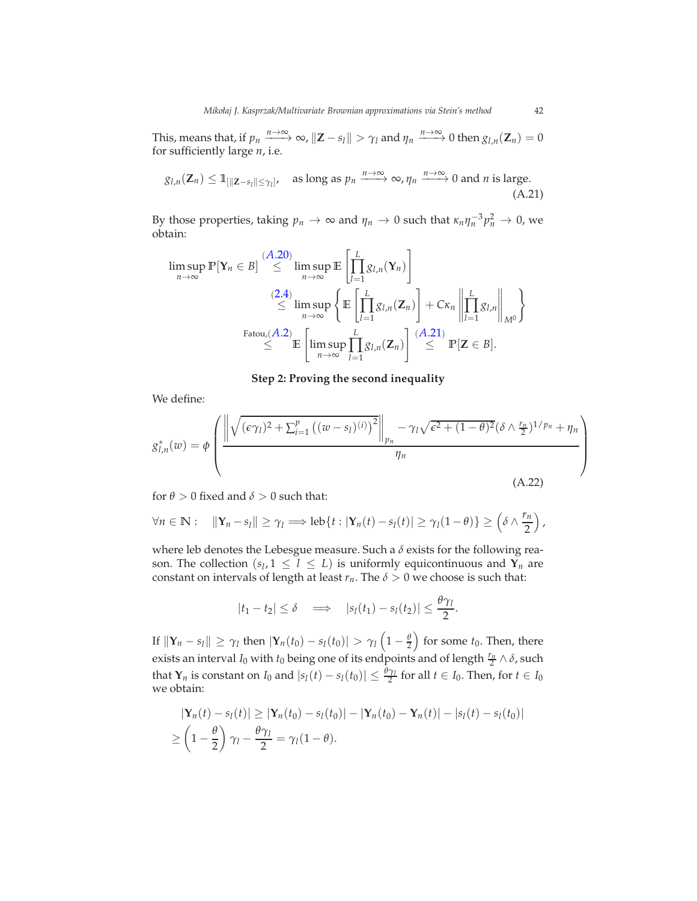This, means that, if  $p_n \xrightarrow{n \to \infty} \infty$ ,  $\|\mathbf{Z} - s_l\| > \gamma_l$  and  $\eta_n \xrightarrow{n \to \infty} 0$  then  $g_{l,n}(\mathbf{Z}_n) = 0$ for sufficiently large *n*, i.e.

$$
g_{l,n}(\mathbf{Z}_n) \leq \mathbb{1}_{\left[\|\mathbf{Z}-s_l\| \leq \gamma_l\right]}, \quad \text{as long as } p_n \xrightarrow{n \to \infty} \infty, \eta_n \xrightarrow{n \to \infty} 0 \text{ and } n \text{ is large.}
$$
\n(A.21)

By those properties, taking  $p_n \to \infty$  and  $\eta_n \to 0$  such that  $\kappa_n \eta_n^{-3} p_n^2 \to 0$ , we obtain:

$$
\limsup_{n \to \infty} \mathbb{P}[Y_n \in B] \stackrel{(A.20)}{\leq} \limsup_{n \to \infty} \mathbb{E} \left[ \prod_{l=1}^{L} g_{l,n}(Y_n) \right]
$$
\n
$$
\stackrel{(2.4)}{\leq} \limsup_{n \to \infty} \left\{ \mathbb{E} \left[ \prod_{l=1}^{L} g_{l,n}(Z_n) \right] + C \kappa_n \left\| \prod_{l=1}^{L} g_{l,n} \right\|_{M^0} \right\}
$$
\n
$$
\stackrel{\text{Fatou}(A.2)}{\leq} \mathbb{E} \left[ \limsup_{n \to \infty} \prod_{l=1}^{L} g_{l,n}(Z_n) \right] \stackrel{(A.21)}{\leq} \mathbb{P}[Z \in B].
$$

<span id="page-41-0"></span>**Step 2: Proving the second inequality**

We define:

$$
g_{l,n}^*(w) = \phi \left( \frac{\left\| \sqrt{(\epsilon \gamma_l)^2 + \sum_{i=1}^p ((w - s_l)^{(i)})^2} \right\|_{p_n} - \gamma_l \sqrt{\epsilon^2 + (1 - \theta)^2} (\delta \wedge \frac{r_n}{2})^{1/p_n} + \eta_n}{\eta_n} \right)
$$
(A.22)

for  $\theta > 0$  fixed and  $\delta > 0$  such that:

$$
\forall n \in \mathbb{N}: \quad \|\mathbf{Y}_n - s_l\| \geq \gamma_l \Longrightarrow \operatorname{leb}\{t : |\mathbf{Y}_n(t) - s_l(t)| \geq \gamma_l(1-\theta)\} \geq \left(\delta \wedge \frac{r_n}{2}\right),
$$

where leb denotes the Lebesgue measure. Such a *δ* exists for the following reason. The collection  $(s_l, 1 \leq l \leq L)$  is uniformly equicontinuous and  $\mathbf{Y}_n$  are constant on intervals of length at least  $r_n$ . The  $\delta > 0$  we choose is such that:

$$
|t_1-t_2|\leq \delta \quad \Longrightarrow \quad |s_l(t_1)-s_l(t_2)|\leq \frac{\theta\gamma_l}{2}.
$$

If  $\|\mathbf{Y}_n - s_l\| \geq \gamma_l$  then  $|\mathbf{Y}_n(t_0) - s_l(t_0)| > \gamma_l\left(1-\frac{\theta}{2}\right)$  for some  $t_0$ . Then, there exists an interval *I*<sub>0</sub> with *t*<sub>0</sub> being one of its endpoints and of length  $\frac{r_n}{2} \wedge \delta$ , such that  $\mathbf{Y}_n$  is constant on  $I_0$  and  $|s_l(t) - s_l(t_0)| \leq \frac{\theta \gamma_l}{2}$  for all  $t \in I_0$ . Then, for  $t \in I_0$ we obtain:

$$
|\mathbf{Y}_n(t) - s_l(t)| \ge |\mathbf{Y}_n(t_0) - s_l(t_0)| - |\mathbf{Y}_n(t_0) - \mathbf{Y}_n(t)| - |s_l(t) - s_l(t_0)|
$$
  
\n
$$
\ge \left(1 - \frac{\theta}{2}\right)\gamma_l - \frac{\theta\gamma_l}{2} = \gamma_l(1 - \theta).
$$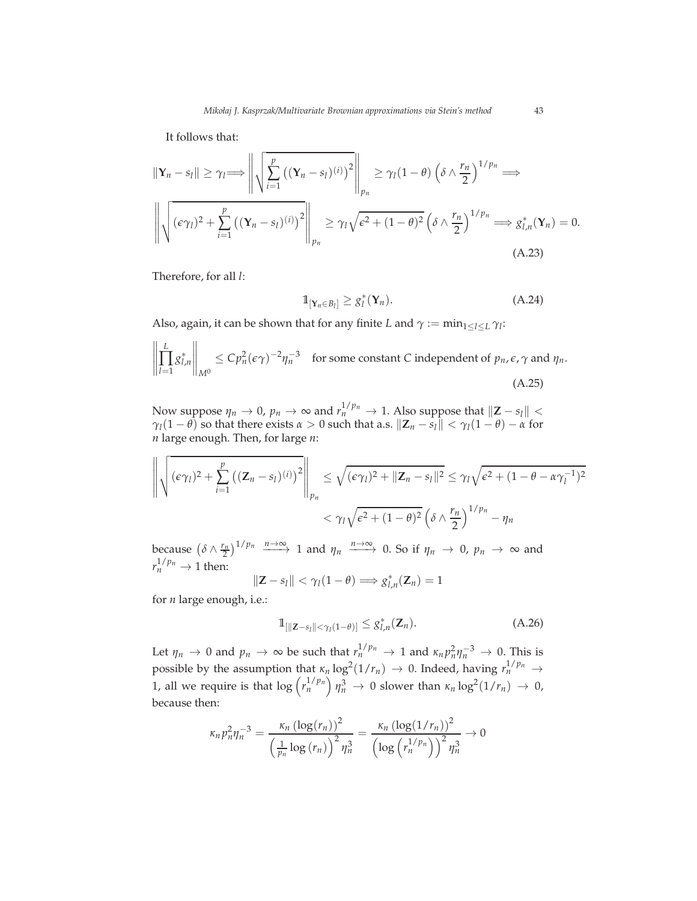It follows that:

$$
\|\mathbf{Y}_n - s_l\| \geq \gamma_l \Longrightarrow \left\| \sqrt{\sum_{i=1}^p ((\mathbf{Y}_n - s_l)^{(i)})^2} \right\|_{p_n} \geq \gamma_l (1 - \theta) \left(\delta \wedge \frac{r_n}{2}\right)^{1/p_n} \Longrightarrow
$$

$$
\left\| \sqrt{(\epsilon \gamma_l)^2 + \sum_{i=1}^p ((\mathbf{Y}_n - s_l)^{(i)})^2} \right\|_{p_n} \geq \gamma_l \sqrt{\epsilon^2 + (1 - \theta)^2} \left(\delta \wedge \frac{r_n}{2}\right)^{1/p_n} \Longrightarrow g_{l,n}^*(\mathbf{Y}_n) = 0.
$$
(A.23)

Therefore, for all *l*:

<span id="page-42-1"></span>
$$
\mathbb{1}_{[\mathbf{Y}_n \in B_l]} \geq g_l^*(\mathbf{Y}_n). \tag{A.24}
$$

Also, again, it can be shown that for any finite *L* and  $\gamma := \min_{1 \leq l \leq L} \gamma_l$ :

$$
\left\| \prod_{l=1}^{L} g_{l,n}^{*} \right\|_{M^{0}} \leq C p_{n}^{2} (\epsilon \gamma)^{-2} \eta_{n}^{-3} \quad \text{for some constant } C \text{ independent of } p_{n}, \epsilon, \gamma \text{ and } \eta_{n}.
$$
\n(A.25)

Now suppose  $\eta_n \to 0$ ,  $p_n \to \infty$  and  $r_n^{1/p_n} \to 1$ . Also suppose that  $||\mathbf{Z} - s_l|| <$ *γ*<sub>*l*</sub>(1 − *θ*) so that there exists *α* > 0 such that a.s.  $||\mathbf{Z}_n - \hat{s}_l|| < \gamma_l(1 - \theta) - \alpha$  for *n* large enough. Then, for large *n*:

$$
\left\| \sqrt{(\epsilon \gamma_l)^2 + \sum_{i=1}^p ((\mathbf{Z}_n - s_l)^{(i)})^2} \right\|_{p_n} \le \sqrt{(\epsilon \gamma_l)^2 + ||\mathbf{Z}_n - s_l||^2} \le \gamma_l \sqrt{\epsilon^2 + (1 - \theta - \alpha \gamma_l^{-1})^2}
$$

$$
< \gamma_l \sqrt{\epsilon^2 + (1 - \theta)^2} \left( \delta \wedge \frac{r_n}{2} \right)^{1/p_n} - \eta_n
$$

because  $(\delta \wedge \frac{r_n}{2})^{1/p_n} \xrightarrow{n \to \infty} 1$  and  $\eta_n \xrightarrow{n \to \infty} 0$ . So if  $\eta_n \to 0$ ,  $p_n \to \infty$  and  $r_n^{1/p_n} \to 1$  then:

$$
\|\mathbf{Z}-s_l\| < \gamma_l(1-\theta) \Longrightarrow g_{l,n}^*(\mathbf{Z}_n) = 1
$$

for *n* large enough, i.e.:

<span id="page-42-2"></span>
$$
\mathbb{1}_{\left[\|\mathbf{Z}-s_{l}\|<\gamma_{l}(1-\theta)\right]}\leq g_{l,n}^{*}(\mathbf{Z}_{n}).\tag{A.26}
$$

Let  $\eta_n \to 0$  and  $p_n \to \infty$  be such that  $r_n^{1/p_n} \to 1$  and  $\kappa_n p_n^2 \eta_n^{-3} \to 0$ . This is possible by the assumption that  $\kappa_n \log^2(1/r_n) \to 0$ . Indeed, having  $r_n^{1/p_n} \to$ 1, all we require is that  $\log \left( r_n^{1/p_n} \right) \eta_n^3 \to 0$  slower than  $\kappa_n \log^2(1/r_n) \to 0$ , because then:

$$
\kappa_n p_n^2 \eta_n^{-3} = \frac{\kappa_n \left(\log(r_n)\right)^2}{\left(\frac{1}{p_n} \log(r_n)\right)^2 \eta_n^3} = \frac{\kappa_n \left(\log(1/r_n)\right)^2}{\left(\log\left(r_n^{1/p_n}\right)\right)^2 \eta_n^3} \to 0
$$

<span id="page-42-0"></span>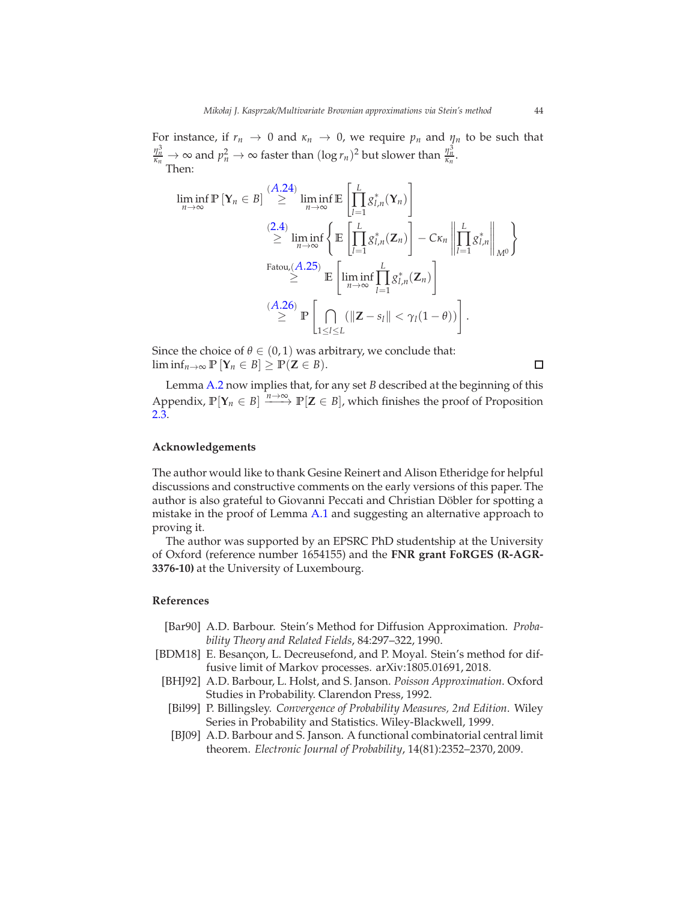For instance, if  $r_n \to 0$  and  $\kappa_n \to 0$ , we require  $p_n$  and  $\eta_n$  to be such that  $\frac{\eta_n^3}{\kappa_n} \to \infty$  and  $p_n^2 \to \infty$  faster than  $(\log r_n)^2$  but slower than  $\frac{\eta_n^3}{\kappa_n}$ . Then:

$$
\liminf_{n \to \infty} \mathbb{P} \left[ Y_n \in B \right] \stackrel{(A.24)}{\geq} \liminf_{n \to \infty} \mathbb{E} \left[ \prod_{l=1}^{L} g_{l,n}^*(Y_n) \right]
$$
\n
$$
\stackrel{(2.4)}{\geq} \liminf_{n \to \infty} \left\{ \mathbb{E} \left[ \prod_{l=1}^{L} g_{l,n}^*(Z_n) \right] - C \kappa_n \left\| \prod_{l=1}^{L} g_{l,n}^* \right\|_{M^0} \right\}
$$
\n
$$
\stackrel{\text{Fatou}(A.25)}{\geq} \mathbb{E} \left[ \liminf_{n \to \infty} \prod_{l=1}^{L} g_{l,n}^*(Z_n) \right]
$$
\n
$$
\stackrel{(A.26)}{\geq} \mathbb{P} \left[ \bigcap_{1 \leq l \leq L} (\|Z - s_l\| < \gamma_l(1 - \theta)) \right].
$$

Since the choice of  $\theta \in (0,1)$  was arbitrary, we conclude that: lim inf<sub>*n*→∞</sub>  $\mathbb{P}$   $[Y_n \in B] \geq \mathbb{P}(Z \in B)$ .

Lemma [A.2](#page-40-1) now implies that, for any set *B* described at the beginning of this Appendix,  $\mathbb{P}[\mathbf{Y}_n \in B] \xrightarrow{n \to \infty} \mathbb{P}[\mathbf{Z} \in B]$ , which finishes the proof of Proposition [2.3.](#page-7-1)

#### **Acknowledgements**

The author would like to thank Gesine Reinert and Alison Etheridge for helpful discussions and constructive comments on the early versions of this paper. The author is also grateful to Giovanni Peccati and Christian Döbler for spotting a mistake in the proof of Lemma [A.1](#page-33-1) and suggesting an alternative approach to proving it.

The author was supported by an EPSRC PhD studentship at the University of Oxford (reference number 1654155) and the **FNR grant FoRGES (R-AGR-3376-10)** at the University of Luxembourg.

### **References**

- <span id="page-43-0"></span>[Bar90] A.D. Barbour. Stein's Method for Diffusion Approximation. *Probability Theory and Related Fields*, 84:297–322, 1990.
- <span id="page-43-3"></span>[BDM18] E. Besançon, L. Decreusefond, and P. Moyal. Stein's method for diffusive limit of Markov processes. arXiv:1805.01691, 2018.
- <span id="page-43-2"></span>[BHJ92] A.D. Barbour, L. Holst, and S. Janson. *Poisson Approximation*. Oxford Studies in Probability. Clarendon Press, 1992.
- <span id="page-43-4"></span>[Bil99] P. Billingsley. *Convergence of Probability Measures, 2nd Edition*. Wiley Series in Probability and Statistics. Wiley-Blackwell, 1999.
- <span id="page-43-1"></span>[BJ09] A.D. Barbour and S. Janson. A functional combinatorial central limit theorem. *Electronic Journal of Probability*, 14(81):2352–2370, 2009.

 $\Box$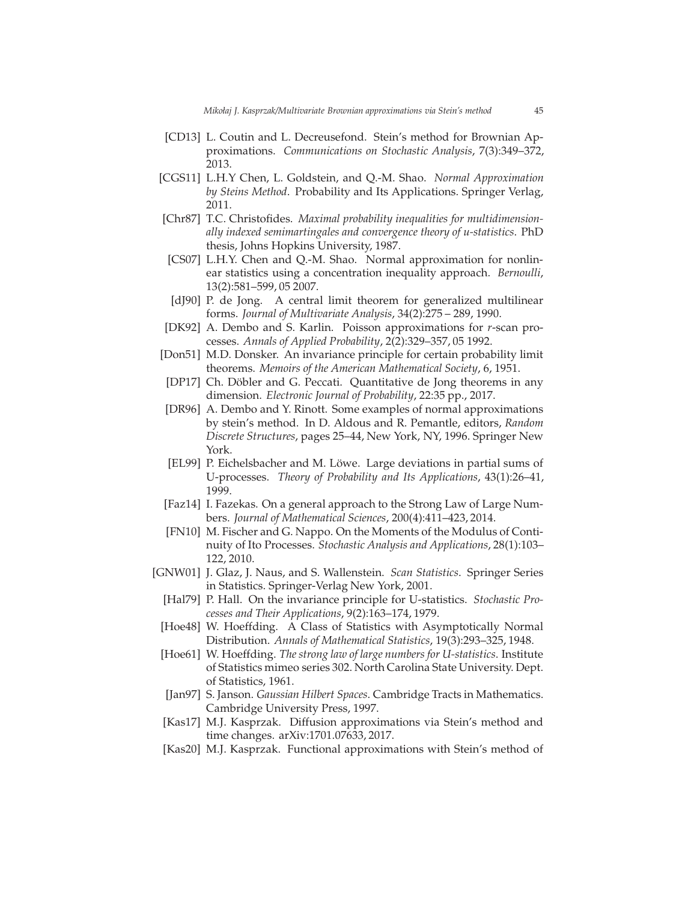- <span id="page-44-14"></span>[CD13] L. Coutin and L. Decreusefond. Stein's method for Brownian Approximations. *Communications on Stochastic Analysis*, 7(3):349–372, 2013.
- <span id="page-44-1"></span>[CGS11] L.H.Y Chen, L. Goldstein, and Q.-M. Shao. *Normal Approximation by Steins Method*. Probability and Its Applications. Springer Verlag, 2011.
- <span id="page-44-5"></span>[Chr87] T.C. Christofides. *Maximal probability inequalities for multidimensionally indexed semimartingales and convergence theory of u-statistics*. PhD thesis, Johns Hopkins University, 1987.
- <span id="page-44-10"></span>[CS07] L.H.Y. Chen and Q.-M. Shao. Normal approximation for nonlinear statistics using a concentration inequality approach. *Bernoulli*, 13(2):581–599, 05 2007.
- <span id="page-44-12"></span>[dJ90] P. de Jong. A central limit theorem for generalized multilinear forms. *Journal of Multivariate Analysis*, 34(2):275 – 289, 1990.
- <span id="page-44-3"></span>[DK92] A. Dembo and S. Karlin. Poisson approximations for *r*-scan processes. *Annals of Applied Probability*, 2(2):329–357, 05 1992.
- <span id="page-44-0"></span>[Don51] M.D. Donsker. An invariance principle for certain probability limit theorems. *Memoirs of the American Mathematical Society*, 6, 1951.
- <span id="page-44-11"></span>[DP17] Ch. Döbler and G. Peccati. Quantitative de Jong theorems in any dimension. *Electronic Journal of Probability*, 22:35 pp., 2017.
- <span id="page-44-4"></span>[DR96] A. Dembo and Y. Rinott. Some examples of normal approximations by stein's method. In D. Aldous and R. Pemantle, editors, *Random Discrete Structures*, pages 25–44, New York, NY, 1996. Springer New York.
- <span id="page-44-9"></span>[EL99] P. Eichelsbacher and M. Löwe. Large deviations in partial sums of U-processes. *Theory of Probability and Its Applications*, 43(1):26–41, 1999.
- <span id="page-44-18"></span>[Faz14] I. Fazekas. On a general approach to the Strong Law of Large Numbers. *Journal of Mathematical Sciences*, 200(4):411–423, 2014.
- <span id="page-44-17"></span>[FN10] M. Fischer and G. Nappo. On the Moments of the Modulus of Continuity of Ito Processes. *Stochastic Analysis and Applications*, 28(1):103– 122, 2010.
- <span id="page-44-13"></span><span id="page-44-2"></span>[GNW01] J. Glaz, J. Naus, and S. Wallenstein. *Scan Statistics*. Springer Series in Statistics. Springer-Verlag New York, 2001.
	- [Hal79] P. Hall. On the invariance principle for U-statistics. *Stochastic Processes and Their Applications*, 9(2):163–174, 1979.
- <span id="page-44-7"></span>[Hoe48] W. Hoeffding. A Class of Statistics with Asymptotically Normal Distribution. *Annals of Mathematical Statistics*, 19(3):293–325, 1948.
- <span id="page-44-6"></span>[Hoe61] W. Hoeffding. *The strong law of large numbers for U-statistics*. Institute of Statistics mimeo series 302. North Carolina State University. Dept. of Statistics, 1961.
- <span id="page-44-8"></span>[Jan97] S. Janson. *Gaussian Hilbert Spaces*. Cambridge Tracts in Mathematics. Cambridge University Press, 1997.
- <span id="page-44-15"></span>[Kas17] M.J. Kasprzak. Diffusion approximations via Stein's method and time changes. arXiv:1701.07633, 2017.
- <span id="page-44-16"></span>[Kas20] M.J. Kasprzak. Functional approximations with Stein's method of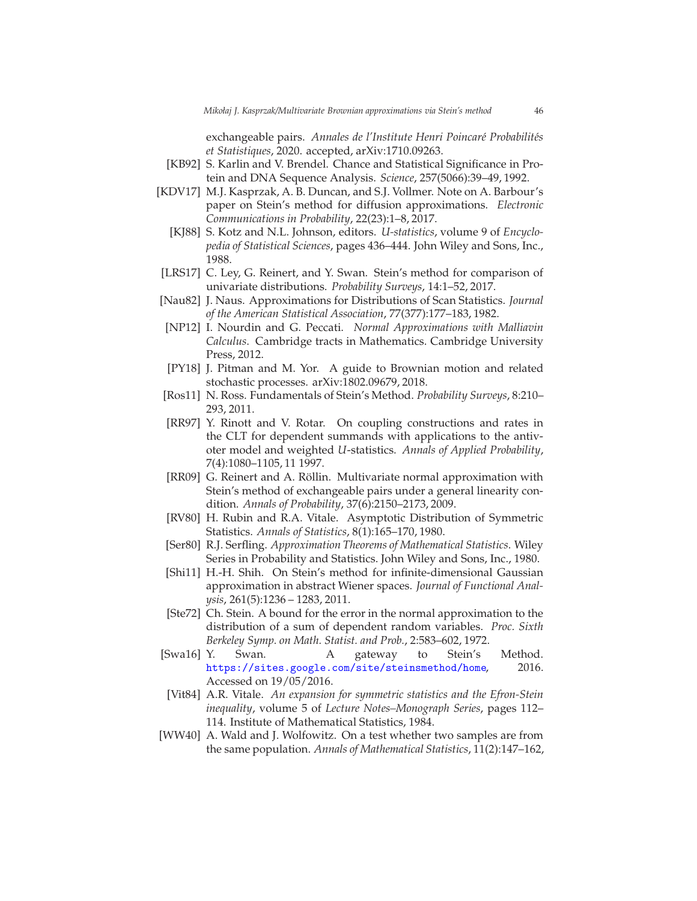exchangeable pairs. *Annales de l'Institute Henri Poincaré Probabilités et Statistiques*, 2020. accepted, arXiv:1710.09263.

- <span id="page-45-3"></span>[KB92] S. Karlin and V. Brendel. Chance and Statistical Significance in Protein and DNA Sequence Analysis. *Science*, 257(5066):39–49, 1992.
- <span id="page-45-14"></span><span id="page-45-4"></span>[KDV17] M.J. Kasprzak, A. B. Duncan, and S.J. Vollmer. Note on A. Barbour's paper on Stein's method for diffusion approximations. *Electronic Communications in Probability*, 22(23):1–8, 2017.
	- [KJ88] S. Kotz and N.L. Johnson, editors. *U-statistics*, volume 9 of *Encyclopedia of Statistical Sciences*, pages 436–444. John Wiley and Sons, Inc., 1988.
- <span id="page-45-10"></span>[LRS17] C. Ley, G. Reinert, and Y. Swan. Stein's method for comparison of univariate distributions. *Probability Surveys*, 14:1–52, 2017.
- <span id="page-45-2"></span>[Nau82] J. Naus. Approximations for Distributions of Scan Statistics. *Journal of the American Statistical Association*, 77(377):177–183, 1982.
- <span id="page-45-9"></span>[NP12] I. Nourdin and G. Peccati. *Normal Approximations with Malliavin Calculus*. Cambridge tracts in Mathematics. Cambridge University Press, 2012.
- <span id="page-45-15"></span>[PY18] J. Pitman and M. Yor. A guide to Brownian motion and related stochastic processes. arXiv:1802.09679, 2018.
- <span id="page-45-11"></span>[Ros11] N. Ross. Fundamentals of Stein's Method. *Probability Surveys*, 8:210– 293, 2011.
- <span id="page-45-8"></span>[RR97] Y. Rinott and V. Rotar. On coupling constructions and rates in the CLT for dependent summands with applications to the antivoter model and weighted *U*-statistics. *Annals of Applied Probability*, 7(4):1080–1105, 11 1997.
- <span id="page-45-16"></span>[RR09] G. Reinert and A. Röllin. Multivariate normal approximation with Stein's method of exchangeable pairs under a general linearity condition. *Annals of Probability*, 37(6):2150–2173, 2009.
- <span id="page-45-6"></span>[RV80] H. Rubin and R.A. Vitale. Asymptotic Distribution of Symmetric Statistics. *Annals of Statistics*, 8(1):165–170, 1980.
- <span id="page-45-5"></span>[Ser80] R.J. Serfling. *Approximation Theorems of Mathematical Statistics*. Wiley Series in Probability and Statistics. John Wiley and Sons, Inc., 1980.
- <span id="page-45-13"></span>[Shi11] H.-H. Shih. On Stein's method for infinite-dimensional Gaussian approximation in abstract Wiener spaces. *Journal of Functional Analysis*, 261(5):1236 – 1283, 2011.
- <span id="page-45-0"></span>[Ste72] Ch. Stein. A bound for the error in the normal approximation to the distribution of a sum of dependent random variables. *Proc. Sixth Berkeley Symp. on Math. Statist. and Prob.*, 2:583–602, 1972.
- <span id="page-45-12"></span>[Swa16] Y. Swan. A gateway to Stein's Method. <https://sites.google.com/site/steinsmethod/home>, 2016. Accessed on 19/05/2016.
- <span id="page-45-7"></span>[Vit84] A.R. Vitale. *An expansion for symmetric statistics and the Efron-Stein inequality*, volume 5 of *Lecture Notes–Monograph Series*, pages 112– 114. Institute of Mathematical Statistics, 1984.
- <span id="page-45-1"></span>[WW40] A. Wald and J. Wolfowitz. On a test whether two samples are from the same population. *Annals of Mathematical Statistics*, 11(2):147–162,